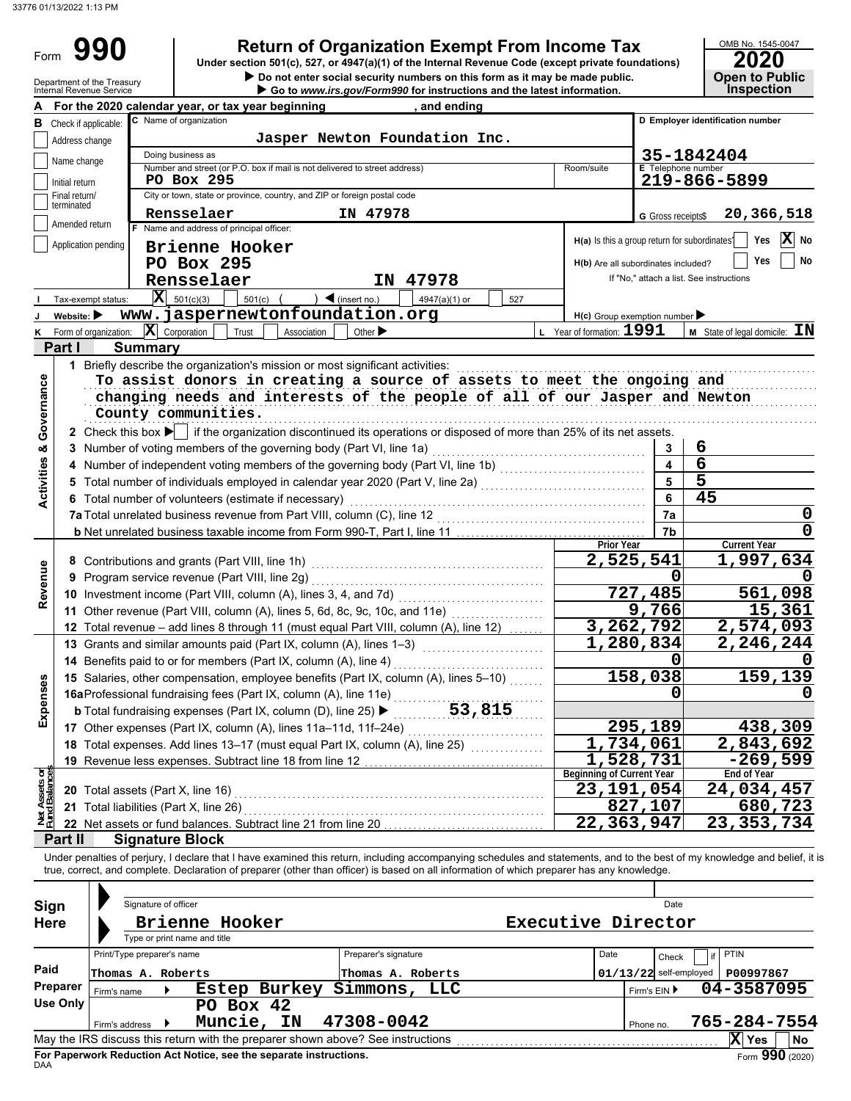Form 990

# **990 a 2020 2010 2020 2020 2020 2020 2020 2020 2020 2020 2020 2020 2020 2020 2020 2020 2020 2020 2020 2020 2020 2020 2020 2020 2020 2020 2020 2020 2020 2020 2**

 **Do not enter social security numbers on this form as it may be made public. Open to Public**

|                   | LULU |                       |
|-------------------|------|-----------------------|
|                   |      | <b>Open to Public</b> |
| <b>Inspection</b> |      |                       |

|                                |                                 | Department of the Treasury<br>Internal Revenue Service |                                                 |                                                                                                                                                                                                                                                                                                                       |                               | Do not enter social security numbers on this form as it may be made public.<br>Go to www.irs.gov/Form990 for instructions and the latest information. |                                  |                                               | Open to Public<br><b>Inspection</b>      |
|--------------------------------|---------------------------------|--------------------------------------------------------|-------------------------------------------------|-----------------------------------------------------------------------------------------------------------------------------------------------------------------------------------------------------------------------------------------------------------------------------------------------------------------------|-------------------------------|-------------------------------------------------------------------------------------------------------------------------------------------------------|----------------------------------|-----------------------------------------------|------------------------------------------|
|                                |                                 |                                                        |                                                 | A For the 2020 calendar year, or tax year beginning                                                                                                                                                                                                                                                                   |                               | , and ending                                                                                                                                          |                                  |                                               |                                          |
|                                | <b>B</b> Check if applicable:   |                                                        |                                                 | C Name of organization                                                                                                                                                                                                                                                                                                |                               |                                                                                                                                                       |                                  |                                               | D Employer identification number         |
|                                | Address change                  |                                                        |                                                 |                                                                                                                                                                                                                                                                                                                       | Jasper Newton Foundation Inc. |                                                                                                                                                       |                                  |                                               |                                          |
|                                | Name change                     |                                                        |                                                 | Doing business as                                                                                                                                                                                                                                                                                                     |                               |                                                                                                                                                       |                                  | 35-1842404                                    |                                          |
|                                |                                 |                                                        |                                                 | Number and street (or P.O. box if mail is not delivered to street address)<br>PO Box 295                                                                                                                                                                                                                              |                               |                                                                                                                                                       | Room/suite                       | <b>E</b> Telephone number                     | 219-866-5899                             |
|                                | Initial return<br>Final return/ |                                                        |                                                 | City or town, state or province, country, and ZIP or foreign postal code                                                                                                                                                                                                                                              |                               |                                                                                                                                                       |                                  |                                               |                                          |
|                                | terminated                      |                                                        |                                                 | Rensselaer                                                                                                                                                                                                                                                                                                            | IN 47978                      |                                                                                                                                                       |                                  | <b>G</b> Gross receipts\$                     | 20,366,518                               |
|                                | Amended return                  |                                                        |                                                 | F Name and address of principal officer:                                                                                                                                                                                                                                                                              |                               |                                                                                                                                                       |                                  |                                               |                                          |
|                                |                                 | Application pending                                    |                                                 | Brienne Hooker                                                                                                                                                                                                                                                                                                        |                               |                                                                                                                                                       |                                  | H(a) Is this a group return for subordinates? | ΙXΙ<br>Yes<br>No                         |
|                                |                                 |                                                        |                                                 | PO Box 295                                                                                                                                                                                                                                                                                                            |                               |                                                                                                                                                       |                                  | H(b) Are all subordinates included?           | Yes<br>No                                |
|                                |                                 |                                                        |                                                 | Rensselaer                                                                                                                                                                                                                                                                                                            | 47978<br>IN.                  |                                                                                                                                                       |                                  |                                               | If "No." attach a list. See instructions |
|                                |                                 | Tax-exempt status:                                     |                                                 | $\mathbf{X}$ 501(c)(3)<br>501(c)                                                                                                                                                                                                                                                                                      | $\triangleleft$ (insert no.)  | 4947(a)(1) or<br>527                                                                                                                                  |                                  |                                               |                                          |
|                                | Website:                        |                                                        |                                                 | www.jaspernewtonfoundation.org                                                                                                                                                                                                                                                                                        |                               |                                                                                                                                                       |                                  | $H(c)$ Group exemption number                 |                                          |
| ĸ                              |                                 | Form of organization:                                  |                                                 | $ \mathbf{X} $ Corporation<br>Trust<br>Association                                                                                                                                                                                                                                                                    | Other $\blacktriangleright$   |                                                                                                                                                       | L Year of formation: $1991$      |                                               | <b>M</b> State of legal domicile: $IN$   |
|                                | Part I                          |                                                        | <b>Summary</b>                                  |                                                                                                                                                                                                                                                                                                                       |                               |                                                                                                                                                       |                                  |                                               |                                          |
|                                |                                 |                                                        |                                                 | 1 Briefly describe the organization's mission or most significant activities:                                                                                                                                                                                                                                         |                               |                                                                                                                                                       |                                  |                                               |                                          |
|                                |                                 |                                                        |                                                 | To assist donors in creating a source of assets to meet the ongoing and                                                                                                                                                                                                                                               |                               |                                                                                                                                                       |                                  |                                               |                                          |
| Governance                     |                                 |                                                        |                                                 | changing needs and interests of the people of all of our Jasper and Newton                                                                                                                                                                                                                                            |                               |                                                                                                                                                       |                                  |                                               |                                          |
|                                |                                 |                                                        |                                                 | County communities.                                                                                                                                                                                                                                                                                                   |                               |                                                                                                                                                       |                                  |                                               |                                          |
|                                |                                 |                                                        |                                                 | 2 Check this box $\blacktriangleright$ if the organization discontinued its operations or disposed of more than 25% of its net assets.                                                                                                                                                                                |                               |                                                                                                                                                       |                                  |                                               |                                          |
| oð                             |                                 |                                                        |                                                 | 3 Number of voting members of the governing body (Part VI, line 1a)                                                                                                                                                                                                                                                   |                               |                                                                                                                                                       |                                  | 3                                             | 6                                        |
| <b>Activities</b>              |                                 |                                                        |                                                 | 4 Number of independent voting members of the governing body (Part VI, line 1b) [11] [11] Number of independent voting                                                                                                                                                                                                |                               |                                                                                                                                                       |                                  | 4                                             | $\overline{6}$                           |
|                                |                                 |                                                        |                                                 | 5 Total number of individuals employed in calendar year 2020 (Part V, line 2a) [[[[[[[[[[[[[[[[[[[[[[[[[[[[[[                                                                                                                                                                                                         |                               |                                                                                                                                                       |                                  | 5                                             | $\overline{\mathbf{5}}$                  |
|                                |                                 |                                                        |                                                 | 6 Total number of volunteers (estimate if necessary)                                                                                                                                                                                                                                                                  |                               |                                                                                                                                                       |                                  | 6                                             | 45                                       |
|                                |                                 |                                                        |                                                 |                                                                                                                                                                                                                                                                                                                       |                               | 7a                                                                                                                                                    | 0                                |                                               |                                          |
|                                |                                 |                                                        |                                                 |                                                                                                                                                                                                                                                                                                                       |                               |                                                                                                                                                       |                                  | 7b                                            | 0                                        |
|                                |                                 |                                                        |                                                 |                                                                                                                                                                                                                                                                                                                       |                               |                                                                                                                                                       | Prior Year                       | 2,525,541                                     | <b>Current Year</b>                      |
|                                |                                 |                                                        | 8 Contributions and grants (Part VIII, line 1h) |                                                                                                                                                                                                                                                                                                                       |                               |                                                                                                                                                       |                                  |                                               | 1,997,634                                |
| Revenue                        |                                 |                                                        |                                                 | 9 Program service revenue (Part VIII, line 2g)                                                                                                                                                                                                                                                                        |                               |                                                                                                                                                       |                                  | 0                                             |                                          |
|                                |                                 |                                                        |                                                 | 10 Investment income (Part VIII, column (A), lines 3, 4, and 7d)                                                                                                                                                                                                                                                      |                               |                                                                                                                                                       |                                  | 727,485                                       | 561,098                                  |
|                                |                                 |                                                        |                                                 | 11 Other revenue (Part VIII, column (A), lines 5, 6d, 8c, 9c, 10c, and 11e)                                                                                                                                                                                                                                           |                               |                                                                                                                                                       |                                  | 9,766                                         | 15,361                                   |
|                                |                                 |                                                        |                                                 | 12 Total revenue - add lines 8 through 11 (must equal Part VIII, column (A), line 12)                                                                                                                                                                                                                                 |                               |                                                                                                                                                       |                                  | 3,262,792                                     | 2,574,093                                |
|                                |                                 |                                                        |                                                 | 13 Grants and similar amounts paid (Part IX, column (A), lines 1-3)                                                                                                                                                                                                                                                   |                               |                                                                                                                                                       |                                  | 1,280,834                                     | 2,246,244                                |
|                                |                                 |                                                        |                                                 | 14 Benefits paid to or for members (Part IX, column (A), line 4)                                                                                                                                                                                                                                                      |                               |                                                                                                                                                       |                                  |                                               |                                          |
| nses                           |                                 |                                                        |                                                 | 15 Salaries, other compensation, employee benefits (Part IX, column (A), lines 5-10)                                                                                                                                                                                                                                  |                               |                                                                                                                                                       |                                  | 158,038                                       | 159,139                                  |
|                                |                                 |                                                        |                                                 | 16aProfessional fundraising fees (Part IX, column (A), line 11e)                                                                                                                                                                                                                                                      |                               |                                                                                                                                                       |                                  | 0                                             | 0                                        |
| Exper                          |                                 |                                                        |                                                 | <b>b</b> Total fundraising expenses (Part IX, column (D), line 25) ▶                                                                                                                                                                                                                                                  |                               | 53,815                                                                                                                                                |                                  |                                               |                                          |
|                                |                                 |                                                        |                                                 | 17 Other expenses (Part IX, column (A), lines 11a-11d, 11f-24e)                                                                                                                                                                                                                                                       |                               |                                                                                                                                                       |                                  | 295,189                                       | 438,309                                  |
|                                |                                 |                                                        |                                                 | 18 Total expenses. Add lines 13-17 (must equal Part IX, column (A), line 25)                                                                                                                                                                                                                                          |                               |                                                                                                                                                       |                                  | 1,734,061                                     | 2,843,692                                |
|                                |                                 |                                                        |                                                 | 19 Revenue less expenses. Subtract line 18 from line 12                                                                                                                                                                                                                                                               |                               |                                                                                                                                                       |                                  | 1,528,731                                     | $-269,599$                               |
|                                |                                 |                                                        |                                                 |                                                                                                                                                                                                                                                                                                                       |                               |                                                                                                                                                       | <b>Beginning of Current Year</b> |                                               | End of Year                              |
|                                |                                 |                                                        |                                                 | 20 Total assets (Part X, line 16)                                                                                                                                                                                                                                                                                     |                               |                                                                                                                                                       |                                  | 23,191,054                                    | 24,034,457                               |
| Net Assets or<br>Fund Balances |                                 |                                                        |                                                 | 21 Total liabilities (Part X, line 26)                                                                                                                                                                                                                                                                                |                               |                                                                                                                                                       |                                  | 827,107<br>22,363,947                         | 680,723<br>23, 353, 734                  |
|                                |                                 |                                                        |                                                 | 22 Net assets or fund balances. Subtract line 21 from line 20                                                                                                                                                                                                                                                         |                               |                                                                                                                                                       |                                  |                                               |                                          |
|                                | Part II                         |                                                        |                                                 | <b>Signature Block</b>                                                                                                                                                                                                                                                                                                |                               |                                                                                                                                                       |                                  |                                               |                                          |
|                                |                                 |                                                        |                                                 | Under penalties of perjury, I declare that I have examined this return, including accompanying schedules and statements, and to the best of my knowledge and belief, it<br>true, correct, and complete. Declaration of preparer (other than officer) is based on all information of which preparer has any knowledge. |                               |                                                                                                                                                       |                                  |                                               |                                          |
|                                |                                 |                                                        |                                                 |                                                                                                                                                                                                                                                                                                                       |                               |                                                                                                                                                       |                                  |                                               |                                          |
|                                | Sign                            |                                                        | Signature of officer                            |                                                                                                                                                                                                                                                                                                                       |                               |                                                                                                                                                       |                                  | Date                                          |                                          |
|                                | <b>Here</b>                     |                                                        |                                                 | Brienne Hooker                                                                                                                                                                                                                                                                                                        |                               |                                                                                                                                                       | Executive Director               |                                               |                                          |
|                                |                                 |                                                        |                                                 | Type or print name and title                                                                                                                                                                                                                                                                                          |                               |                                                                                                                                                       |                                  |                                               |                                          |
|                                |                                 |                                                        | Print/Type preparer's name                      |                                                                                                                                                                                                                                                                                                                       | Preparer's signature          |                                                                                                                                                       | Date                             | Check                                         | <b>PTIN</b>                              |
| Paid                           |                                 |                                                        | Thomas A. Roberts                               |                                                                                                                                                                                                                                                                                                                       | Thomas A. Roberts             |                                                                                                                                                       |                                  | $01/13/22$ self-employed                      | P00997867                                |
|                                | Preparer                        |                                                        |                                                 | Estep Burkey                                                                                                                                                                                                                                                                                                          | Simmons,                      | LLC                                                                                                                                                   |                                  |                                               | 04-3587095                               |
|                                | <b>Use Only</b>                 | Firm's name                                            |                                                 | PO Box 42                                                                                                                                                                                                                                                                                                             |                               |                                                                                                                                                       |                                  | Firm's EIN ▶                                  |                                          |
|                                |                                 |                                                        |                                                 | Muncie, IN                                                                                                                                                                                                                                                                                                            | 47308-0042                    |                                                                                                                                                       |                                  |                                               | 765-284-7554                             |
|                                |                                 | Firm's address                                         |                                                 | May the IRS discuss this return with the preparer shown above? See instructions                                                                                                                                                                                                                                       |                               |                                                                                                                                                       |                                  | Phone no.                                     | X Yes<br>No                              |
|                                |                                 |                                                        |                                                 |                                                                                                                                                                                                                                                                                                                       |                               |                                                                                                                                                       |                                  |                                               |                                          |

| Sign        | Signature of officer                           |  |            |                                                                    | Date                                                                            |  |      |                          |    |                 |                           |
|-------------|------------------------------------------------|--|------------|--------------------------------------------------------------------|---------------------------------------------------------------------------------|--|------|--------------------------|----|-----------------|---------------------------|
| <b>Here</b> | Brienne Hooker<br>Type or print name and title |  |            | Executive Director                                                 |                                                                                 |  |      |                          |    |                 |                           |
|             | Print/Type preparer's name                     |  |            |                                                                    | Preparer's signature                                                            |  | Date | Check                    | if | <b>PTIN</b>     |                           |
| Paid        | Thomas A. Roberts                              |  |            |                                                                    | Thomas A. Roberts                                                               |  |      | $01/13/22$ self-employed |    | P00997867       |                           |
| Preparer    | Firm's name                                    |  |            | Estep Burkey                                                       | Simmons,<br>LLC                                                                 |  |      | Firm's $EIN$             |    | 04-3587095      |                           |
| Use Only    |                                                |  | PO Box 42  |                                                                    |                                                                                 |  |      |                          |    |                 |                           |
|             | Firm's address                                 |  | Muncie, IN |                                                                    | 47308-0042                                                                      |  |      | Phone no.                |    | 765-284-7554    |                           |
|             |                                                |  |            |                                                                    | May the IRS discuss this return with the preparer shown above? See instructions |  |      |                          |    | x<br><b>Yes</b> | <b>No</b>                 |
|             |                                                |  |            | For Paperwork Reduction Act Notice, see the separate instructions. |                                                                                 |  |      |                          |    |                 | $F_{\text{O}}$ 990 (2020) |

DAA **For Paperwork Reduction Act Notice, see the separate instructions.**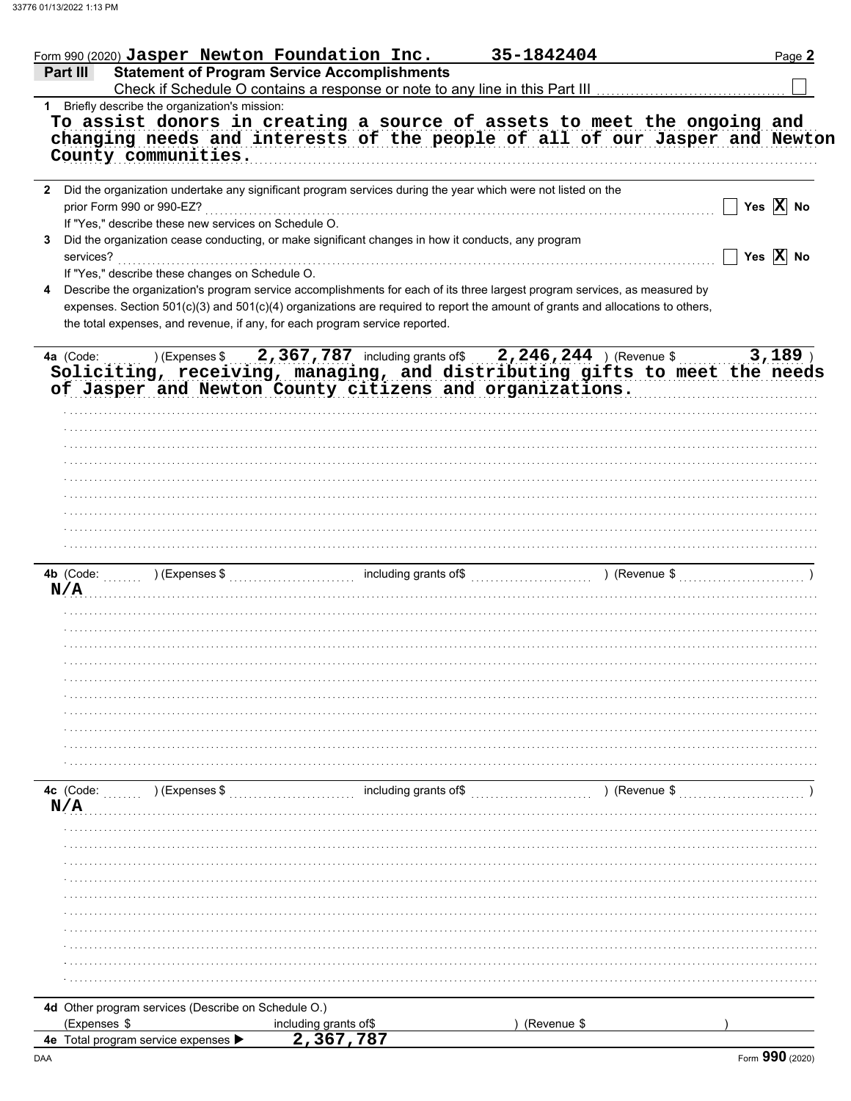| <b>Statement of Program Service Accomplishments</b><br>Part III<br>1 Briefly describe the organization's mission:<br>To assist donors in creating a source of assets to meet the ongoing and<br>changing needs and interests of the people of all of our Jasper and Newton<br>County communities.<br>2 Did the organization undertake any significant program services during the year which were not listed on the<br>prior Form 990 or 990-EZ?<br>If "Yes," describe these new services on Schedule O.<br>Did the organization cease conducting, or make significant changes in how it conducts, any program<br>3<br>services?<br>If "Yes," describe these changes on Schedule O.<br>Describe the organization's program service accomplishments for each of its three largest program services, as measured by<br>4 | $\Box$ Yes $\overline{\textbf{X}}$ No<br>Yes $\overline{X}$ No |
|------------------------------------------------------------------------------------------------------------------------------------------------------------------------------------------------------------------------------------------------------------------------------------------------------------------------------------------------------------------------------------------------------------------------------------------------------------------------------------------------------------------------------------------------------------------------------------------------------------------------------------------------------------------------------------------------------------------------------------------------------------------------------------------------------------------------|----------------------------------------------------------------|
|                                                                                                                                                                                                                                                                                                                                                                                                                                                                                                                                                                                                                                                                                                                                                                                                                        |                                                                |
|                                                                                                                                                                                                                                                                                                                                                                                                                                                                                                                                                                                                                                                                                                                                                                                                                        |                                                                |
|                                                                                                                                                                                                                                                                                                                                                                                                                                                                                                                                                                                                                                                                                                                                                                                                                        |                                                                |
|                                                                                                                                                                                                                                                                                                                                                                                                                                                                                                                                                                                                                                                                                                                                                                                                                        |                                                                |
|                                                                                                                                                                                                                                                                                                                                                                                                                                                                                                                                                                                                                                                                                                                                                                                                                        |                                                                |
|                                                                                                                                                                                                                                                                                                                                                                                                                                                                                                                                                                                                                                                                                                                                                                                                                        |                                                                |
|                                                                                                                                                                                                                                                                                                                                                                                                                                                                                                                                                                                                                                                                                                                                                                                                                        |                                                                |
|                                                                                                                                                                                                                                                                                                                                                                                                                                                                                                                                                                                                                                                                                                                                                                                                                        |                                                                |
|                                                                                                                                                                                                                                                                                                                                                                                                                                                                                                                                                                                                                                                                                                                                                                                                                        |                                                                |
|                                                                                                                                                                                                                                                                                                                                                                                                                                                                                                                                                                                                                                                                                                                                                                                                                        |                                                                |
|                                                                                                                                                                                                                                                                                                                                                                                                                                                                                                                                                                                                                                                                                                                                                                                                                        |                                                                |
|                                                                                                                                                                                                                                                                                                                                                                                                                                                                                                                                                                                                                                                                                                                                                                                                                        |                                                                |
|                                                                                                                                                                                                                                                                                                                                                                                                                                                                                                                                                                                                                                                                                                                                                                                                                        |                                                                |
|                                                                                                                                                                                                                                                                                                                                                                                                                                                                                                                                                                                                                                                                                                                                                                                                                        |                                                                |
| expenses. Section 501(c)(3) and 501(c)(4) organizations are required to report the amount of grants and allocations to others,                                                                                                                                                                                                                                                                                                                                                                                                                                                                                                                                                                                                                                                                                         |                                                                |
| the total expenses, and revenue, if any, for each program service reported.                                                                                                                                                                                                                                                                                                                                                                                                                                                                                                                                                                                                                                                                                                                                            |                                                                |
|                                                                                                                                                                                                                                                                                                                                                                                                                                                                                                                                                                                                                                                                                                                                                                                                                        |                                                                |
| ) (Expenses \$2,367,787 including grants of \$2,246,244) (Revenue \$<br>4a (Code:                                                                                                                                                                                                                                                                                                                                                                                                                                                                                                                                                                                                                                                                                                                                      | 3,189                                                          |
| Soliciting, receiving, managing, and distributing gifts to meet the needs                                                                                                                                                                                                                                                                                                                                                                                                                                                                                                                                                                                                                                                                                                                                              |                                                                |
| of Jasper and Newton County citizens and organizations.                                                                                                                                                                                                                                                                                                                                                                                                                                                                                                                                                                                                                                                                                                                                                                |                                                                |
|                                                                                                                                                                                                                                                                                                                                                                                                                                                                                                                                                                                                                                                                                                                                                                                                                        |                                                                |
|                                                                                                                                                                                                                                                                                                                                                                                                                                                                                                                                                                                                                                                                                                                                                                                                                        |                                                                |
|                                                                                                                                                                                                                                                                                                                                                                                                                                                                                                                                                                                                                                                                                                                                                                                                                        |                                                                |
|                                                                                                                                                                                                                                                                                                                                                                                                                                                                                                                                                                                                                                                                                                                                                                                                                        |                                                                |
|                                                                                                                                                                                                                                                                                                                                                                                                                                                                                                                                                                                                                                                                                                                                                                                                                        |                                                                |
|                                                                                                                                                                                                                                                                                                                                                                                                                                                                                                                                                                                                                                                                                                                                                                                                                        |                                                                |
|                                                                                                                                                                                                                                                                                                                                                                                                                                                                                                                                                                                                                                                                                                                                                                                                                        |                                                                |
|                                                                                                                                                                                                                                                                                                                                                                                                                                                                                                                                                                                                                                                                                                                                                                                                                        |                                                                |
|                                                                                                                                                                                                                                                                                                                                                                                                                                                                                                                                                                                                                                                                                                                                                                                                                        |                                                                |
|                                                                                                                                                                                                                                                                                                                                                                                                                                                                                                                                                                                                                                                                                                                                                                                                                        |                                                                |
| 4b (Code: William Code: The Code: The Superson Stephane Stephane Stephane Stephane Stephane Stephane Stephane Stephane Stephane Stephane Stephane Stephane Stephane Stephane Stephane Stephane Stephane Stephane Stephane Step                                                                                                                                                                                                                                                                                                                                                                                                                                                                                                                                                                                         |                                                                |
| N/A                                                                                                                                                                                                                                                                                                                                                                                                                                                                                                                                                                                                                                                                                                                                                                                                                    |                                                                |
|                                                                                                                                                                                                                                                                                                                                                                                                                                                                                                                                                                                                                                                                                                                                                                                                                        |                                                                |
|                                                                                                                                                                                                                                                                                                                                                                                                                                                                                                                                                                                                                                                                                                                                                                                                                        |                                                                |
|                                                                                                                                                                                                                                                                                                                                                                                                                                                                                                                                                                                                                                                                                                                                                                                                                        |                                                                |
|                                                                                                                                                                                                                                                                                                                                                                                                                                                                                                                                                                                                                                                                                                                                                                                                                        |                                                                |
|                                                                                                                                                                                                                                                                                                                                                                                                                                                                                                                                                                                                                                                                                                                                                                                                                        |                                                                |
|                                                                                                                                                                                                                                                                                                                                                                                                                                                                                                                                                                                                                                                                                                                                                                                                                        |                                                                |
|                                                                                                                                                                                                                                                                                                                                                                                                                                                                                                                                                                                                                                                                                                                                                                                                                        |                                                                |
|                                                                                                                                                                                                                                                                                                                                                                                                                                                                                                                                                                                                                                                                                                                                                                                                                        |                                                                |
|                                                                                                                                                                                                                                                                                                                                                                                                                                                                                                                                                                                                                                                                                                                                                                                                                        |                                                                |
|                                                                                                                                                                                                                                                                                                                                                                                                                                                                                                                                                                                                                                                                                                                                                                                                                        |                                                                |
|                                                                                                                                                                                                                                                                                                                                                                                                                                                                                                                                                                                                                                                                                                                                                                                                                        |                                                                |
|                                                                                                                                                                                                                                                                                                                                                                                                                                                                                                                                                                                                                                                                                                                                                                                                                        |                                                                |
|                                                                                                                                                                                                                                                                                                                                                                                                                                                                                                                                                                                                                                                                                                                                                                                                                        |                                                                |
| including grants of\$<br>$(1, 1, 1, 1)$ (Expenses \$<br>) (Revenue \$                                                                                                                                                                                                                                                                                                                                                                                                                                                                                                                                                                                                                                                                                                                                                  |                                                                |
| N/A                                                                                                                                                                                                                                                                                                                                                                                                                                                                                                                                                                                                                                                                                                                                                                                                                    |                                                                |
|                                                                                                                                                                                                                                                                                                                                                                                                                                                                                                                                                                                                                                                                                                                                                                                                                        |                                                                |
|                                                                                                                                                                                                                                                                                                                                                                                                                                                                                                                                                                                                                                                                                                                                                                                                                        |                                                                |
|                                                                                                                                                                                                                                                                                                                                                                                                                                                                                                                                                                                                                                                                                                                                                                                                                        |                                                                |
|                                                                                                                                                                                                                                                                                                                                                                                                                                                                                                                                                                                                                                                                                                                                                                                                                        |                                                                |
|                                                                                                                                                                                                                                                                                                                                                                                                                                                                                                                                                                                                                                                                                                                                                                                                                        |                                                                |
|                                                                                                                                                                                                                                                                                                                                                                                                                                                                                                                                                                                                                                                                                                                                                                                                                        |                                                                |
|                                                                                                                                                                                                                                                                                                                                                                                                                                                                                                                                                                                                                                                                                                                                                                                                                        |                                                                |
|                                                                                                                                                                                                                                                                                                                                                                                                                                                                                                                                                                                                                                                                                                                                                                                                                        |                                                                |
|                                                                                                                                                                                                                                                                                                                                                                                                                                                                                                                                                                                                                                                                                                                                                                                                                        |                                                                |
|                                                                                                                                                                                                                                                                                                                                                                                                                                                                                                                                                                                                                                                                                                                                                                                                                        |                                                                |
|                                                                                                                                                                                                                                                                                                                                                                                                                                                                                                                                                                                                                                                                                                                                                                                                                        |                                                                |
| 4d Other program services (Describe on Schedule O.)                                                                                                                                                                                                                                                                                                                                                                                                                                                                                                                                                                                                                                                                                                                                                                    |                                                                |
| 4c (Code:<br>(Expenses \$<br>including grants of\$<br>(Revenue \$<br>2,367,787<br>4e Total program service expenses ▶                                                                                                                                                                                                                                                                                                                                                                                                                                                                                                                                                                                                                                                                                                  |                                                                |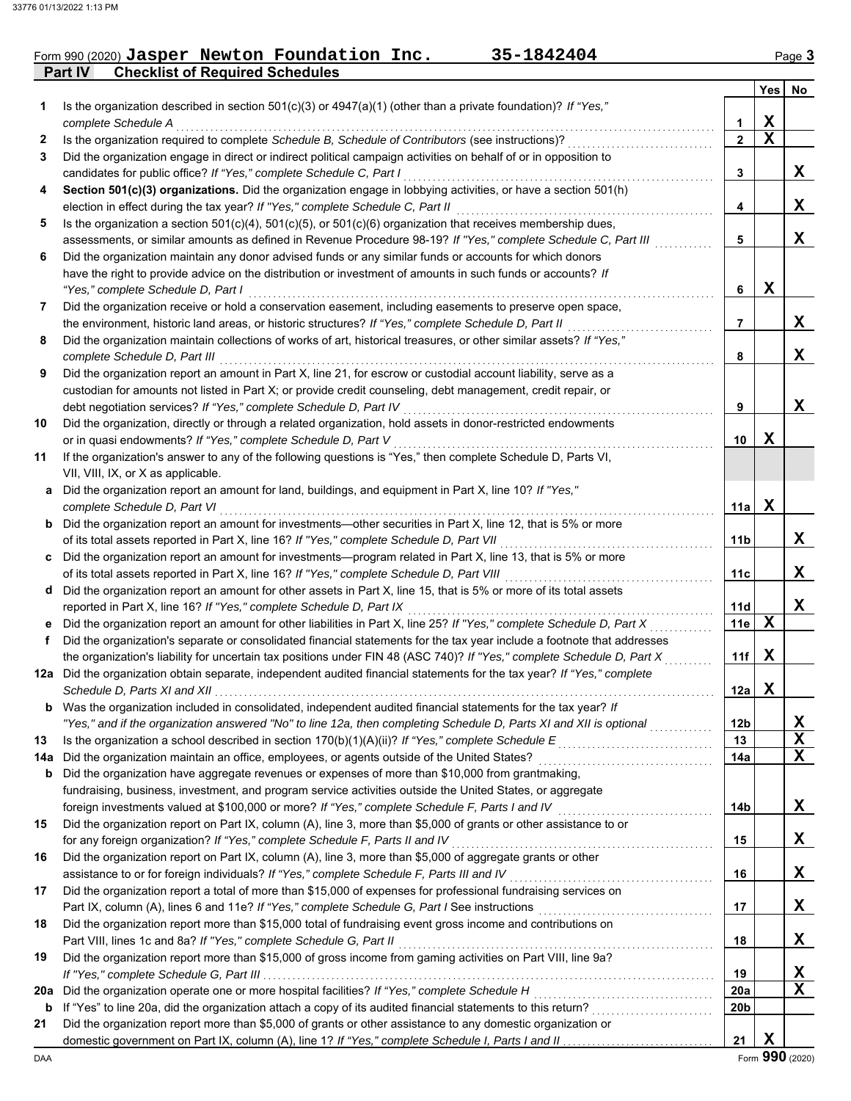## **Part IV Checklist of Required Schedules** Form 990 (2020) Jasper Newton Foundation Inc. 35-1842404 Page 3

|     |                                                                                                                                                                                   |                               | Yes         | No               |
|-----|-----------------------------------------------------------------------------------------------------------------------------------------------------------------------------------|-------------------------------|-------------|------------------|
| 1.  | Is the organization described in section $501(c)(3)$ or $4947(a)(1)$ (other than a private foundation)? If "Yes,"                                                                 |                               |             |                  |
|     | complete Schedule A                                                                                                                                                               | 1                             | X           |                  |
| 2   | Is the organization required to complete Schedule B, Schedule of Contributors (see instructions)?                                                                                 | $\overline{2}$                | $\mathbf x$ |                  |
| 3   | Did the organization engage in direct or indirect political campaign activities on behalf of or in opposition to                                                                  |                               |             |                  |
|     | candidates for public office? If "Yes," complete Schedule C, Part I                                                                                                               | 3                             |             | X                |
| 4   | Section 501(c)(3) organizations. Did the organization engage in lobbying activities, or have a section 501(h)                                                                     |                               |             |                  |
|     | election in effect during the tax year? If "Yes," complete Schedule C, Part II                                                                                                    | 4                             |             | X                |
| 5   | Is the organization a section $501(c)(4)$ , $501(c)(5)$ , or $501(c)(6)$ organization that receives membership dues,                                                              |                               |             |                  |
|     | assessments, or similar amounts as defined in Revenue Procedure 98-19? If "Yes," complete Schedule C, Part III                                                                    | 5                             |             | X                |
| 6   | Did the organization maintain any donor advised funds or any similar funds or accounts for which donors                                                                           |                               |             |                  |
|     | have the right to provide advice on the distribution or investment of amounts in such funds or accounts? If                                                                       |                               |             |                  |
|     | "Yes," complete Schedule D, Part I                                                                                                                                                | 6                             | $\mathbf x$ |                  |
| 7   | Did the organization receive or hold a conservation easement, including easements to preserve open space,                                                                         |                               |             |                  |
|     | the environment, historic land areas, or historic structures? If "Yes," complete Schedule D, Part II                                                                              | 7                             |             | X                |
| 8   | Did the organization maintain collections of works of art, historical treasures, or other similar assets? If "Yes,"                                                               |                               |             |                  |
|     | complete Schedule D, Part III                                                                                                                                                     | 8                             |             | X                |
| 9   | Did the organization report an amount in Part X, line 21, for escrow or custodial account liability, serve as a                                                                   |                               |             |                  |
|     | custodian for amounts not listed in Part X; or provide credit counseling, debt management, credit repair, or<br>debt negotiation services? If "Yes," complete Schedule D, Part IV |                               |             | X                |
| 10  | Did the organization, directly or through a related organization, hold assets in donor-restricted endowments                                                                      | 9                             |             |                  |
|     | or in quasi endowments? If "Yes," complete Schedule D, Part V                                                                                                                     | 10                            | X           |                  |
| 11  | If the organization's answer to any of the following questions is "Yes," then complete Schedule D, Parts VI,                                                                      |                               |             |                  |
|     | VII, VIII, IX, or X as applicable.                                                                                                                                                |                               |             |                  |
|     | a Did the organization report an amount for land, buildings, and equipment in Part X, line 10? If "Yes,"                                                                          |                               |             |                  |
|     | complete Schedule D, Part VI                                                                                                                                                      | 11a                           | $\mathbf X$ |                  |
|     | <b>b</b> Did the organization report an amount for investments—other securities in Part X, line 12, that is 5% or more                                                            |                               |             |                  |
|     | of its total assets reported in Part X, line 16? If "Yes," complete Schedule D, Part VII                                                                                          | 11b                           |             | X                |
|     | c Did the organization report an amount for investments—program related in Part X, line 13, that is 5% or more                                                                    |                               |             |                  |
|     | of its total assets reported in Part X, line 16? If "Yes," complete Schedule D, Part VIII                                                                                         | 11c                           |             | X                |
|     | d Did the organization report an amount for other assets in Part X, line 15, that is 5% or more of its total assets                                                               |                               |             |                  |
|     | reported in Part X, line 16? If "Yes," complete Schedule D, Part IX                                                                                                               | 11d                           |             | $\mathbf X$      |
|     | e Did the organization report an amount for other liabilities in Part X, line 25? If "Yes," complete Schedule D, Part X                                                           | 11e                           | X           |                  |
| f   | Did the organization's separate or consolidated financial statements for the tax year include a footnote that addresses                                                           |                               |             |                  |
|     | the organization's liability for uncertain tax positions under FIN 48 (ASC 740)? If "Yes," complete Schedule D, Part X                                                            | 11f                           | X           |                  |
|     | 12a Did the organization obtain separate, independent audited financial statements for the tax year? If "Yes," complete                                                           |                               |             |                  |
|     |                                                                                                                                                                                   | 12a                           | X           |                  |
| b   | Was the organization included in consolidated, independent audited financial statements for the tax year? If                                                                      |                               |             |                  |
|     | "Yes," and if the organization answered "No" to line 12a, then completing Schedule D, Parts XI and XII is optional                                                                | 12 <sub>b</sub>               |             | X                |
| 13  | Is the organization a school described in section 170(b)(1)(A)(ii)? If "Yes," complete Schedule E                                                                                 | 13                            |             | $\mathbf x$      |
| 14a |                                                                                                                                                                                   | 14a                           |             | $\mathbf x$      |
| b   | Did the organization have aggregate revenues or expenses of more than \$10,000 from grantmaking,                                                                                  |                               |             |                  |
|     | fundraising, business, investment, and program service activities outside the United States, or aggregate                                                                         |                               |             |                  |
|     | foreign investments valued at \$100,000 or more? If "Yes," complete Schedule F, Parts I and IV                                                                                    | 14b                           |             | X                |
| 15  | Did the organization report on Part IX, column (A), line 3, more than \$5,000 of grants or other assistance to or                                                                 |                               |             |                  |
|     | for any foreign organization? If "Yes," complete Schedule F, Parts II and IV                                                                                                      | 15                            |             | X                |
| 16  | Did the organization report on Part IX, column (A), line 3, more than \$5,000 of aggregate grants or other                                                                        |                               |             |                  |
|     | assistance to or for foreign individuals? If "Yes," complete Schedule F, Parts III and IV                                                                                         | 16                            |             | X                |
| 17  | Did the organization report a total of more than \$15,000 of expenses for professional fundraising services on                                                                    |                               |             |                  |
|     |                                                                                                                                                                                   | 17                            |             | X                |
| 18  | Did the organization report more than \$15,000 total of fundraising event gross income and contributions on                                                                       |                               |             |                  |
|     | Part VIII, lines 1c and 8a? If "Yes," complete Schedule G, Part II                                                                                                                | 18                            |             | x                |
| 19  | Did the organization report more than \$15,000 of gross income from gaming activities on Part VIII, line 9a?                                                                      |                               |             |                  |
|     |                                                                                                                                                                                   | 19                            |             | X<br>$\mathbf X$ |
| 20a | Did the organization operate one or more hospital facilities? If "Yes," complete Schedule H                                                                                       | <b>20a</b><br>20 <sub>b</sub> |             |                  |
| b   | Did the organization report more than \$5,000 of grants or other assistance to any domestic organization or                                                                       |                               |             |                  |
| 21  |                                                                                                                                                                                   | 21                            | X           |                  |
|     |                                                                                                                                                                                   |                               |             |                  |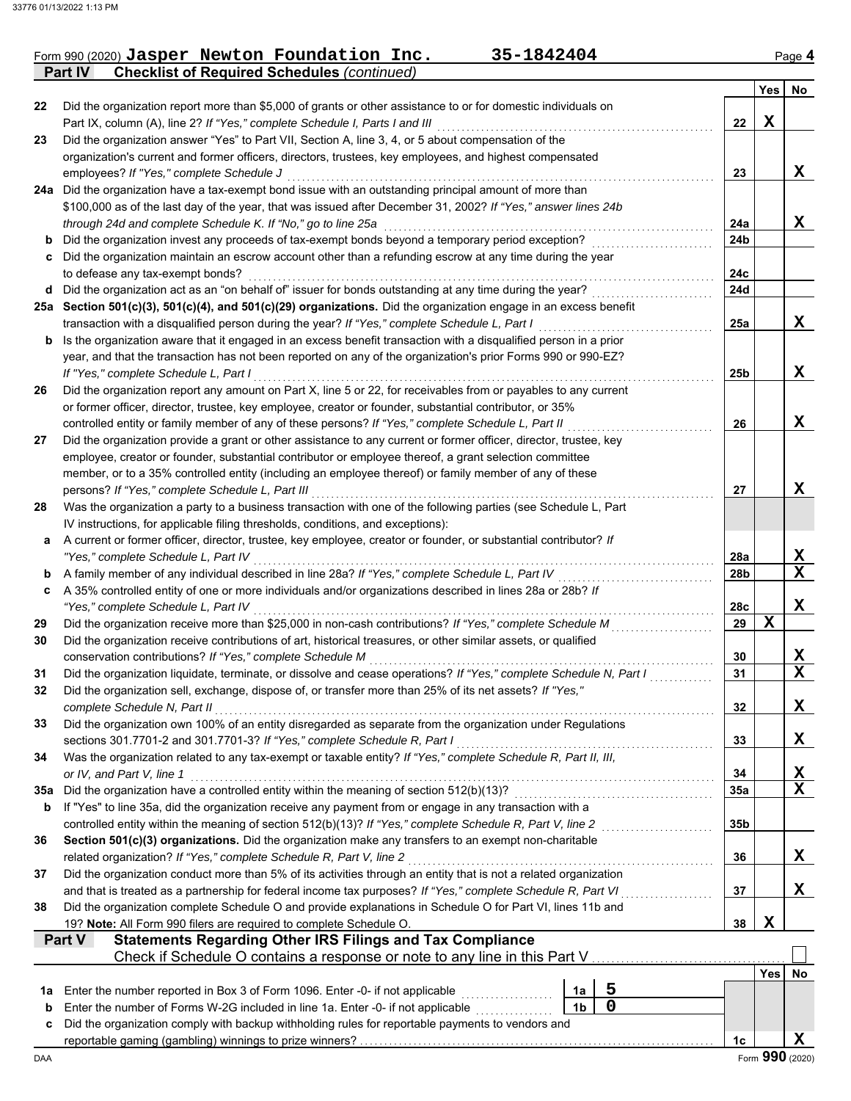|  | Form 990 (2020) Jasper Newton Foundation Inc.              | 35-1842404 | Page 4 |
|--|------------------------------------------------------------|------------|--------|
|  | <b>Part IV</b> Checklist of Required Schedules (continued) |            |        |

|                   |                                                                                                                                                                                                                          |                |   |                 | Yes        | No              |
|-------------------|--------------------------------------------------------------------------------------------------------------------------------------------------------------------------------------------------------------------------|----------------|---|-----------------|------------|-----------------|
| 22                | Did the organization report more than \$5,000 of grants or other assistance to or for domestic individuals on                                                                                                            |                |   |                 |            |                 |
|                   | Part IX, column (A), line 2? If "Yes," complete Schedule I, Parts I and III                                                                                                                                              |                |   | 22              | X          |                 |
| 23                | Did the organization answer "Yes" to Part VII, Section A, line 3, 4, or 5 about compensation of the                                                                                                                      |                |   |                 |            |                 |
|                   | organization's current and former officers, directors, trustees, key employees, and highest compensated                                                                                                                  |                |   |                 |            |                 |
|                   | employees? If "Yes," complete Schedule J                                                                                                                                                                                 |                |   | 23              |            | X               |
|                   | 24a Did the organization have a tax-exempt bond issue with an outstanding principal amount of more than<br>\$100,000 as of the last day of the year, that was issued after December 31, 2002? If "Yes," answer lines 24b |                |   |                 |            |                 |
|                   | through 24d and complete Schedule K. If "No," go to line 25a                                                                                                                                                             |                |   | 24a             |            | X               |
| b                 | Did the organization invest any proceeds of tax-exempt bonds beyond a temporary period exception?                                                                                                                        |                |   | 24 <sub>b</sub> |            |                 |
| c                 | Did the organization maintain an escrow account other than a refunding escrow at any time during the year                                                                                                                |                |   |                 |            |                 |
|                   | to defease any tax-exempt bonds?                                                                                                                                                                                         |                |   | 24c             |            |                 |
| d                 | Did the organization act as an "on behalf of" issuer for bonds outstanding at any time during the year?                                                                                                                  |                |   | 24d             |            |                 |
|                   | 25a Section 501(c)(3), 501(c)(4), and 501(c)(29) organizations. Did the organization engage in an excess benefit                                                                                                         |                |   |                 |            |                 |
|                   | transaction with a disqualified person during the year? If "Yes," complete Schedule L, Part I                                                                                                                            |                |   | 25a             |            | X               |
| b                 | Is the organization aware that it engaged in an excess benefit transaction with a disqualified person in a prior                                                                                                         |                |   |                 |            |                 |
|                   | year, and that the transaction has not been reported on any of the organization's prior Forms 990 or 990-EZ?                                                                                                             |                |   |                 |            |                 |
|                   | If "Yes," complete Schedule L, Part I                                                                                                                                                                                    |                |   | 25b             |            | X               |
| 26                | Did the organization report any amount on Part X, line 5 or 22, for receivables from or payables to any current                                                                                                          |                |   |                 |            |                 |
|                   | or former officer, director, trustee, key employee, creator or founder, substantial contributor, or 35%<br>controlled entity or family member of any of these persons? If "Yes," complete Schedule L, Part II            |                |   | 26              |            | X               |
| 27                | Did the organization provide a grant or other assistance to any current or former officer, director, trustee, key                                                                                                        |                |   |                 |            |                 |
|                   | employee, creator or founder, substantial contributor or employee thereof, a grant selection committee                                                                                                                   |                |   |                 |            |                 |
|                   | member, or to a 35% controlled entity (including an employee thereof) or family member of any of these                                                                                                                   |                |   |                 |            |                 |
|                   | persons? If "Yes," complete Schedule L, Part III                                                                                                                                                                         |                |   | 27              |            | x               |
| 28                | Was the organization a party to a business transaction with one of the following parties (see Schedule L, Part                                                                                                           |                |   |                 |            |                 |
|                   | IV instructions, for applicable filing thresholds, conditions, and exceptions):                                                                                                                                          |                |   |                 |            |                 |
| a                 | A current or former officer, director, trustee, key employee, creator or founder, or substantial contributor? If                                                                                                         |                |   |                 |            |                 |
|                   | "Yes," complete Schedule L, Part IV                                                                                                                                                                                      |                |   | 28a             |            | x               |
| b                 | A family member of any individual described in line 28a? If "Yes," complete Schedule L, Part IV                                                                                                                          |                |   | 28b             |            | $\mathbf x$     |
| c                 | A 35% controlled entity of one or more individuals and/or organizations described in lines 28a or 28b? If<br>"Yes," complete Schedule L, Part IV                                                                         |                |   | 28c             |            | X               |
| 29                | Did the organization receive more than \$25,000 in non-cash contributions? If "Yes," complete Schedule M                                                                                                                 |                |   | 29              | X          |                 |
| 30                | Did the organization receive contributions of art, historical treasures, or other similar assets, or qualified                                                                                                           |                |   |                 |            |                 |
|                   | conservation contributions? If "Yes," complete Schedule M                                                                                                                                                                |                |   | 30              |            | X               |
| 31                | Did the organization liquidate, terminate, or dissolve and cease operations? If "Yes," complete Schedule N, Part I                                                                                                       |                |   | 31              |            | $\mathbf x$     |
| 32                | Did the organization sell, exchange, dispose of, or transfer more than 25% of its net assets? If "Yes,"                                                                                                                  |                |   |                 |            |                 |
|                   | complete Schedule N, Part II                                                                                                                                                                                             |                |   | 32              |            | X               |
| 33                | Did the organization own 100% of an entity disregarded as separate from the organization under Regulations                                                                                                               |                |   |                 |            |                 |
|                   | sections 301.7701-2 and 301.7701-3? If "Yes," complete Schedule R, Part I                                                                                                                                                |                |   | 33              |            | X               |
| 34                | Was the organization related to any tax-exempt or taxable entity? If "Yes," complete Schedule R, Part II, III,                                                                                                           |                |   |                 |            |                 |
|                   | or IV, and Part V, line 1                                                                                                                                                                                                |                |   | 34              |            | X<br>X          |
| 35a<br>b          | Did the organization have a controlled entity within the meaning of section 512(b)(13)?<br>If "Yes" to line 35a, did the organization receive any payment from or engage in any transaction with a                       |                |   | 35a             |            |                 |
|                   | controlled entity within the meaning of section 512(b)(13)? If "Yes," complete Schedule R, Part V, line 2                                                                                                                |                |   | 35 <sub>b</sub> |            |                 |
| 36                | Section 501(c)(3) organizations. Did the organization make any transfers to an exempt non-charitable                                                                                                                     |                |   |                 |            |                 |
|                   | related organization? If "Yes," complete Schedule R, Part V, line 2                                                                                                                                                      |                |   | 36              |            | X               |
| 37                | Did the organization conduct more than 5% of its activities through an entity that is not a related organization                                                                                                         |                |   |                 |            |                 |
|                   | and that is treated as a partnership for federal income tax purposes? If "Yes," complete Schedule R, Part VI                                                                                                             |                |   | 37              |            | x               |
| 38                | Did the organization complete Schedule O and provide explanations in Schedule O for Part VI, lines 11b and                                                                                                               |                |   |                 |            |                 |
|                   | 19? Note: All Form 990 filers are required to complete Schedule O.                                                                                                                                                       |                |   | 38              | X          |                 |
|                   | <b>Statements Regarding Other IRS Filings and Tax Compliance</b><br>Part V                                                                                                                                               |                |   |                 |            |                 |
|                   | Check if Schedule O contains a response or note to any line in this Part V                                                                                                                                               |                |   |                 |            |                 |
|                   | Enter the number reported in Box 3 of Form 1096. Enter -0- if not applicable                                                                                                                                             | 1a             | 5 |                 | <b>Yes</b> | No              |
| 1а<br>$\mathbf b$ | Enter the number of Forms W-2G included in line 1a. Enter -0- if not applicable                                                                                                                                          | 1 <sub>b</sub> | 0 |                 |            |                 |
| c                 | Did the organization comply with backup withholding rules for reportable payments to vendors and                                                                                                                         |                |   |                 |            |                 |
|                   |                                                                                                                                                                                                                          |                |   | 1c              |            | X               |
| DAA               |                                                                                                                                                                                                                          |                |   |                 |            | Form 990 (2020) |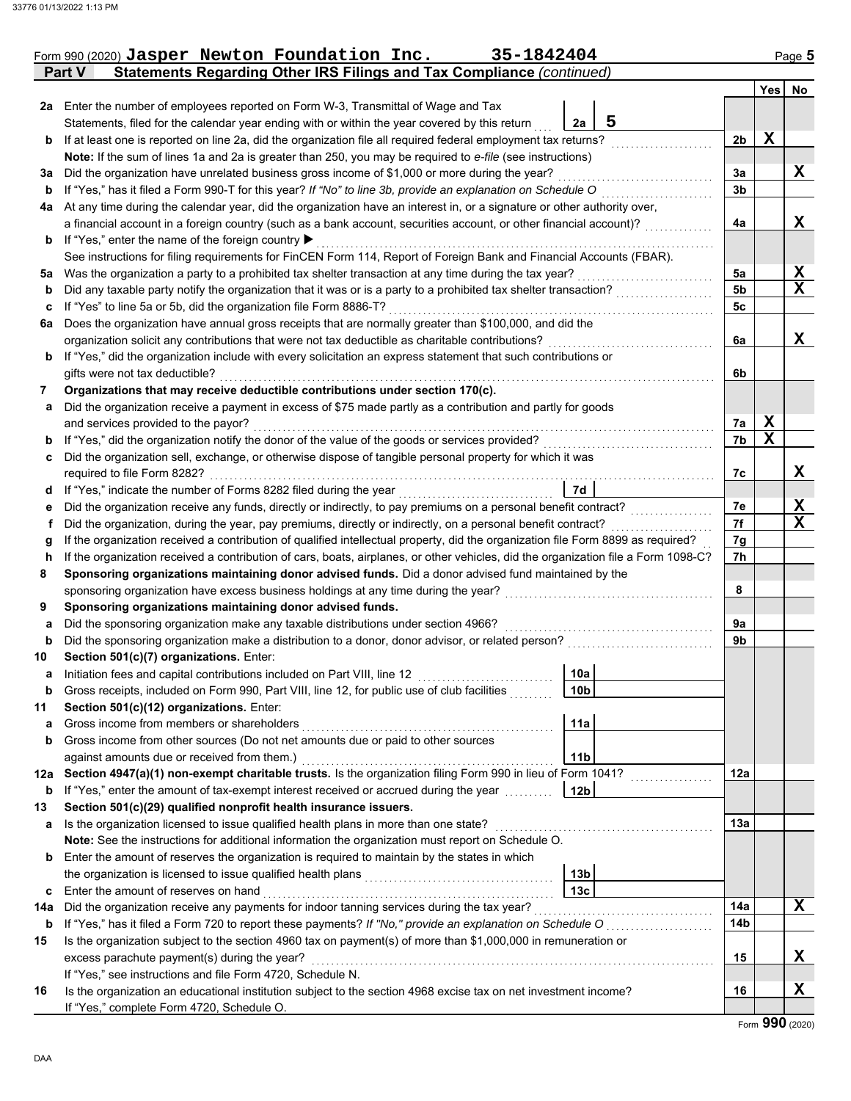|     | 35-1842404<br>Form 990 (2020) Jasper Newton Foundation Inc.                                                                        |                 |                |             | Page 5      |
|-----|------------------------------------------------------------------------------------------------------------------------------------|-----------------|----------------|-------------|-------------|
|     | Statements Regarding Other IRS Filings and Tax Compliance (continued)<br><b>Part V</b>                                             |                 |                |             |             |
|     |                                                                                                                                    |                 |                |             | Yes No      |
|     | 2a Enter the number of employees reported on Form W-3, Transmittal of Wage and Tax                                                 |                 |                |             |             |
|     | Statements, filed for the calendar year ending with or within the year covered by this return                                      | 5<br>2a         |                |             |             |
| b   | If at least one is reported on line 2a, did the organization file all required federal employment tax returns?                     |                 | 2 <sub>b</sub> | $\mathbf X$ |             |
|     | Note: If the sum of lines 1a and 2a is greater than 250, you may be required to e-file (see instructions)                          |                 |                |             |             |
| За  | Did the organization have unrelated business gross income of \$1,000 or more during the year?                                      |                 | За             |             | X           |
| b   | If "Yes," has it filed a Form 990-T for this year? If "No" to line 3b, provide an explanation on Schedule O                        |                 | 3 <sub>b</sub> |             |             |
|     | 4a At any time during the calendar year, did the organization have an interest in, or a signature or other authority over,         |                 |                |             |             |
|     | a financial account in a foreign country (such as a bank account, securities account, or other financial account)?                 |                 | 4a             |             | X           |
| b   | If "Yes," enter the name of the foreign country ▶                                                                                  |                 |                |             |             |
|     | See instructions for filing requirements for FinCEN Form 114, Report of Foreign Bank and Financial Accounts (FBAR).                |                 |                |             |             |
| 5a  | Was the organization a party to a prohibited tax shelter transaction at any time during the tax year?                              |                 | 5a             |             | X           |
| b   | Did any taxable party notify the organization that it was or is a party to a prohibited tax shelter transaction?                   |                 | <b>5b</b>      |             | $\mathbf x$ |
| c   | If "Yes" to line 5a or 5b, did the organization file Form 8886-T?                                                                  |                 | 5c             |             |             |
| 6a  | Does the organization have annual gross receipts that are normally greater than \$100,000, and did the                             |                 |                |             |             |
|     | organization solicit any contributions that were not tax deductible as charitable contributions?                                   |                 | 6a             |             | X           |
| b   | If "Yes," did the organization include with every solicitation an express statement that such contributions or                     |                 |                |             |             |
|     | gifts were not tax deductible?                                                                                                     |                 | 6b             |             |             |
| 7   | Organizations that may receive deductible contributions under section 170(c).                                                      |                 |                |             |             |
| а   | Did the organization receive a payment in excess of \$75 made partly as a contribution and partly for goods                        |                 |                |             |             |
|     | and services provided to the payor?                                                                                                |                 | 7a             | X           |             |
| b   | If "Yes," did the organization notify the donor of the value of the goods or services provided?                                    |                 | 7b             | $\mathbf X$ |             |
| c   | Did the organization sell, exchange, or otherwise dispose of tangible personal property for which it was                           |                 |                |             |             |
|     | required to file Form 8282?                                                                                                        |                 | 7c             |             | X           |
| d   | If "Yes," indicate the number of Forms 8282 filed during the year                                                                  | 7d              |                |             |             |
| е   | Did the organization receive any funds, directly or indirectly, to pay premiums on a personal benefit contract?                    |                 | 7e             |             | X           |
| f.  | Did the organization, during the year, pay premiums, directly or indirectly, on a personal benefit contract?                       |                 | 7f             |             | $\mathbf x$ |
| g   | If the organization received a contribution of qualified intellectual property, did the organization file Form 8899 as required?   |                 | 7g             |             |             |
| h   | If the organization received a contribution of cars, boats, airplanes, or other vehicles, did the organization file a Form 1098-C? |                 | 7h             |             |             |
| 8   | Sponsoring organizations maintaining donor advised funds. Did a donor advised fund maintained by the                               |                 |                |             |             |
|     | sponsoring organization have excess business holdings at any time during the year?                                                 |                 | 8              |             |             |
| 9   | Sponsoring organizations maintaining donor advised funds.                                                                          |                 |                |             |             |
| a   | Did the sponsoring organization make any taxable distributions under section 4966?                                                 |                 | 9a             |             |             |
| b   | Did the sponsoring organization make a distribution to a donor, donor advisor, or related person?                                  |                 | 9b             |             |             |
| 10  | Section 501(c)(7) organizations. Enter:                                                                                            |                 |                |             |             |
|     | Initiation fees and capital contributions included on Part VIII, line 12                                                           | 10a             |                |             |             |
| b   | Gross receipts, included on Form 990, Part VIII, line 12, for public use of club facilities                                        | 10 <sub>b</sub> |                |             |             |
| 11  | Section 501(c)(12) organizations. Enter:                                                                                           |                 |                |             |             |
| a   | Gross income from members or shareholders                                                                                          | 11a             |                |             |             |
| b   | Gross income from other sources (Do not net amounts due or paid to other sources                                                   |                 |                |             |             |
|     | against amounts due or received from them.)                                                                                        | 11 <sub>b</sub> |                |             |             |
| 12a | Section 4947(a)(1) non-exempt charitable trusts. Is the organization filing Form 990 in lieu of Form 1041?                         |                 | 12a            |             |             |
| b   | If "Yes," enter the amount of tax-exempt interest received or accrued during the year                                              | 12 <sub>b</sub> |                |             |             |
| 13  | Section 501(c)(29) qualified nonprofit health insurance issuers.                                                                   |                 |                |             |             |
| а   | Is the organization licensed to issue qualified health plans in more than one state?                                               |                 | 13а            |             |             |
|     | Note: See the instructions for additional information the organization must report on Schedule O.                                  |                 |                |             |             |
| b   | Enter the amount of reserves the organization is required to maintain by the states in which                                       |                 |                |             |             |
|     | the organization is licensed to issue qualified health plans                                                                       | 13 <sub>b</sub> |                |             |             |
| c   | Enter the amount of reserves on hand                                                                                               | 13 <sub>c</sub> |                |             |             |
| 14a | Did the organization receive any payments for indoor tanning services during the tax year?                                         |                 | 14a            |             | X           |
| b   | If "Yes," has it filed a Form 720 to report these payments? If "No," provide an explanation on Schedule O                          |                 | 14b            |             |             |
| 15  | Is the organization subject to the section 4960 tax on payment(s) of more than \$1,000,000 in remuneration or                      |                 |                |             |             |
|     | excess parachute payment(s) during the year?                                                                                       |                 | 15             |             | x           |
|     | If "Yes," see instructions and file Form 4720, Schedule N.                                                                         |                 |                |             |             |
| 16  | Is the organization an educational institution subject to the section 4968 excise tax on net investment income?                    |                 | 16             |             | X           |
|     | If "Yes," complete Form 4720, Schedule O.                                                                                          |                 |                |             |             |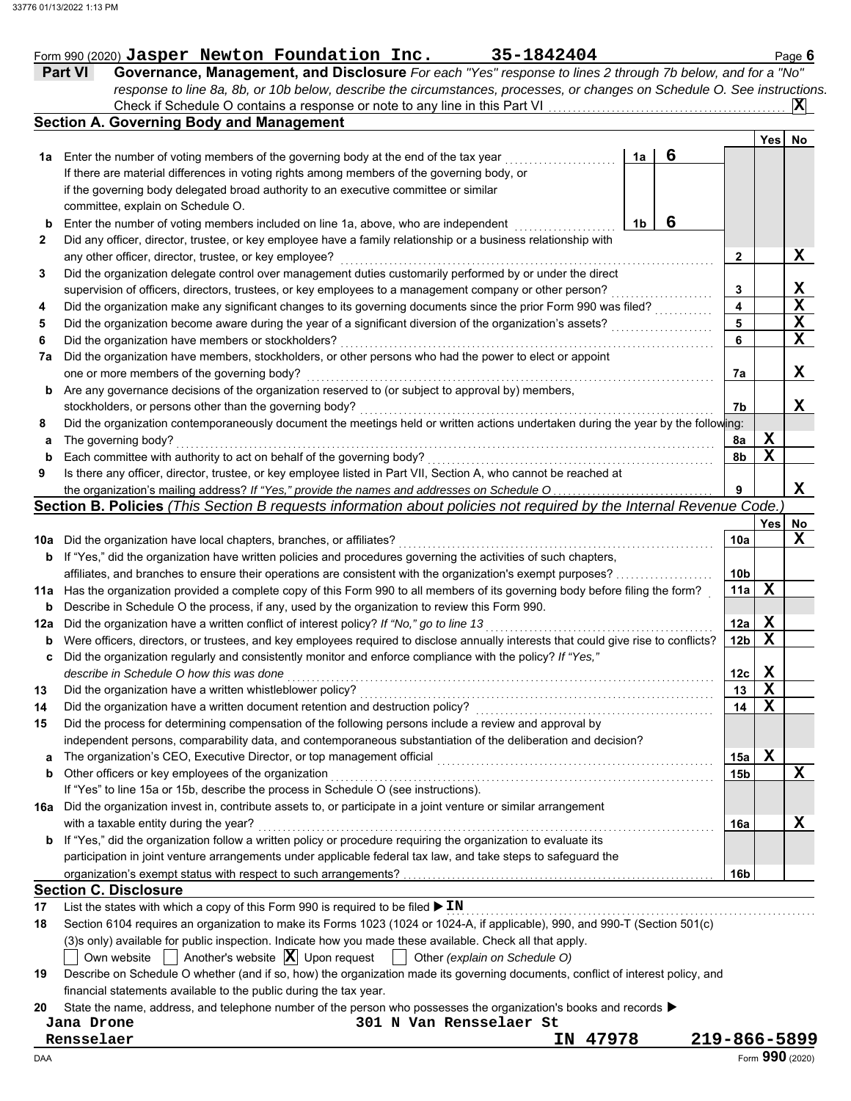|                |  | Form 990 (2020) Jasper Newton Foundation Inc. | 35-1842404                                                                                                        | Page 6 |
|----------------|--|-----------------------------------------------|-------------------------------------------------------------------------------------------------------------------|--------|
| <b>Part VI</b> |  |                                               | <b>Governance, Management, and Disclosure</b> For each "Yes" response to lines 2 through 7b below, and for a "No" |        |

Check if Schedule O contains a response or note to any line in this Part VI

*response to line 8a, 8b, or 10b below, describe the circumstances, processes, or changes on Schedule O. See instructions.*

**X**

|              | <b>Section A. Governing Body and Management</b>                                                                                                                                                                             |    |   |                 |             |                 |
|--------------|-----------------------------------------------------------------------------------------------------------------------------------------------------------------------------------------------------------------------------|----|---|-----------------|-------------|-----------------|
|              |                                                                                                                                                                                                                             |    |   |                 | Yes         | No.             |
| 1а           | Enter the number of voting members of the governing body at the end of the tax year                                                                                                                                         | 1a | 6 |                 |             |                 |
|              | If there are material differences in voting rights among members of the governing body, or                                                                                                                                  |    |   |                 |             |                 |
|              | if the governing body delegated broad authority to an executive committee or similar                                                                                                                                        |    |   |                 |             |                 |
|              | committee, explain on Schedule O.                                                                                                                                                                                           |    |   |                 |             |                 |
| b            | Enter the number of voting members included on line 1a, above, who are independent                                                                                                                                          | 1b | 6 |                 |             |                 |
| $\mathbf{2}$ | Did any officer, director, trustee, or key employee have a family relationship or a business relationship with                                                                                                              |    |   |                 |             |                 |
|              | any other officer, director, trustee, or key employee?<br>Did the organization delegate control over management duties customarily performed by or under the direct                                                         |    |   | 2               |             | X               |
| 3            |                                                                                                                                                                                                                             |    |   | 3               |             | X               |
|              | supervision of officers, directors, trustees, or key employees to a management company or other person?<br>Did the organization make any significant changes to its governing documents since the prior Form 990 was filed? |    |   | 4               |             | $\mathbf x$     |
| 4<br>5       |                                                                                                                                                                                                                             |    |   | 5               |             | X               |
| 6            | Did the organization become aware during the year of a significant diversion of the organization's assets?<br>Did the organization have members or stockholders?                                                            |    |   | 6               |             | $\mathbf x$     |
| 7а           | Did the organization have members, stockholders, or other persons who had the power to elect or appoint                                                                                                                     |    |   |                 |             |                 |
|              | one or more members of the governing body?                                                                                                                                                                                  |    |   | 7a              |             | X               |
| b            | Are any governance decisions of the organization reserved to (or subject to approval by) members,                                                                                                                           |    |   |                 |             |                 |
|              | stockholders, or persons other than the governing body?                                                                                                                                                                     |    |   | 7b              |             | x               |
| 8            | Did the organization contemporaneously document the meetings held or written actions undertaken during the year by the following:                                                                                           |    |   |                 |             |                 |
| а            | The governing body?                                                                                                                                                                                                         |    |   | 8a              | X           |                 |
| b            | Each committee with authority to act on behalf of the governing body?                                                                                                                                                       |    |   | 8b              | $\mathbf x$ |                 |
| 9            | Is there any officer, director, trustee, or key employee listed in Part VII, Section A, who cannot be reached at                                                                                                            |    |   |                 |             |                 |
|              | the organization's mailing address? If "Yes," provide the names and addresses on Schedule O                                                                                                                                 |    |   | 9               |             | X               |
|              | Section B. Policies (This Section B requests information about policies not required by the Internal Revenue Code.                                                                                                          |    |   |                 |             |                 |
|              |                                                                                                                                                                                                                             |    |   |                 | Yes         | No              |
| 10a          | Did the organization have local chapters, branches, or affiliates?                                                                                                                                                          |    |   | 10a             |             | X               |
| b            | If "Yes," did the organization have written policies and procedures governing the activities of such chapters,                                                                                                              |    |   |                 |             |                 |
|              | affiliates, and branches to ensure their operations are consistent with the organization's exempt purposes?                                                                                                                 |    |   | 10 <sub>b</sub> |             |                 |
| 11a          | Has the organization provided a complete copy of this Form 990 to all members of its governing body before filing the form?                                                                                                 |    |   | 11a             | X           |                 |
| b            | Describe in Schedule O the process, if any, used by the organization to review this Form 990.                                                                                                                               |    |   |                 |             |                 |
| 12a          | Did the organization have a written conflict of interest policy? If "No," go to line 13                                                                                                                                     |    |   | 12a             | X           |                 |
| b            | Were officers, directors, or trustees, and key employees required to disclose annually interests that could give rise to conflicts?                                                                                         |    |   | 12b             | X           |                 |
| c            | Did the organization regularly and consistently monitor and enforce compliance with the policy? If "Yes,"                                                                                                                   |    |   |                 |             |                 |
|              | describe in Schedule O how this was done                                                                                                                                                                                    |    |   | 12c             | X           |                 |
| 13           | Did the organization have a written whistleblower policy?                                                                                                                                                                   |    |   | 13              | $\mathbf x$ |                 |
| 14           | Did the organization have a written document retention and destruction policy?                                                                                                                                              |    |   | 14              | $\mathbf x$ |                 |
| 15           | Did the process for determining compensation of the following persons include a review and approval by                                                                                                                      |    |   |                 |             |                 |
|              | independent persons, comparability data, and contemporaneous substantiation of the deliberation and decision?                                                                                                               |    |   |                 |             |                 |
| a            | The organization's CEO, Executive Director, or top management official                                                                                                                                                      |    |   | 15a             | X           |                 |
| b            | Other officers or key employees of the organization                                                                                                                                                                         |    |   | 15b             |             | X               |
|              | If "Yes" to line 15a or 15b, describe the process in Schedule O (see instructions).                                                                                                                                         |    |   |                 |             |                 |
|              | 16a Did the organization invest in, contribute assets to, or participate in a joint venture or similar arrangement                                                                                                          |    |   |                 |             |                 |
|              | with a taxable entity during the year?                                                                                                                                                                                      |    |   | 16a             |             | X               |
| b            | If "Yes," did the organization follow a written policy or procedure requiring the organization to evaluate its                                                                                                              |    |   |                 |             |                 |
|              | participation in joint venture arrangements under applicable federal tax law, and take steps to safeguard the                                                                                                               |    |   |                 |             |                 |
|              |                                                                                                                                                                                                                             |    |   | 16b             |             |                 |
|              | <b>Section C. Disclosure</b>                                                                                                                                                                                                |    |   |                 |             |                 |
| 17           | List the states with which a copy of this Form 990 is required to be filed $\blacktriangleright$ IN                                                                                                                         |    |   |                 |             |                 |
| 18           | Section 6104 requires an organization to make its Forms 1023 (1024 or 1024-A, if applicable), 990, and 990-T (Section 501(c)                                                                                                |    |   |                 |             |                 |
|              | (3)s only) available for public inspection. Indicate how you made these available. Check all that apply.                                                                                                                    |    |   |                 |             |                 |
|              | Own website $\ \cdot\ $ Another's website $ \mathbf{X} $ Upon request $\ \cdot\ $<br>Other (explain on Schedule O)                                                                                                          |    |   |                 |             |                 |
| 19           | Describe on Schedule O whether (and if so, how) the organization made its governing documents, conflict of interest policy, and                                                                                             |    |   |                 |             |                 |
|              | financial statements available to the public during the tax year.                                                                                                                                                           |    |   |                 |             |                 |
| 20           | State the name, address, and telephone number of the person who possesses the organization's books and records ▶                                                                                                            |    |   |                 |             |                 |
|              | 301 N Van Rensselaer St<br>Jana Drone                                                                                                                                                                                       |    |   |                 |             |                 |
|              | Rensselaer<br>IN 47978                                                                                                                                                                                                      |    |   | 219-866-5899    |             |                 |
| DAA          |                                                                                                                                                                                                                             |    |   |                 |             | Form 990 (2020) |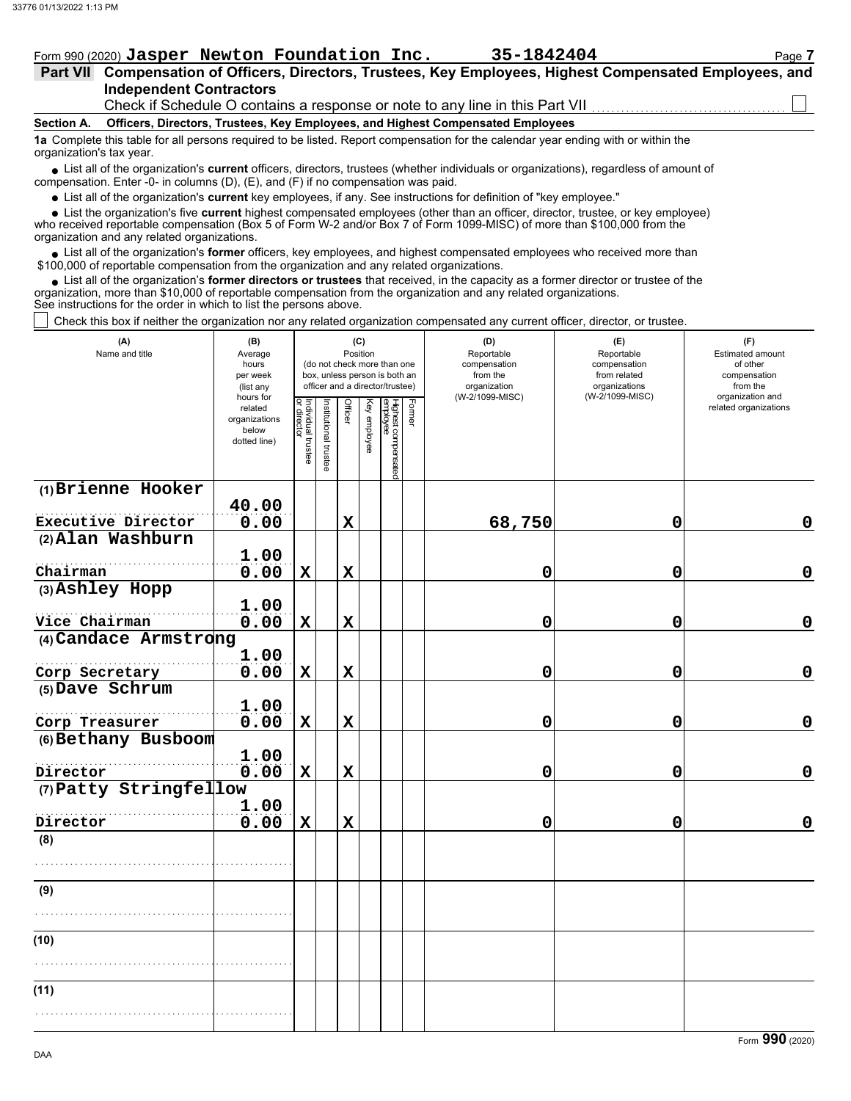# Form 990 (2020) Jasper Newton Foundation Inc. 35-1842404 Page 7

| 35-1842404 |  |  |  |  |  |  |  |
|------------|--|--|--|--|--|--|--|
|------------|--|--|--|--|--|--|--|

| Part VII Compensation of Officers, Directors, Trustees, Key Employees, Highest Compensated Employees, and |  |  |
|-----------------------------------------------------------------------------------------------------------|--|--|
| <b>Independent Contractors</b>                                                                            |  |  |
|                                                                                                           |  |  |

Check if Schedule O contains a response or note to any line in this Part VII

#### **Section A. Officers, Directors, Trustees, Key Employees, and Highest Compensated Employees**

**1a** Complete this table for all persons required to be listed. Report compensation for the calendar year ending with or within the organization's tax year.

■ List all of the organization's **current** officers, directors, trustees (whether individuals or organizations), regardless of amount of compensation. Enter -0- in columns (D), (E), and (F) if no compensation was paid.

List all of the organization's **current** key employees, if any. See instructions for definition of "key employee."

■ List all of the organization's **current** key employees, if any. See instructions for definition of "key employee."<br>■ List the organization's five **current** highest compensated employees (other than an officer, director,

who received reportable compensation (Box 5 of Form W-2 and/or Box 7 of Form 1099-MISC) of more than \$100,000 from the organization and any related organizations.

• List all of the organization's **former** officers, key employees, and highest compensated employees who received more than<br>00,000 of reportable compensation from the organization and any related erganizations. \$100,000 of reportable compensation from the organization and any related organizations.

• List all of the organization's **former directors or trustees** that received, in the capacity as a former director or trustee of the anization more than \$10,000 of reportable compensation from the organization and any rel organization, more than \$10,000 of reportable compensation from the organization and any related organizations. See instructions for the order in which to list the persons above.

Check this box if neither the organization nor any related organization compensated any current officer, director, or trustee.

| (A)<br>Name and title  | (B)<br>Average<br>hours<br>per week<br>(list any               |                                   |                       | (C)<br>Position<br>(do not check more than one<br>box, unless person is both an<br>officer and a director/trustee) |              | (D)<br>Reportable<br>compensation<br>from the<br>organization<br>(W-2/1099-MISC) | (E)<br>Reportable<br>compensation<br>from related<br>organizations<br>(W-2/1099-MISC) | (F)<br>Estimated amount<br>of other<br>compensation<br>from the<br>organization and |   |                       |
|------------------------|----------------------------------------------------------------|-----------------------------------|-----------------------|--------------------------------------------------------------------------------------------------------------------|--------------|----------------------------------------------------------------------------------|---------------------------------------------------------------------------------------|-------------------------------------------------------------------------------------|---|-----------------------|
|                        | hours for<br>related<br>organizations<br>below<br>dotted line) | Individual trustee<br>or director | Institutional trustee | <b>Officer</b>                                                                                                     | Key employee | Highest compensated<br>employee                                                  | Former                                                                                |                                                                                     |   | related organizations |
| (1) Brienne Hooker     | 40.00                                                          |                                   |                       |                                                                                                                    |              |                                                                                  |                                                                                       |                                                                                     |   |                       |
| Executive Director     | 0.00                                                           |                                   |                       | $\mathbf X$                                                                                                        |              |                                                                                  |                                                                                       | 68,750                                                                              | 0 | 0                     |
| (2) Alan Washburn      |                                                                |                                   |                       |                                                                                                                    |              |                                                                                  |                                                                                       |                                                                                     |   |                       |
|                        | 1.00                                                           |                                   |                       |                                                                                                                    |              |                                                                                  |                                                                                       |                                                                                     |   |                       |
| Chairman               | 0.00                                                           | $\mathbf X$                       |                       | $\mathbf x$                                                                                                        |              |                                                                                  |                                                                                       | 0                                                                                   | 0 | $\mathbf 0$           |
| (3) Ashley Hopp        |                                                                |                                   |                       |                                                                                                                    |              |                                                                                  |                                                                                       |                                                                                     |   |                       |
| Vice Chairman          | 1.00<br>0.00                                                   | $\mathbf X$                       |                       | $\mathbf x$                                                                                                        |              |                                                                                  |                                                                                       | 0                                                                                   | 0 | $\mathbf 0$           |
| (4) Candace Armstrong  |                                                                |                                   |                       |                                                                                                                    |              |                                                                                  |                                                                                       |                                                                                     |   |                       |
|                        | 1.00                                                           |                                   |                       |                                                                                                                    |              |                                                                                  |                                                                                       |                                                                                     |   |                       |
| Corp Secretary         | 0.00                                                           | $\mathbf X$                       |                       | $\mathbf x$                                                                                                        |              |                                                                                  |                                                                                       | $\mathbf 0$                                                                         | 0 | $\mathbf 0$           |
| (5) Dave Schrum        |                                                                |                                   |                       |                                                                                                                    |              |                                                                                  |                                                                                       |                                                                                     |   |                       |
|                        | 1.00                                                           |                                   |                       |                                                                                                                    |              |                                                                                  |                                                                                       |                                                                                     |   |                       |
| Corp Treasurer         | 0.00                                                           | $\mathbf X$                       |                       | $\mathbf x$                                                                                                        |              |                                                                                  |                                                                                       | 0                                                                                   | 0 | $\mathbf 0$           |
| (6) Bethany Busboom    | 1.00                                                           |                                   |                       |                                                                                                                    |              |                                                                                  |                                                                                       |                                                                                     |   |                       |
| Director               | 0.00                                                           | $\mathbf x$                       |                       | $\mathbf x$                                                                                                        |              |                                                                                  |                                                                                       | 0                                                                                   | 0 | $\mathbf 0$           |
| (7) Patty Stringfellow |                                                                |                                   |                       |                                                                                                                    |              |                                                                                  |                                                                                       |                                                                                     |   |                       |
|                        | 1.00                                                           |                                   |                       |                                                                                                                    |              |                                                                                  |                                                                                       |                                                                                     |   |                       |
| Director               | 0.00                                                           | $\mathbf x$                       |                       | $\mathbf x$                                                                                                        |              |                                                                                  |                                                                                       | $\mathbf 0$                                                                         | 0 | 0                     |
| (8)                    |                                                                |                                   |                       |                                                                                                                    |              |                                                                                  |                                                                                       |                                                                                     |   |                       |
|                        |                                                                |                                   |                       |                                                                                                                    |              |                                                                                  |                                                                                       |                                                                                     |   |                       |
| (9)                    |                                                                |                                   |                       |                                                                                                                    |              |                                                                                  |                                                                                       |                                                                                     |   |                       |
|                        |                                                                |                                   |                       |                                                                                                                    |              |                                                                                  |                                                                                       |                                                                                     |   |                       |
| (10)                   |                                                                |                                   |                       |                                                                                                                    |              |                                                                                  |                                                                                       |                                                                                     |   |                       |
|                        |                                                                |                                   |                       |                                                                                                                    |              |                                                                                  |                                                                                       |                                                                                     |   |                       |
|                        |                                                                |                                   |                       |                                                                                                                    |              |                                                                                  |                                                                                       |                                                                                     |   |                       |
| (11)                   |                                                                |                                   |                       |                                                                                                                    |              |                                                                                  |                                                                                       |                                                                                     |   |                       |
|                        |                                                                |                                   |                       |                                                                                                                    |              |                                                                                  |                                                                                       |                                                                                     |   |                       |
|                        |                                                                |                                   |                       |                                                                                                                    |              |                                                                                  |                                                                                       |                                                                                     |   |                       |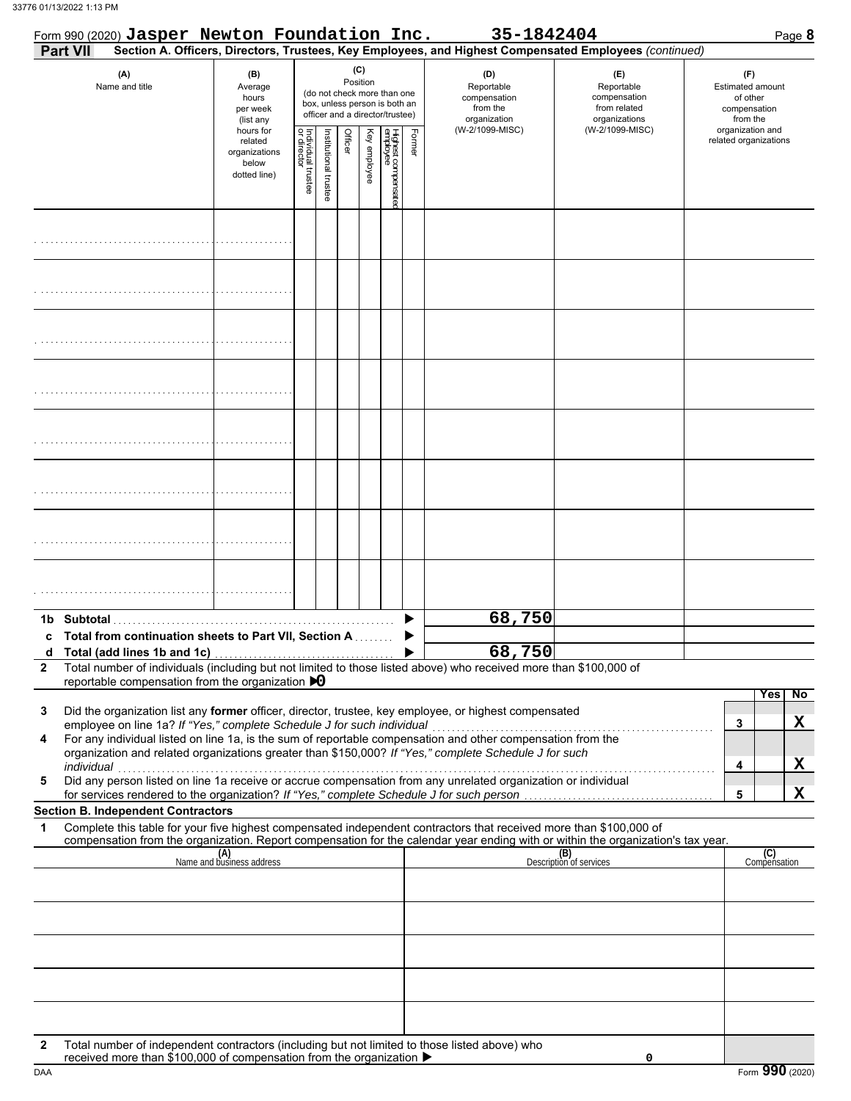|                 | Form 990 (2020) Jasper Newton Foundation Inc.                                                                                                                                                                                                                                                                                                                                                           |                                                                |                                   |                       |         |                 |                                                                                                 |        | 35-1842404                                                                                             |                                                                    | Page 8                                                          |
|-----------------|---------------------------------------------------------------------------------------------------------------------------------------------------------------------------------------------------------------------------------------------------------------------------------------------------------------------------------------------------------------------------------------------------------|----------------------------------------------------------------|-----------------------------------|-----------------------|---------|-----------------|-------------------------------------------------------------------------------------------------|--------|--------------------------------------------------------------------------------------------------------|--------------------------------------------------------------------|-----------------------------------------------------------------|
| <b>Part VII</b> |                                                                                                                                                                                                                                                                                                                                                                                                         |                                                                |                                   |                       |         |                 |                                                                                                 |        | Section A. Officers, Directors, Trustees, Key Employees, and Highest Compensated Employees (continued) |                                                                    |                                                                 |
|                 | (A)<br>Name and title                                                                                                                                                                                                                                                                                                                                                                                   | (B)<br>Average<br>hours<br>per week<br>(list any               |                                   |                       |         | (C)<br>Position | (do not check more than one<br>box, unless person is both an<br>officer and a director/trustee) |        | (D)<br>Reportable<br>compensation<br>from the<br>organization                                          | (E)<br>Reportable<br>compensation<br>from related<br>organizations | (F)<br>Estimated amount<br>of other<br>compensation<br>from the |
|                 |                                                                                                                                                                                                                                                                                                                                                                                                         | hours for<br>related<br>organizations<br>below<br>dotted line) | Individual trustee<br>or director | Institutional trustee | Officer | Key employee    | Highest compensatec<br>employee                                                                 | Former | (W-2/1099-MISC)                                                                                        | (W-2/1099-MISC)                                                    | organization and<br>related organizations                       |
|                 |                                                                                                                                                                                                                                                                                                                                                                                                         |                                                                |                                   |                       |         |                 |                                                                                                 |        |                                                                                                        |                                                                    |                                                                 |
|                 |                                                                                                                                                                                                                                                                                                                                                                                                         |                                                                |                                   |                       |         |                 |                                                                                                 |        |                                                                                                        |                                                                    |                                                                 |
|                 |                                                                                                                                                                                                                                                                                                                                                                                                         |                                                                |                                   |                       |         |                 |                                                                                                 |        |                                                                                                        |                                                                    |                                                                 |
|                 |                                                                                                                                                                                                                                                                                                                                                                                                         |                                                                |                                   |                       |         |                 |                                                                                                 |        |                                                                                                        |                                                                    |                                                                 |
|                 |                                                                                                                                                                                                                                                                                                                                                                                                         |                                                                |                                   |                       |         |                 |                                                                                                 |        |                                                                                                        |                                                                    |                                                                 |
|                 |                                                                                                                                                                                                                                                                                                                                                                                                         |                                                                |                                   |                       |         |                 |                                                                                                 |        |                                                                                                        |                                                                    |                                                                 |
|                 |                                                                                                                                                                                                                                                                                                                                                                                                         |                                                                |                                   |                       |         |                 |                                                                                                 |        |                                                                                                        |                                                                    |                                                                 |
|                 |                                                                                                                                                                                                                                                                                                                                                                                                         |                                                                |                                   |                       |         |                 |                                                                                                 |        |                                                                                                        |                                                                    |                                                                 |
|                 | 1b Subtotal                                                                                                                                                                                                                                                                                                                                                                                             |                                                                |                                   |                       |         |                 |                                                                                                 |        | 68,750                                                                                                 |                                                                    |                                                                 |
|                 | <b>Total from continuation sheets to Part VII, Section A. Conservation</b>                                                                                                                                                                                                                                                                                                                              |                                                                |                                   |                       |         |                 |                                                                                                 |        | 68,750                                                                                                 |                                                                    |                                                                 |
| $\mathbf{2}$    | Total number of individuals (including but not limited to those listed above) who received more than \$100,000 of<br>reportable compensation from the organization $\bigtriangledown 0$                                                                                                                                                                                                                 |                                                                |                                   |                       |         |                 |                                                                                                 |        |                                                                                                        |                                                                    |                                                                 |
| 3<br>4          | Did the organization list any former officer, director, trustee, key employee, or highest compensated<br>employee on line 1a? If "Yes," complete Schedule J for such individual<br>For any individual listed on line 1a, is the sum of reportable compensation and other compensation from the<br>organization and related organizations greater than \$150,000? If "Yes," complete Schedule J for such |                                                                |                                   |                       |         |                 |                                                                                                 |        |                                                                                                        |                                                                    | No<br>Yes<br>X<br>3                                             |
| 5               | individual<br>marvidual<br>Did any person listed on line 1a receive or accrue compensation from any unrelated organization or individual<br>for services rendered to the organization? If "Yes," complete Schedule J for such person                                                                                                                                                                    |                                                                |                                   |                       |         |                 |                                                                                                 |        |                                                                                                        |                                                                    | X<br>4<br>X<br>5                                                |
| 1               | <b>Section B. Independent Contractors</b><br>Complete this table for your five highest compensated independent contractors that received more than \$100,000 of                                                                                                                                                                                                                                         |                                                                |                                   |                       |         |                 |                                                                                                 |        |                                                                                                        |                                                                    |                                                                 |
|                 | compensation from the organization. Report compensation for the calendar year ending with or within the organization's tax year.                                                                                                                                                                                                                                                                        |                                                                |                                   |                       |         |                 |                                                                                                 |        |                                                                                                        |                                                                    |                                                                 |
|                 |                                                                                                                                                                                                                                                                                                                                                                                                         | (A)<br>Name and business address                               |                                   |                       |         |                 |                                                                                                 |        |                                                                                                        | (B)<br>Description of services                                     | (C)<br>Compensation                                             |
|                 |                                                                                                                                                                                                                                                                                                                                                                                                         |                                                                |                                   |                       |         |                 |                                                                                                 |        |                                                                                                        |                                                                    |                                                                 |
|                 |                                                                                                                                                                                                                                                                                                                                                                                                         |                                                                |                                   |                       |         |                 |                                                                                                 |        |                                                                                                        |                                                                    |                                                                 |
|                 |                                                                                                                                                                                                                                                                                                                                                                                                         |                                                                |                                   |                       |         |                 |                                                                                                 |        |                                                                                                        |                                                                    |                                                                 |
| 2               | Total number of independent contractors (including but not limited to those listed above) who<br>received more than \$100,000 of compensation from the organization ▶                                                                                                                                                                                                                                   |                                                                |                                   |                       |         |                 |                                                                                                 |        |                                                                                                        | 0                                                                  |                                                                 |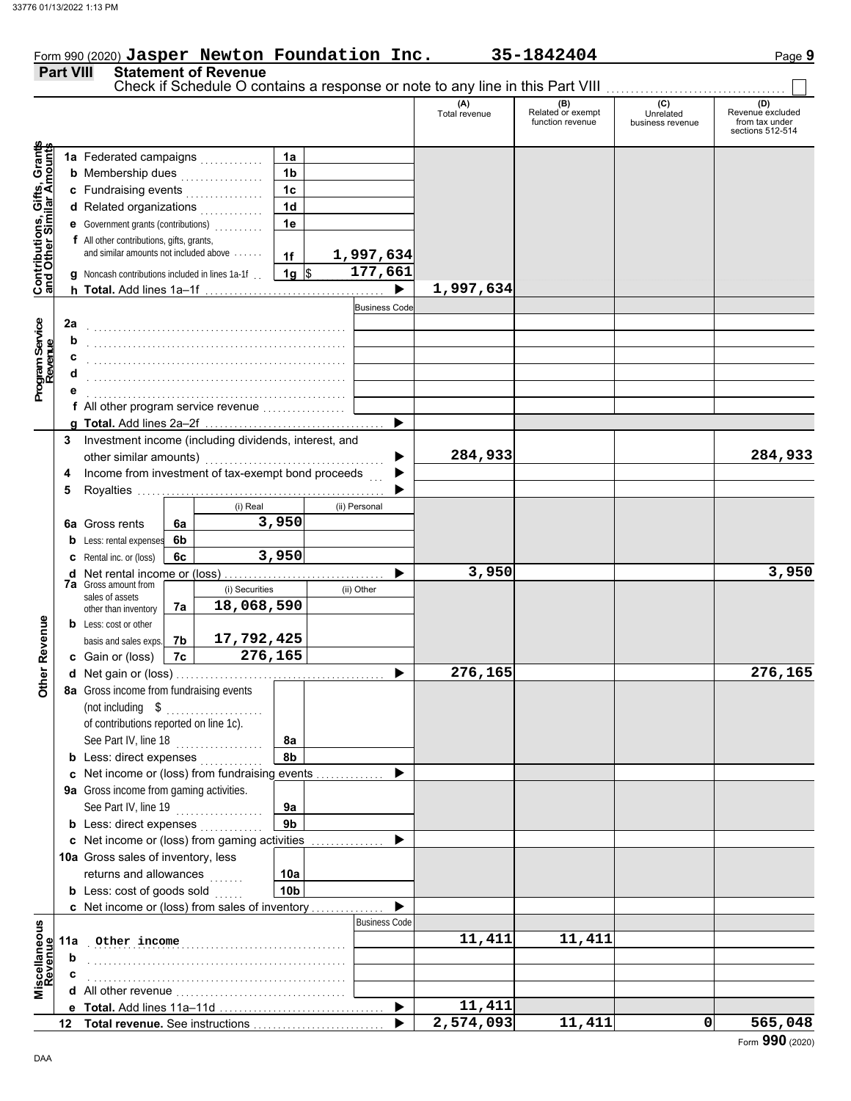|                                                                  |     |                                                                                     |    |                |                 |   |                      | Check if Schedule O contains a response or note to any line in this Part VIII |                                              |                                      |                                                               |
|------------------------------------------------------------------|-----|-------------------------------------------------------------------------------------|----|----------------|-----------------|---|----------------------|-------------------------------------------------------------------------------|----------------------------------------------|--------------------------------------|---------------------------------------------------------------|
|                                                                  |     |                                                                                     |    |                |                 |   |                      | (A)<br>Total revenue                                                          | (B)<br>Related or exempt<br>function revenue | (C)<br>Unrelated<br>business revenue | (D)<br>Revenue excluded<br>from tax under<br>sections 512-514 |
|                                                                  |     | 1a Federated campaigns                                                              |    |                | 1a              |   |                      |                                                                               |                                              |                                      |                                                               |
|                                                                  |     | <b>b</b> Membership dues <i>manufacturers</i> of <i>Membership</i> dues             |    |                | 1 <sub>b</sub>  |   |                      |                                                                               |                                              |                                      |                                                               |
|                                                                  |     |                                                                                     |    |                | 1 <sub>c</sub>  |   |                      |                                                                               |                                              |                                      |                                                               |
|                                                                  |     | c Fundraising events                                                                |    |                | 1 <sub>d</sub>  |   |                      |                                                                               |                                              |                                      |                                                               |
|                                                                  |     | d Related organizations                                                             |    |                |                 |   |                      |                                                                               |                                              |                                      |                                                               |
|                                                                  |     | e Government grants (contributions)                                                 |    |                | 1e              |   |                      |                                                                               |                                              |                                      |                                                               |
|                                                                  |     | f All other contributions, gifts, grants,<br>and similar amounts not included above |    |                |                 |   |                      |                                                                               |                                              |                                      |                                                               |
|                                                                  |     |                                                                                     |    |                | 1f              |   | 1,997,634            |                                                                               |                                              |                                      |                                                               |
| <b>Contributions, Gifts, Grants</b><br>and Other Similar Amounts |     | g Noncash contributions included in lines 1a-1f.                                    |    |                | $1g$ \$         |   | 177,661              |                                                                               |                                              |                                      |                                                               |
|                                                                  |     |                                                                                     |    |                |                 |   | ▶                    | 1,997,634                                                                     |                                              |                                      |                                                               |
|                                                                  |     |                                                                                     |    |                |                 |   | <b>Business Code</b> |                                                                               |                                              |                                      |                                                               |
|                                                                  | 2a  |                                                                                     |    |                |                 |   |                      |                                                                               |                                              |                                      |                                                               |
|                                                                  | b   |                                                                                     |    |                |                 |   |                      |                                                                               |                                              |                                      |                                                               |
| Program Service<br>Revenue                                       |     |                                                                                     |    |                |                 |   |                      |                                                                               |                                              |                                      |                                                               |
|                                                                  | d   |                                                                                     |    |                |                 |   |                      |                                                                               |                                              |                                      |                                                               |
|                                                                  |     |                                                                                     |    |                |                 |   |                      |                                                                               |                                              |                                      |                                                               |
|                                                                  |     | f All other program service revenue                                                 |    |                |                 |   |                      |                                                                               |                                              |                                      |                                                               |
|                                                                  |     |                                                                                     |    |                |                 |   | ▶                    |                                                                               |                                              |                                      |                                                               |
|                                                                  | 3   | Investment income (including dividends, interest, and                               |    |                |                 |   |                      |                                                                               |                                              |                                      |                                                               |
|                                                                  |     | other similar amounts)                                                              |    |                |                 |   |                      | 284,933                                                                       |                                              |                                      | 284,933                                                       |
|                                                                  | 4   | Income from investment of tax-exempt bond proceeds                                  |    |                |                 |   |                      |                                                                               |                                              |                                      |                                                               |
|                                                                  | 5   |                                                                                     |    |                |                 |   |                      |                                                                               |                                              |                                      |                                                               |
|                                                                  |     |                                                                                     |    | (i) Real       |                 |   | (ii) Personal        |                                                                               |                                              |                                      |                                                               |
|                                                                  |     | <b>6a</b> Gross rents                                                               | 6a |                | 3,950           |   |                      |                                                                               |                                              |                                      |                                                               |
|                                                                  |     | <b>b</b> Less: rental expenses                                                      | 6b |                |                 |   |                      |                                                                               |                                              |                                      |                                                               |
|                                                                  |     | <b>c</b> Rental inc. or (loss)                                                      | 6c |                | 3,950           |   |                      |                                                                               |                                              |                                      |                                                               |
|                                                                  |     |                                                                                     |    |                |                 |   |                      | 3,950                                                                         |                                              |                                      | 3,950                                                         |
|                                                                  |     | <b>7a</b> Gross amount from                                                         |    | (i) Securities |                 |   | (ii) Other           |                                                                               |                                              |                                      |                                                               |
|                                                                  |     | sales of assets                                                                     | 7а | 18,068,590     |                 |   |                      |                                                                               |                                              |                                      |                                                               |
|                                                                  |     | other than inventory<br><b>b</b> Less: cost or other                                |    |                |                 |   |                      |                                                                               |                                              |                                      |                                                               |
|                                                                  |     | basis and sales exps.                                                               | 7b | 17,792,425     |                 |   |                      |                                                                               |                                              |                                      |                                                               |
| Other Revenue                                                    |     | c Gain or (loss)                                                                    | 7c | 276,165        |                 |   |                      |                                                                               |                                              |                                      |                                                               |
|                                                                  |     |                                                                                     |    |                |                 |   |                      | 276,165                                                                       |                                              |                                      | 276,165                                                       |
|                                                                  |     |                                                                                     |    |                |                 |   |                      |                                                                               |                                              |                                      |                                                               |
|                                                                  |     | 8a Gross income from fundraising events                                             |    |                |                 |   |                      |                                                                               |                                              |                                      |                                                               |
|                                                                  |     | (not including \$                                                                   |    |                |                 |   |                      |                                                                               |                                              |                                      |                                                               |
|                                                                  |     | of contributions reported on line 1c).                                              |    |                |                 |   |                      |                                                                               |                                              |                                      |                                                               |
|                                                                  |     | See Part IV, line 18                                                                |    |                | 8a              |   |                      |                                                                               |                                              |                                      |                                                               |
|                                                                  |     | <b>b</b> Less: direct expenses                                                      |    |                | 8b              |   |                      |                                                                               |                                              |                                      |                                                               |
|                                                                  |     | c Net income or (loss) from fundraising events                                      |    |                |                 |   |                      |                                                                               |                                              |                                      |                                                               |
|                                                                  |     | 9a Gross income from gaming activities.                                             |    |                |                 |   |                      |                                                                               |                                              |                                      |                                                               |
|                                                                  |     | See Part IV, line 19                                                                |    |                | 9a              |   |                      |                                                                               |                                              |                                      |                                                               |
|                                                                  |     | <b>b</b> Less: direct expenses                                                      |    |                | 9 <sub>b</sub>  |   |                      |                                                                               |                                              |                                      |                                                               |
|                                                                  |     | c Net income or (loss) from gaming activities                                       |    |                |                 | . |                      |                                                                               |                                              |                                      |                                                               |
|                                                                  |     | 10a Gross sales of inventory, less                                                  |    |                |                 |   |                      |                                                                               |                                              |                                      |                                                               |
|                                                                  |     | returns and allowances                                                              |    | .              | 10a             |   |                      |                                                                               |                                              |                                      |                                                               |
|                                                                  |     | <b>b</b> Less: cost of goods sold                                                   |    |                | 10 <sub>b</sub> |   |                      |                                                                               |                                              |                                      |                                                               |
|                                                                  |     | c Net income or (loss) from sales of inventory                                      |    |                |                 |   |                      |                                                                               |                                              |                                      |                                                               |
|                                                                  |     |                                                                                     |    |                |                 |   | <b>Business Code</b> |                                                                               |                                              |                                      |                                                               |
| Miscellaneous<br>Revenue                                         | 11a | Other income                                                                        |    |                |                 |   |                      | 11,411                                                                        | 11,411                                       |                                      |                                                               |
|                                                                  | b   |                                                                                     |    |                |                 |   |                      |                                                                               |                                              |                                      |                                                               |
|                                                                  |     |                                                                                     |    |                |                 |   |                      |                                                                               |                                              |                                      |                                                               |
|                                                                  |     |                                                                                     |    |                |                 |   |                      |                                                                               |                                              |                                      |                                                               |
|                                                                  |     |                                                                                     |    |                |                 |   | ▶                    | 11,411                                                                        |                                              |                                      |                                                               |
|                                                                  |     |                                                                                     |    |                |                 |   |                      | 2,574,093                                                                     | 11,411                                       | 0                                    | 565,048                                                       |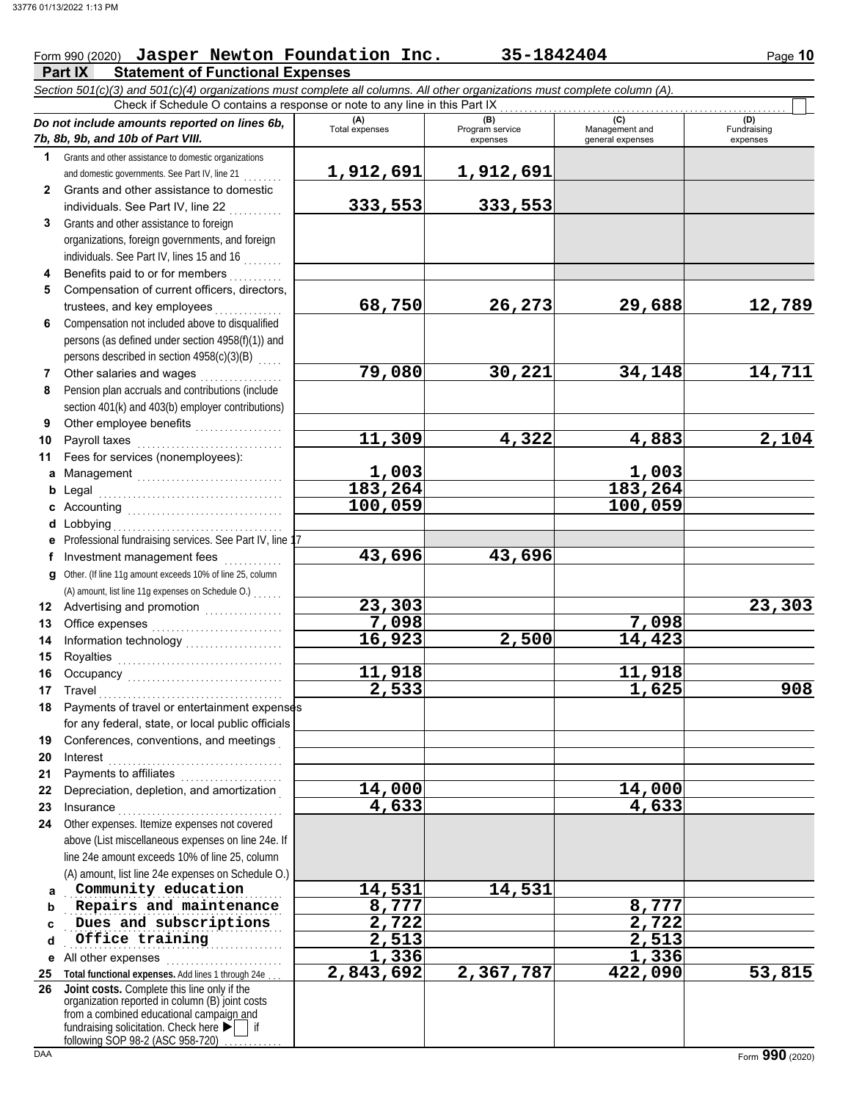## Form 990 (2020) Jasper Newton Foundation Inc. 35-1842404 Page 10

**Part IX Statement of Functional Expenses** *Section 501(c)(3) and 501(c)(4) organizations must complete all columns. All other organizations must complete column (A).* Check if Schedule O contains a response or note to any line in this Part IX

|              | on our plans our plans our plans and the material plans of the common research or gamzations material complete o<br>Check if Schedule O contains a response or note to any line in this Part IX |                         |                             |                                    |                         |
|--------------|-------------------------------------------------------------------------------------------------------------------------------------------------------------------------------------------------|-------------------------|-----------------------------|------------------------------------|-------------------------|
|              | Do not include amounts reported on lines 6b,                                                                                                                                                    | (A)                     | (B)                         | (C)                                | (D)                     |
|              | 7b, 8b, 9b, and 10b of Part VIII.                                                                                                                                                               | Total expenses          | Program service<br>expenses | Management and<br>general expenses | Fundraising<br>expenses |
| $\mathbf 1$  | Grants and other assistance to domestic organizations                                                                                                                                           |                         |                             |                                    |                         |
|              | and domestic governments. See Part IV, line 21                                                                                                                                                  | 1,912,691               | 1,912,691                   |                                    |                         |
| $\mathbf{2}$ | Grants and other assistance to domestic                                                                                                                                                         |                         |                             |                                    |                         |
|              | individuals. See Part IV, line 22                                                                                                                                                               | 333,553                 | 333,553                     |                                    |                         |
| 3            | Grants and other assistance to foreign                                                                                                                                                          |                         |                             |                                    |                         |
|              | organizations, foreign governments, and foreign                                                                                                                                                 |                         |                             |                                    |                         |
|              | individuals. See Part IV, lines 15 and 16                                                                                                                                                       |                         |                             |                                    |                         |
| 4            | Benefits paid to or for members                                                                                                                                                                 |                         |                             |                                    |                         |
| 5            | Compensation of current officers, directors,                                                                                                                                                    |                         |                             |                                    |                         |
|              | trustees, and key employees                                                                                                                                                                     | 68,750                  | 26,273                      | 29,688                             | 12,789                  |
| 6            | Compensation not included above to disqualified                                                                                                                                                 |                         |                             |                                    |                         |
|              | persons (as defined under section 4958(f)(1)) and                                                                                                                                               |                         |                             |                                    |                         |
|              | persons described in section 4958(c)(3)(B)                                                                                                                                                      |                         |                             |                                    |                         |
| 7            | Other salaries and wages                                                                                                                                                                        | 79,080                  | 30,221                      | 34,148                             | 14,711                  |
| 8            | Pension plan accruals and contributions (include                                                                                                                                                |                         |                             |                                    |                         |
|              | section 401(k) and 403(b) employer contributions)                                                                                                                                               |                         |                             |                                    |                         |
| 9            |                                                                                                                                                                                                 |                         |                             |                                    |                         |
| 10           | Payroll taxes                                                                                                                                                                                   | 11,309                  | 4,322                       | 4,883                              | $\overline{2,104}$      |
| 11           | Fees for services (nonemployees):                                                                                                                                                               |                         |                             |                                    |                         |
|              | a Management                                                                                                                                                                                    |                         |                             |                                    |                         |
| b            |                                                                                                                                                                                                 | $\frac{1,003}{183,264}$ |                             | $\frac{1,003}{183,264}$            |                         |
|              |                                                                                                                                                                                                 | 100,059                 |                             | 100,059                            |                         |
|              | d Lobbying                                                                                                                                                                                      |                         |                             |                                    |                         |
|              | e Professional fundraising services. See Part IV, line 1                                                                                                                                        |                         |                             |                                    |                         |
| f            | Investment management fees                                                                                                                                                                      | 43,696                  | 43,696                      |                                    |                         |
| g            | Other. (If line 11g amount exceeds 10% of line 25, column                                                                                                                                       |                         |                             |                                    |                         |
|              | (A) amount, list line 11g expenses on Schedule O.)                                                                                                                                              |                         |                             |                                    |                         |
| 12           |                                                                                                                                                                                                 | 23,303                  |                             |                                    | 23,303                  |
| 13           |                                                                                                                                                                                                 | 7,098                   |                             | 7,098                              |                         |
| 14           |                                                                                                                                                                                                 | 16,923                  | 2,500                       | 14,423                             |                         |
| 15           |                                                                                                                                                                                                 |                         |                             |                                    |                         |
| 16           |                                                                                                                                                                                                 | 11,918                  |                             | 11,918                             |                         |
| 17           | Travel                                                                                                                                                                                          | 2,533                   |                             | 1,625                              | 908                     |
| 18           | Payments of travel or entertainment expenses                                                                                                                                                    |                         |                             |                                    |                         |
|              | for any federal, state, or local public officials                                                                                                                                               |                         |                             |                                    |                         |
| 19           | Conferences, conventions, and meetings                                                                                                                                                          |                         |                             |                                    |                         |
| 20           | Interest                                                                                                                                                                                        |                         |                             |                                    |                         |
| 21           | Payments to affiliates                                                                                                                                                                          |                         |                             |                                    |                         |
| 22           | Depreciation, depletion, and amortization                                                                                                                                                       | 14,000                  |                             | 14,000                             |                         |
| 23           | Insurance                                                                                                                                                                                       | 4,633                   |                             | 4,633                              |                         |
| 24           | Other expenses. Itemize expenses not covered                                                                                                                                                    |                         |                             |                                    |                         |
|              | above (List miscellaneous expenses on line 24e. If                                                                                                                                              |                         |                             |                                    |                         |
|              | line 24e amount exceeds 10% of line 25, column                                                                                                                                                  |                         |                             |                                    |                         |
|              | (A) amount, list line 24e expenses on Schedule O.)                                                                                                                                              |                         |                             |                                    |                         |
| a            | Community education                                                                                                                                                                             | 14,531                  | 14,531                      |                                    |                         |
| b            | Repairs and maintenance<br>Dues and subscriptions                                                                                                                                               | 8,777                   |                             | 8,777                              |                         |
| C            | Office training                                                                                                                                                                                 | 2,722<br>2,513          |                             | 2,722<br>2,513                     |                         |
| d            |                                                                                                                                                                                                 | 1,336                   |                             |                                    |                         |
| е            | All other expenses                                                                                                                                                                              | 2,843,692               | 2,367,787                   | 1,336<br>422,090                   | 53,815                  |
| 25<br>26     | Total functional expenses. Add lines 1 through 24e<br>Joint costs. Complete this line only if the                                                                                               |                         |                             |                                    |                         |
|              | organization reported in column (B) joint costs                                                                                                                                                 |                         |                             |                                    |                         |
|              | from a combined educational campaign and                                                                                                                                                        |                         |                             |                                    |                         |
|              | fundraising solicitation. Check here ▶<br>following SOP 98-2 (ASC 958-720)                                                                                                                      |                         |                             |                                    |                         |
| DAA          |                                                                                                                                                                                                 |                         |                             |                                    | Form 990 (2020)         |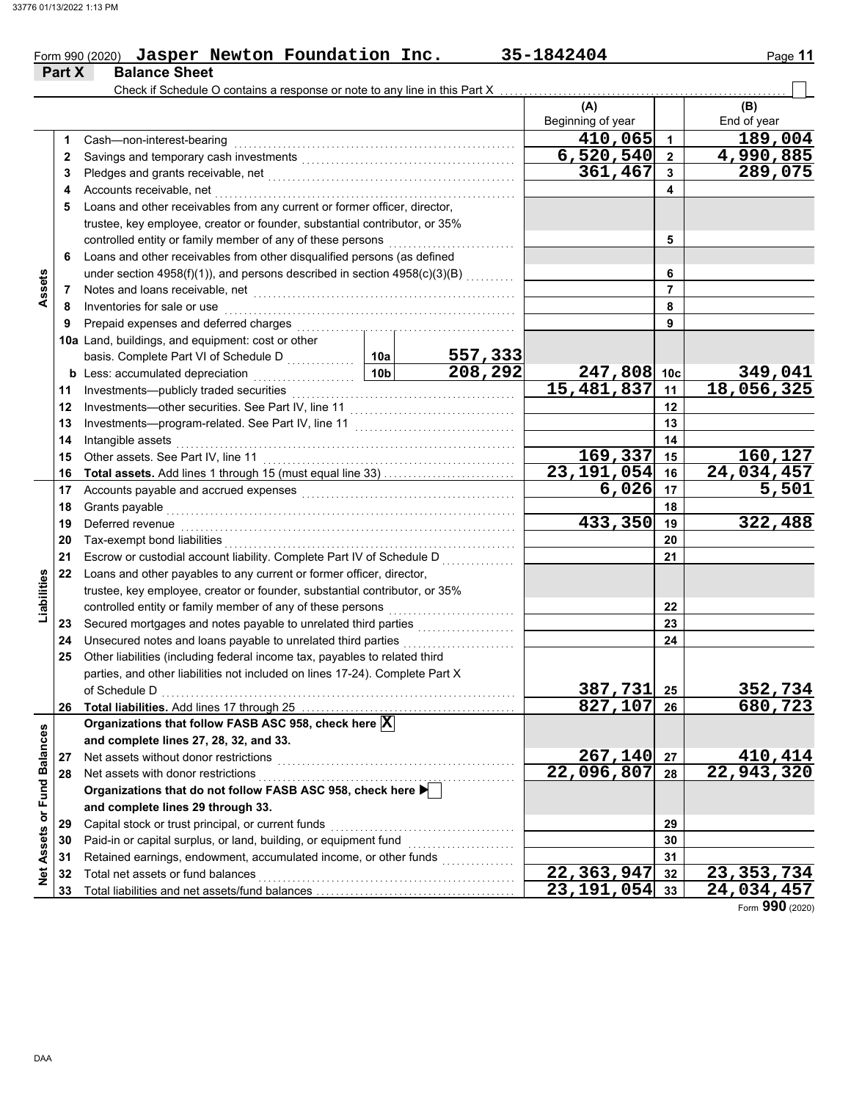**Part X Balance Sheet**

#### Form 990 (2020) Jasper Newton Foundation Inc. 35-1842404 Page 11 **Jasper Newton Foundation Inc. 35-1842404**

|                             |    | Check if Schedule O contains a response or note to any line in this Part X                                                                                                                                                     |                                   |                           |                      |                           |                    |
|-----------------------------|----|--------------------------------------------------------------------------------------------------------------------------------------------------------------------------------------------------------------------------------|-----------------------------------|---------------------------|----------------------|---------------------------|--------------------|
|                             |    |                                                                                                                                                                                                                                |                                   |                           | (A)                  |                           | (B)                |
|                             |    |                                                                                                                                                                                                                                |                                   |                           | Beginning of year    |                           | End of year        |
|                             | 1. | Cash-non-interest-bearing                                                                                                                                                                                                      |                                   |                           | 410,065              | 1                         | 189,004            |
|                             | 2  |                                                                                                                                                                                                                                |                                   |                           | 6,520,540            | $\mathbf{2}$              | 4,990,885          |
|                             | 3  |                                                                                                                                                                                                                                |                                   |                           | 361,467              | 3                         | 289,075            |
|                             | 4  | Accounts receivable, net                                                                                                                                                                                                       |                                   |                           |                      | 4                         |                    |
|                             | 5  | Loans and other receivables from any current or former officer, director,                                                                                                                                                      |                                   |                           |                      |                           |                    |
|                             |    | trustee, key employee, creator or founder, substantial contributor, or 35%                                                                                                                                                     |                                   |                           |                      |                           |                    |
|                             |    | controlled entity or family member of any of these persons                                                                                                                                                                     |                                   | 5                         |                      |                           |                    |
|                             | 6  | Loans and other receivables from other disqualified persons (as defined                                                                                                                                                        |                                   |                           |                      |                           |                    |
|                             |    | under section $4958(f)(1)$ , and persons described in section $4958(c)(3)(B)$                                                                                                                                                  |                                   |                           |                      | 6                         |                    |
| Assets                      | 7  | Notes and loans receivable, net                                                                                                                                                                                                |                                   |                           |                      | $\overline{7}$            |                    |
|                             | 8  | Inventories for sale or use                                                                                                                                                                                                    |                                   |                           |                      | 8                         |                    |
|                             | 9  | Prepaid expenses and deferred charges                                                                                                                                                                                          |                                   |                           |                      | 9                         |                    |
|                             |    | 10a Land, buildings, and equipment: cost or other                                                                                                                                                                              |                                   |                           |                      |                           |                    |
|                             |    | basis. Complete Part VI of Schedule D                                                                                                                                                                                          | 10a                               | $\frac{557,333}{208,292}$ |                      |                           |                    |
|                             |    | <b>b</b> Less: accumulated depreciation                                                                                                                                                                                        | 10 <sub>b</sub>                   |                           | 247,808 10c          |                           | 349,041            |
|                             | 11 | Investments-publicly traded securities                                                                                                                                                                                         |                                   |                           | 15,481,837           | 11                        | 18,056,325         |
|                             | 12 | Investments-other securities. See Part IV, line 11                                                                                                                                                                             |                                   |                           |                      | 12                        |                    |
|                             | 13 | Investments-program-related. See Part IV, line 11                                                                                                                                                                              |                                   |                           |                      | 13                        |                    |
|                             | 14 | Intangible assets                                                                                                                                                                                                              |                                   |                           |                      | 14                        |                    |
|                             | 15 | Other assets. See Part IV, line 11                                                                                                                                                                                             |                                   |                           | 169,337              | 15                        | 160,127            |
|                             | 16 | Total assets. Add lines 1 through 15 (must equal line 33)                                                                                                                                                                      |                                   |                           | 23, 191, 054         | 16                        | 24,034,457         |
|                             | 17 | Accounts payable and accrued expenses [[11] [11] Accounts payable and accrued expenses [[11] [11] Accounts are not accredit a contract and accrued a contract a contract a contract a contract a contract a contract a contrac |                                   |                           | 6,026                | 17                        | $\overline{5,501}$ |
|                             | 18 | Grants payable                                                                                                                                                                                                                 |                                   |                           |                      | 18                        |                    |
|                             | 19 | Deferred revenue                                                                                                                                                                                                               |                                   |                           | 433,350              | 19                        | 322,488            |
|                             | 20 | Tax-exempt bond liabilities                                                                                                                                                                                                    |                                   |                           |                      | 20                        |                    |
|                             | 21 | Escrow or custodial account liability. Complete Part IV of Schedule D                                                                                                                                                          |                                   |                           | 21                   |                           |                    |
|                             | 22 | Loans and other payables to any current or former officer, director,                                                                                                                                                           |                                   |                           |                      |                           |                    |
| Liabilities                 |    | trustee, key employee, creator or founder, substantial contributor, or 35%                                                                                                                                                     |                                   |                           |                      |                           |                    |
|                             |    | controlled entity or family member of any of these persons                                                                                                                                                                     |                                   |                           |                      | 22                        |                    |
|                             | 23 | Secured mortgages and notes payable to unrelated third parties                                                                                                                                                                 |                                   |                           |                      | 23                        |                    |
|                             | 24 | Unsecured notes and loans payable to unrelated third parties                                                                                                                                                                   |                                   |                           |                      | 24                        |                    |
|                             | 25 | Other liabilities (including federal income tax, payables to related third                                                                                                                                                     |                                   |                           |                      |                           |                    |
|                             |    | parties, and other liabilities not included on lines 17-24). Complete Part X                                                                                                                                                   |                                   |                           |                      |                           |                    |
|                             |    | of Schedule D                                                                                                                                                                                                                  |                                   |                           | 387,731 25           |                           | 352,734            |
|                             | 26 |                                                                                                                                                                                                                                |                                   |                           | $\overline{827,107}$ | 26                        | 680,723            |
|                             |    | Organizations that follow FASB ASC 958, check here X                                                                                                                                                                           |                                   |                           |                      |                           |                    |
|                             |    | and complete lines 27, 28, 32, and 33.                                                                                                                                                                                         |                                   |                           |                      |                           |                    |
|                             | 27 | Net assets without donor restrictions                                                                                                                                                                                          |                                   |                           | 267,140              | 27                        | 410,414            |
|                             | 28 | Net assets with donor restrictions                                                                                                                                                                                             |                                   | 22,096,807                | 28                   | $\overline{22,943}$ , 320 |                    |
|                             |    | Organizations that do not follow FASB ASC 958, check here                                                                                                                                                                      |                                   |                           |                      |                           |                    |
|                             |    | and complete lines 29 through 33.                                                                                                                                                                                              |                                   |                           |                      |                           |                    |
|                             | 29 | Capital stock or trust principal, or current funds                                                                                                                                                                             |                                   |                           |                      | 29                        |                    |
|                             | 30 | Paid-in or capital surplus, or land, building, or equipment fund                                                                                                                                                               |                                   |                           |                      | 30                        |                    |
| Net Assets or Fund Balances | 31 | Retained earnings, endowment, accumulated income, or other funds                                                                                                                                                               |                                   |                           | 22, 363, 947         | 31<br>32                  |                    |
|                             | 32 |                                                                                                                                                                                                                                | Total net assets or fund balances |                           |                      |                           | 23, 353, 734       |
|                             | 33 |                                                                                                                                                                                                                                |                                   |                           | 23, 191, 054         | 33                        | 24,034,457         |

Form **990** (2020)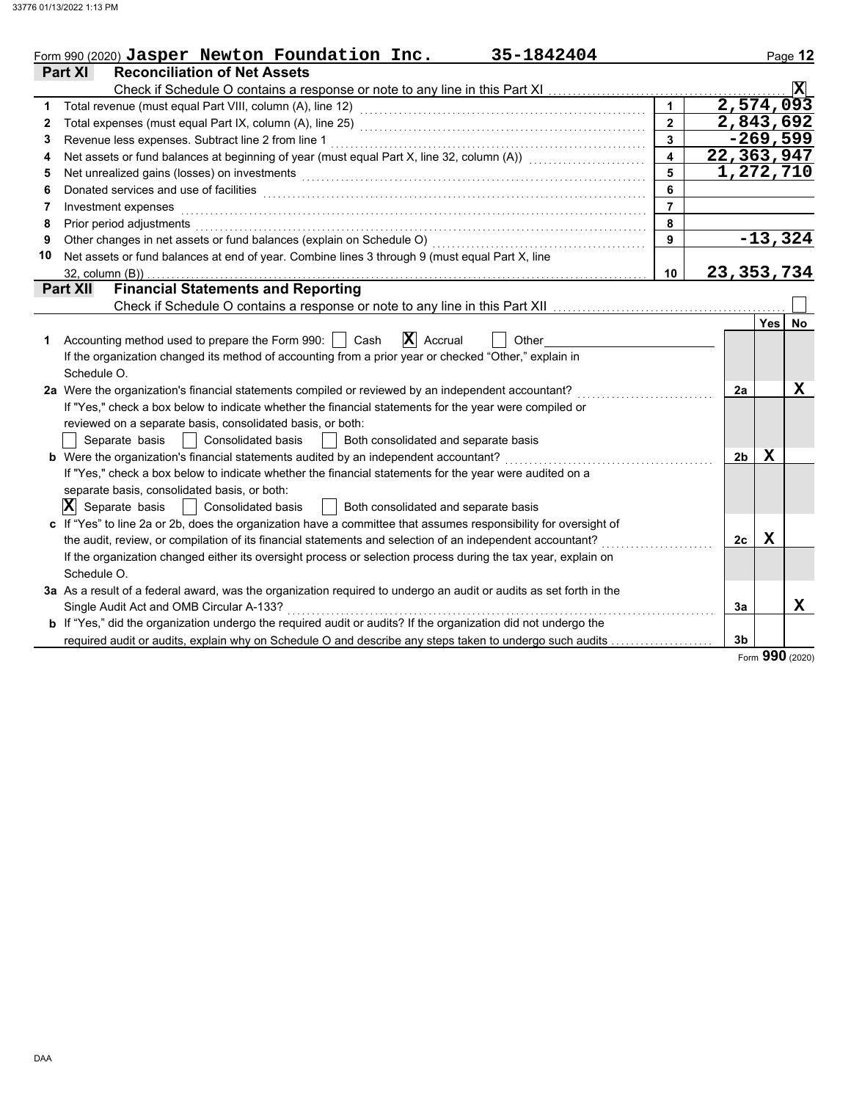|    | 35-1842404<br>Form 990 (2020) Jasper Newton Foundation Inc.                                                           |                         |                |             | Page 12                 |
|----|-----------------------------------------------------------------------------------------------------------------------|-------------------------|----------------|-------------|-------------------------|
|    | <b>Reconciliation of Net Assets</b><br><b>Part XI</b>                                                                 |                         |                |             |                         |
|    |                                                                                                                       |                         |                |             | $\overline{\mathbf{x}}$ |
| 1  |                                                                                                                       |                         | 2,574,093      |             |                         |
| 2  |                                                                                                                       | $\overline{2}$          | 2,843,692      |             |                         |
| 3  | Revenue less expenses. Subtract line 2 from line 1                                                                    | $\mathbf{3}$            |                |             | $-269,599$              |
| 4  | Net assets or fund balances at beginning of year (must equal Part X, line 32, column (A)) [[[[[[[[[[[[[[[[[[[         | $\overline{\mathbf{4}}$ | 22,363,947     |             |                         |
| 5  | Net unrealized gains (losses) on investments                                                                          | 5                       | 1,272,710      |             |                         |
| 6  | Donated services and use of facilities                                                                                | 6                       |                |             |                         |
| 7  | Investment expenses                                                                                                   | $\overline{7}$          |                |             |                         |
| 8  | Prior period adjustments                                                                                              | 8                       |                |             |                         |
| 9  | Other changes in net assets or fund balances (explain on Schedule O)                                                  | 9                       |                |             | $-13,324$               |
| 10 | Net assets or fund balances at end of year. Combine lines 3 through 9 (must equal Part X, line                        |                         |                |             |                         |
|    | 32, column (B))                                                                                                       | 10                      | 23, 353, 734   |             |                         |
|    | <b>Financial Statements and Reporting</b><br><b>Part XII</b>                                                          |                         |                |             |                         |
|    |                                                                                                                       |                         |                |             |                         |
|    |                                                                                                                       |                         |                | <b>Yes</b>  | <b>No</b>               |
| 1  | $ \mathbf{X} $ Accrual<br>Accounting method used to prepare the Form 990:     Cash<br>Other                           |                         |                |             |                         |
|    | If the organization changed its method of accounting from a prior year or checked "Other," explain in                 |                         |                |             |                         |
|    | Schedule O.                                                                                                           |                         |                |             |                         |
|    | 2a Were the organization's financial statements compiled or reviewed by an independent accountant?                    |                         | 2a             |             | X                       |
|    | If "Yes," check a box below to indicate whether the financial statements for the year were compiled or                |                         |                |             |                         |
|    | reviewed on a separate basis, consolidated basis, or both:                                                            |                         |                |             |                         |
|    | Separate basis<br>Consolidated basis<br>Both consolidated and separate basis                                          |                         |                |             |                         |
|    | <b>b</b> Were the organization's financial statements audited by an independent accountant?                           |                         | 2 <sub>b</sub> | $\mathbf x$ |                         |
|    | If "Yes," check a box below to indicate whether the financial statements for the year were audited on a               |                         |                |             |                         |
|    | separate basis, consolidated basis, or both:                                                                          |                         |                |             |                         |
|    | $ \mathbf{X} $ Separate basis<br>Consolidated basis<br>Both consolidated and separate basis                           |                         |                |             |                         |
|    | c If "Yes" to line 2a or 2b, does the organization have a committee that assumes responsibility for oversight of      |                         |                |             |                         |
|    | the audit, review, or compilation of its financial statements and selection of an independent accountant?             |                         | 2c             | $\mathbf x$ |                         |
|    | If the organization changed either its oversight process or selection process during the tax year, explain on         |                         |                |             |                         |
|    | Schedule O.                                                                                                           |                         |                |             |                         |
|    | 3a As a result of a federal award, was the organization required to undergo an audit or audits as set forth in the    |                         |                |             |                         |
|    | Single Audit Act and OMB Circular A-133?                                                                              |                         | За             |             | X                       |
|    | <b>b</b> If "Yes," did the organization undergo the required audit or audits? If the organization did not undergo the |                         |                |             |                         |
|    | required audit or audits, explain why on Schedule O and describe any steps taken to undergo such audits               |                         | 3 <sub>b</sub> |             |                         |

Form **990** (2020)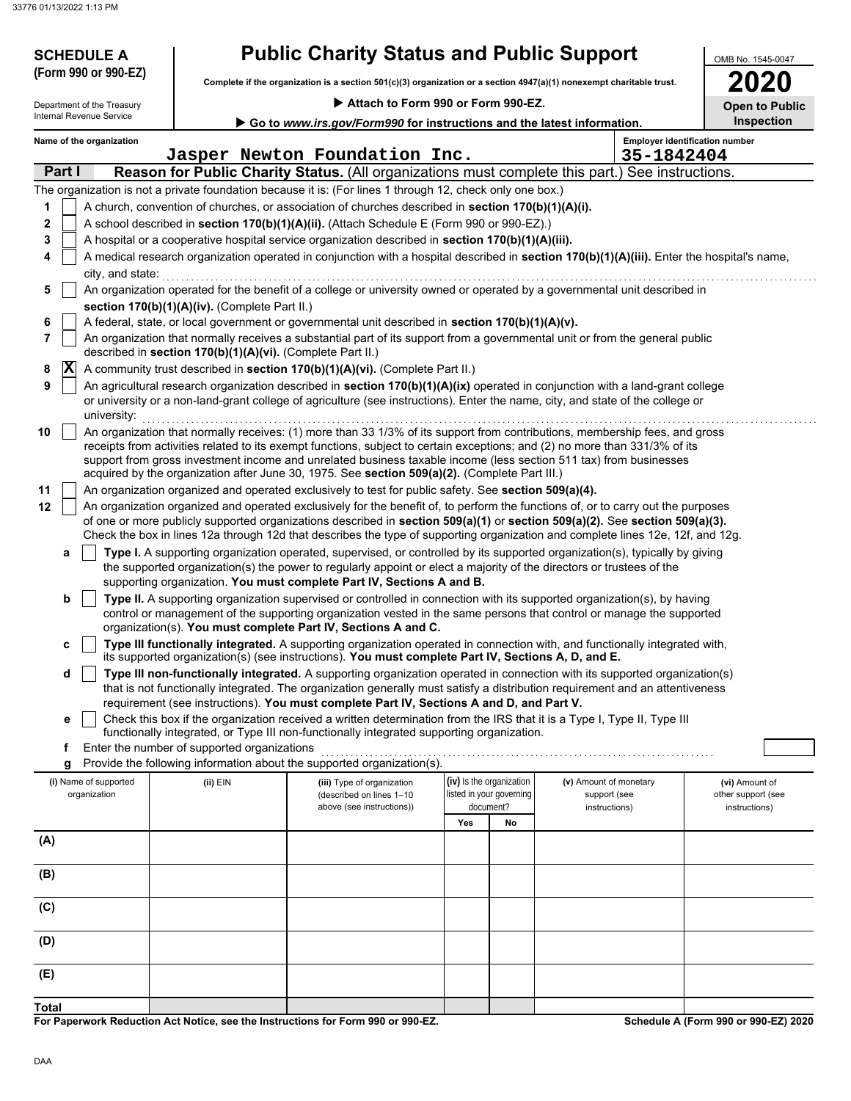33776 01/13/2022 1:13 PM

| <b>SCHEDULE A</b><br>(Form 990 or 990-EZ)              |                                                            | <b>Public Charity Status and Public Support</b>                                                                                                                                                                                                                                                                              |                                                      |           |                                                         | OMB No. 1545-0047                                     |
|--------------------------------------------------------|------------------------------------------------------------|------------------------------------------------------------------------------------------------------------------------------------------------------------------------------------------------------------------------------------------------------------------------------------------------------------------------------|------------------------------------------------------|-----------|---------------------------------------------------------|-------------------------------------------------------|
|                                                        |                                                            | Complete if the organization is a section 501(c)(3) organization or a section 4947(a)(1) nonexempt charitable trust.                                                                                                                                                                                                         |                                                      |           |                                                         | 2020                                                  |
| Department of the Treasury<br>Internal Revenue Service |                                                            | Attach to Form 990 or Form 990-EZ.                                                                                                                                                                                                                                                                                           |                                                      |           |                                                         | <b>Open to Public</b>                                 |
|                                                        |                                                            | Go to www.irs.gov/Form990 for instructions and the latest information.                                                                                                                                                                                                                                                       |                                                      |           |                                                         | Inspection                                            |
| Name of the organization                               |                                                            | Jasper Newton Foundation Inc.                                                                                                                                                                                                                                                                                                |                                                      |           | 35-1842404                                              | <b>Employer identification number</b>                 |
| Part I                                                 |                                                            | <b>Reason for Public Charity Status.</b> (All organizations must complete this part.) See instructions.                                                                                                                                                                                                                      |                                                      |           |                                                         |                                                       |
|                                                        |                                                            | The organization is not a private foundation because it is: (For lines 1 through 12, check only one box.)                                                                                                                                                                                                                    |                                                      |           |                                                         |                                                       |
| 1                                                      |                                                            | A church, convention of churches, or association of churches described in section 170(b)(1)(A)(i).                                                                                                                                                                                                                           |                                                      |           |                                                         |                                                       |
| 2                                                      |                                                            | A school described in section 170(b)(1)(A)(ii). (Attach Schedule E (Form 990 or 990-EZ).)                                                                                                                                                                                                                                    |                                                      |           |                                                         |                                                       |
| 3                                                      |                                                            | A hospital or a cooperative hospital service organization described in section 170(b)(1)(A)(iii).                                                                                                                                                                                                                            |                                                      |           |                                                         |                                                       |
| 4<br>city, and state:                                  |                                                            | A medical research organization operated in conjunction with a hospital described in section 170(b)(1)(A)(iii). Enter the hospital's name,                                                                                                                                                                                   |                                                      |           |                                                         |                                                       |
| 5                                                      |                                                            | An organization operated for the benefit of a college or university owned or operated by a governmental unit described in                                                                                                                                                                                                    |                                                      |           |                                                         |                                                       |
|                                                        | section 170(b)(1)(A)(iv). (Complete Part II.)              |                                                                                                                                                                                                                                                                                                                              |                                                      |           |                                                         |                                                       |
| 6                                                      |                                                            | A federal, state, or local government or governmental unit described in section 170(b)(1)(A)(v).                                                                                                                                                                                                                             |                                                      |           |                                                         |                                                       |
| 7                                                      | described in section 170(b)(1)(A)(vi). (Complete Part II.) | An organization that normally receives a substantial part of its support from a governmental unit or from the general public                                                                                                                                                                                                 |                                                      |           |                                                         |                                                       |
| $ \mathbf{X} $<br>8                                    |                                                            | A community trust described in section 170(b)(1)(A)(vi). (Complete Part II.)                                                                                                                                                                                                                                                 |                                                      |           |                                                         |                                                       |
| 9<br>university:                                       |                                                            | An agricultural research organization described in section 170(b)(1)(A)(ix) operated in conjunction with a land-grant college<br>or university or a non-land-grant college of agriculture (see instructions). Enter the name, city, and state of the college or                                                              |                                                      |           |                                                         |                                                       |
| 10                                                     |                                                            | An organization that normally receives: (1) more than 33 1/3% of its support from contributions, membership fees, and gross                                                                                                                                                                                                  |                                                      |           |                                                         |                                                       |
|                                                        |                                                            | receipts from activities related to its exempt functions, subject to certain exceptions; and (2) no more than 331/3% of its<br>support from gross investment income and unrelated business taxable income (less section 511 tax) from businesses                                                                             |                                                      |           |                                                         |                                                       |
| 11                                                     |                                                            | acquired by the organization after June 30, 1975. See section 509(a)(2). (Complete Part III.)<br>An organization organized and operated exclusively to test for public safety. See section 509(a)(4).                                                                                                                        |                                                      |           |                                                         |                                                       |
| 12                                                     |                                                            | An organization organized and operated exclusively for the benefit of, to perform the functions of, or to carry out the purposes                                                                                                                                                                                             |                                                      |           |                                                         |                                                       |
|                                                        |                                                            | of one or more publicly supported organizations described in section 509(a)(1) or section 509(a)(2). See section 509(a)(3).<br>Check the box in lines 12a through 12d that describes the type of supporting organization and complete lines 12e, 12f, and 12g.                                                               |                                                      |           |                                                         |                                                       |
| a                                                      |                                                            | Type I. A supporting organization operated, supervised, or controlled by its supported organization(s), typically by giving<br>the supported organization(s) the power to regularly appoint or elect a majority of the directors or trustees of the<br>supporting organization. You must complete Part IV, Sections A and B. |                                                      |           |                                                         |                                                       |
| b                                                      |                                                            | Type II. A supporting organization supervised or controlled in connection with its supported organization(s), by having                                                                                                                                                                                                      |                                                      |           |                                                         |                                                       |
|                                                        |                                                            | control or management of the supporting organization vested in the same persons that control or manage the supported                                                                                                                                                                                                         |                                                      |           |                                                         |                                                       |
|                                                        |                                                            | organization(s). You must complete Part IV, Sections A and C.                                                                                                                                                                                                                                                                |                                                      |           |                                                         |                                                       |
|                                                        |                                                            | Type III functionally integrated. A supporting organization operated in connection with, and functionally integrated with,<br>its supported organization(s) (see instructions). You must complete Part IV, Sections A, D, and E.                                                                                             |                                                      |           |                                                         |                                                       |
| d                                                      |                                                            | Type III non-functionally integrated. A supporting organization operated in connection with its supported organization(s)<br>that is not functionally integrated. The organization generally must satisfy a distribution requirement and an attentiveness                                                                    |                                                      |           |                                                         |                                                       |
|                                                        |                                                            | requirement (see instructions). You must complete Part IV, Sections A and D, and Part V.                                                                                                                                                                                                                                     |                                                      |           |                                                         |                                                       |
| е                                                      |                                                            | Check this box if the organization received a written determination from the IRS that it is a Type I, Type II, Type III<br>functionally integrated, or Type III non-functionally integrated supporting organization.                                                                                                         |                                                      |           |                                                         |                                                       |
| f                                                      | Enter the number of supported organizations                |                                                                                                                                                                                                                                                                                                                              |                                                      |           |                                                         |                                                       |
|                                                        |                                                            | Provide the following information about the supported organization(s).                                                                                                                                                                                                                                                       |                                                      |           |                                                         |                                                       |
| (i) Name of supported<br>organization                  | (ii) EIN                                                   | (iii) Type of organization<br>(described on lines 1-10<br>above (see instructions))                                                                                                                                                                                                                                          | (iv) Is the organization<br>listed in your governing | document? | (v) Amount of monetary<br>support (see<br>instructions) | (vi) Amount of<br>other support (see<br>instructions) |
|                                                        |                                                            |                                                                                                                                                                                                                                                                                                                              | Yes                                                  | No        |                                                         |                                                       |
| (A)                                                    |                                                            |                                                                                                                                                                                                                                                                                                                              |                                                      |           |                                                         |                                                       |
| (B)                                                    |                                                            |                                                                                                                                                                                                                                                                                                                              |                                                      |           |                                                         |                                                       |
| (C)                                                    |                                                            |                                                                                                                                                                                                                                                                                                                              |                                                      |           |                                                         |                                                       |
| (D)                                                    |                                                            |                                                                                                                                                                                                                                                                                                                              |                                                      |           |                                                         |                                                       |
| (E)                                                    |                                                            |                                                                                                                                                                                                                                                                                                                              |                                                      |           |                                                         |                                                       |
| <b>Total</b>                                           |                                                            |                                                                                                                                                                                                                                                                                                                              |                                                      |           |                                                         |                                                       |

**For Paperwork Reduction Act Notice, see the Instructions for Form 990 or 990-EZ.**

**Schedule A (Form 990 or 990-EZ) 2020**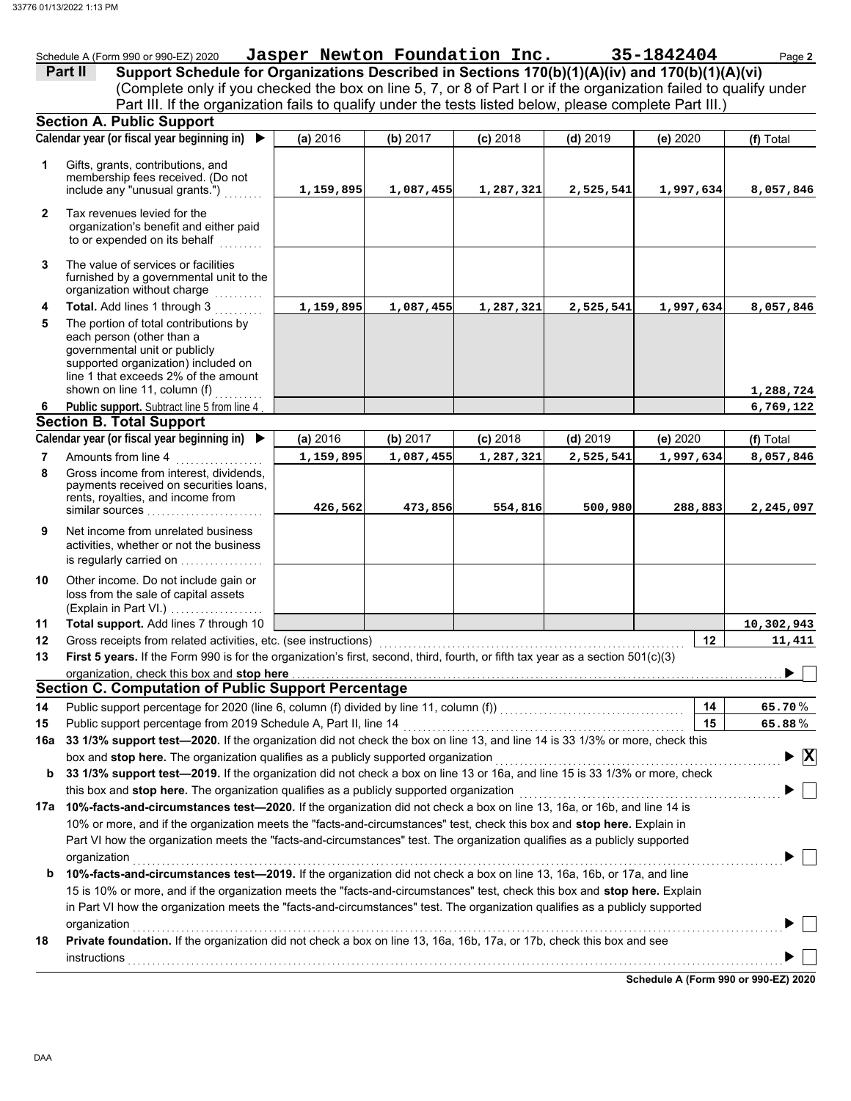governmental unit or publicly

|   | Schedule A (Form 990 or 990-EZ) 2020                                                                                                                                                                                                                                                                                                      | Jasper Newton Foundation Inc. |            |            |            | 35-1842404 | Page 2    |
|---|-------------------------------------------------------------------------------------------------------------------------------------------------------------------------------------------------------------------------------------------------------------------------------------------------------------------------------------------|-------------------------------|------------|------------|------------|------------|-----------|
|   | Part II<br>Support Schedule for Organizations Described in Sections 170(b)(1)(A)(iv) and 170(b)(1)(A)(vi)<br>(Complete only if you checked the box on line 5, 7, or 8 of Part I or if the organization failed to qualify under<br>Part III. If the organization fails to qualify under the tests listed below, please complete Part III.) |                               |            |            |            |            |           |
|   | <b>Section A. Public Support</b>                                                                                                                                                                                                                                                                                                          |                               |            |            |            |            |           |
|   | Calendar year (or fiscal year beginning in) ▶                                                                                                                                                                                                                                                                                             | (a) 2016                      | (b) $2017$ | $(c)$ 2018 | $(d)$ 2019 | (e) $2020$ | (f) Total |
|   | Gifts, grants, contributions, and<br>membership fees received. (Do not<br>include any "unusual grants.")<br>Tax revenues levied for the<br>organization's benefit and either paid<br>to or expended on its behalf                                                                                                                         | 1,159,895                     | 1,087,455  | 1,287,321  | 2,525,541  | 1,997,634  | 8,057,846 |
| 3 | The value of services or facilities<br>furnished by a governmental unit to the<br>organization without charge                                                                                                                                                                                                                             |                               |            |            |            |            |           |
| 4 | <b>Total.</b> Add lines 1 through 3                                                                                                                                                                                                                                                                                                       | 1,159,895                     | 1,087,455  | 1,287,321  | 2,525,541  | 1,997,634  | 8,057,846 |
| 5 | The portion of total contributions by<br>each person (other than a                                                                                                                                                                                                                                                                        |                               |            |            |            |            |           |

|     | supported organization) included on<br>line 1 that exceeds 2% of the amount                                                                                                                                                                                          |           |           |            |            |                                      |                                               |
|-----|----------------------------------------------------------------------------------------------------------------------------------------------------------------------------------------------------------------------------------------------------------------------|-----------|-----------|------------|------------|--------------------------------------|-----------------------------------------------|
|     | shown on line 11, column (f)                                                                                                                                                                                                                                         |           |           |            |            |                                      | 1,288,724                                     |
| 6   | Public support. Subtract line 5 from line 4                                                                                                                                                                                                                          |           |           |            |            |                                      | 6,769,122                                     |
|     | <b>Section B. Total Support</b>                                                                                                                                                                                                                                      |           |           |            |            |                                      |                                               |
|     | Calendar year (or fiscal year beginning in) ▶                                                                                                                                                                                                                        | (a) 2016  | (b) 2017  | $(c)$ 2018 | $(d)$ 2019 | (e) 2020                             | (f) Total                                     |
| 7   | Amounts from line 4                                                                                                                                                                                                                                                  | 1,159,895 | 1,087,455 | 1,287,321  | 2,525,541  | 1,997,634                            | 8,057,846                                     |
| 8   | Gross income from interest, dividends,<br>payments received on securities loans,<br>rents, royalties, and income from<br>similar sources                                                                                                                             | 426,562   | 473,856   | 554,816    | 500,980    | 288,883                              | 2,245,097                                     |
| 9   | Net income from unrelated business<br>activities, whether or not the business<br>is regularly carried on                                                                                                                                                             |           |           |            |            |                                      |                                               |
| 10  | Other income. Do not include gain or<br>loss from the sale of capital assets<br>(Explain in Part VI.)                                                                                                                                                                |           |           |            |            |                                      |                                               |
| 11  | Total support. Add lines 7 through 10                                                                                                                                                                                                                                |           |           |            |            |                                      | 10,302,943                                    |
| 12  | Gross receipts from related activities, etc. (see instructions)                                                                                                                                                                                                      |           |           |            |            | 12                                   | 11,411                                        |
| 13  | First 5 years. If the Form 990 is for the organization's first, second, third, fourth, or fifth tax year as a section 501(c)(3)                                                                                                                                      |           |           |            |            |                                      |                                               |
|     | organization, check this box and stop here                                                                                                                                                                                                                           |           |           |            |            |                                      |                                               |
|     | <b>Section C. Computation of Public Support Percentage</b>                                                                                                                                                                                                           |           |           |            |            |                                      |                                               |
| 14  | Public support percentage for 2020 (line 6, column (f) divided by line 11, column (f)) [[[[[[[[[[[[[[[[[[[[[[                                                                                                                                                        |           |           |            |            | 14                                   | 65.70%                                        |
| 15  | Public support percentage from 2019 Schedule A, Part II, line 14                                                                                                                                                                                                     |           |           |            |            | 15                                   | 65.88%                                        |
| 16a | 33 1/3% support test-2020. If the organization did not check the box on line 13, and line 14 is 33 1/3% or more, check this                                                                                                                                          |           |           |            |            |                                      |                                               |
|     | box and stop here. The organization qualifies as a publicly supported organization                                                                                                                                                                                   |           |           |            |            |                                      | $\blacktriangleright$ $\overline{\mathtt{x}}$ |
| b   | 33 1/3% support test-2019. If the organization did not check a box on line 13 or 16a, and line 15 is 33 1/3% or more, check                                                                                                                                          |           |           |            |            |                                      |                                               |
|     | this box and stop here. The organization qualifies as a publicly supported organization                                                                                                                                                                              |           |           |            |            |                                      |                                               |
| 17a | 10%-facts-and-circumstances test-2020. If the organization did not check a box on line 13, 16a, or 16b, and line 14 is                                                                                                                                               |           |           |            |            |                                      |                                               |
|     | 10% or more, and if the organization meets the "facts-and-circumstances" test, check this box and stop here. Explain in<br>Part VI how the organization meets the "facts-and-circumstances" test. The organization qualifies as a publicly supported<br>organization |           |           |            |            |                                      |                                               |
| b   | 10%-facts-and-circumstances test-2019. If the organization did not check a box on line 13, 16a, 16b, or 17a, and line                                                                                                                                                |           |           |            |            |                                      |                                               |
|     | 15 is 10% or more, and if the organization meets the "facts-and-circumstances" test, check this box and stop here. Explain                                                                                                                                           |           |           |            |            |                                      |                                               |
|     | in Part VI how the organization meets the "facts-and-circumstances" test. The organization qualifies as a publicly supported<br>organization                                                                                                                         |           |           |            |            |                                      |                                               |
| 18  | Private foundation. If the organization did not check a box on line 13, 16a, 16b, 17a, or 17b, check this box and see<br>instructions                                                                                                                                |           |           |            |            |                                      |                                               |
|     |                                                                                                                                                                                                                                                                      |           |           |            |            | Schedule A (Form 990 or 990-EZ) 2020 |                                               |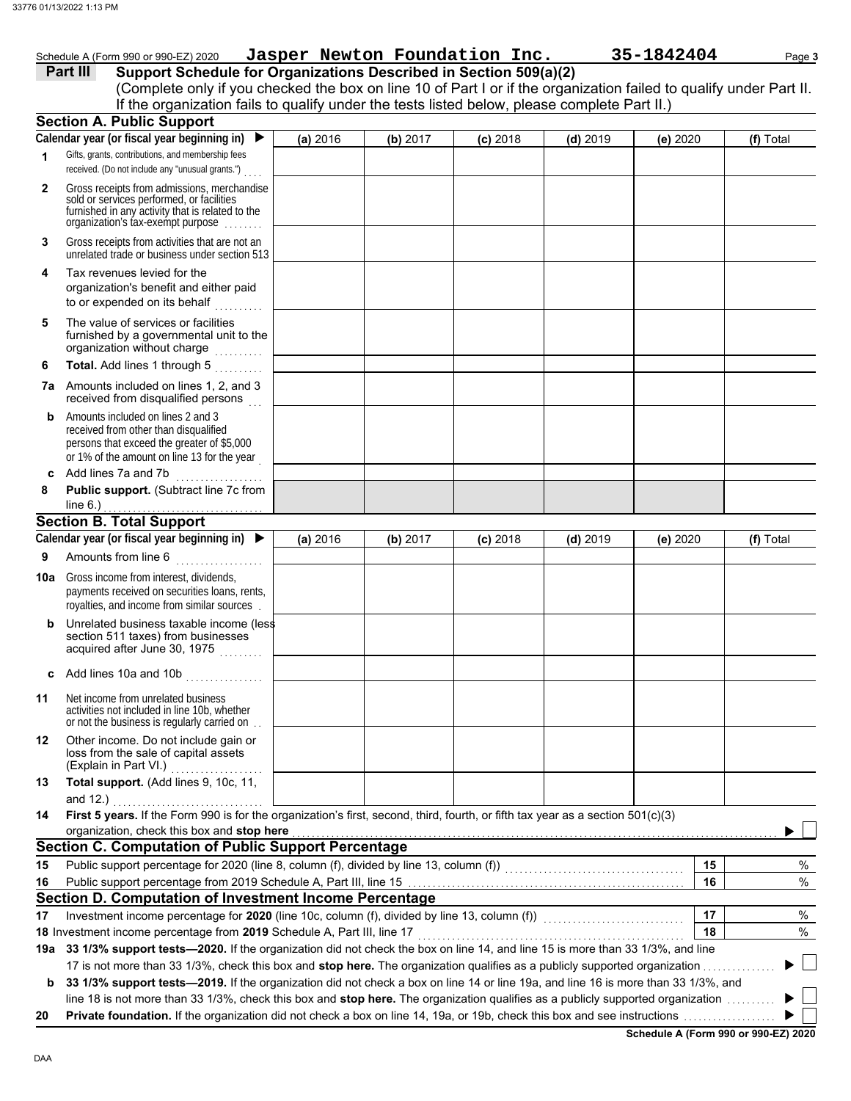| Schedule A (Form 990 or 990-EZ) 2020 | Jasper Newton Foundation Inc. |  |
|--------------------------------------|-------------------------------|--|
|--------------------------------------|-------------------------------|--|

|              | Schedule A (Form 990 or 990-EZ) 2020                                                                                                                                                                                                                                                                |          |          | Jasper Newton Foundation Inc. |            | 35-1842404 | Page 3    |
|--------------|-----------------------------------------------------------------------------------------------------------------------------------------------------------------------------------------------------------------------------------------------------------------------------------------------------|----------|----------|-------------------------------|------------|------------|-----------|
|              | Support Schedule for Organizations Described in Section 509(a)(2)<br>Part III<br>(Complete only if you checked the box on line 10 of Part I or if the organization failed to qualify under Part II.<br>If the organization fails to qualify under the tests listed below, please complete Part II.) |          |          |                               |            |            |           |
|              | <b>Section A. Public Support</b>                                                                                                                                                                                                                                                                    |          |          |                               |            |            |           |
|              | Calendar year (or fiscal year beginning in)                                                                                                                                                                                                                                                         | (a) 2016 | (b) 2017 | $(c)$ 2018                    | $(d)$ 2019 | (e) 2020   | (f) Total |
| 1            | Gifts, grants, contributions, and membership fees<br>received. (Do not include any "unusual grants.")                                                                                                                                                                                               |          |          |                               |            |            |           |
| $\mathbf{2}$ | Gross receipts from admissions, merchandise<br>sold or services performed, or facilities<br>furnished in any activity that is related to the<br>organization's tax-exempt purpose                                                                                                                   |          |          |                               |            |            |           |
| 3            | Gross receipts from activities that are not an<br>unrelated trade or business under section 513                                                                                                                                                                                                     |          |          |                               |            |            |           |
| 4            | Tax revenues levied for the<br>organization's benefit and either paid<br>to or expended on its behalf                                                                                                                                                                                               |          |          |                               |            |            |           |
| 5            | The value of services or facilities<br>furnished by a governmental unit to the<br>organization without charge                                                                                                                                                                                       |          |          |                               |            |            |           |
| 6            | Total. Add lines 1 through 5<br>.                                                                                                                                                                                                                                                                   |          |          |                               |            |            |           |
|              | <b>7a</b> Amounts included on lines 1, 2, and 3<br>received from disqualified persons                                                                                                                                                                                                               |          |          |                               |            |            |           |
| b            | Amounts included on lines 2 and 3<br>received from other than disqualified<br>persons that exceed the greater of \$5,000<br>or 1% of the amount on line 13 for the year                                                                                                                             |          |          |                               |            |            |           |
| C            | Add lines 7a and 7b                                                                                                                                                                                                                                                                                 |          |          |                               |            |            |           |
| 8            | Public support. (Subtract line 7c from                                                                                                                                                                                                                                                              |          |          |                               |            |            |           |
|              | line $6.$ )                                                                                                                                                                                                                                                                                         |          |          |                               |            |            |           |
|              | <b>Section B. Total Support</b><br>Calendar year (or fiscal year beginning in) $\blacktriangleright$                                                                                                                                                                                                |          |          |                               |            |            |           |
| 9            | Amounts from line 6                                                                                                                                                                                                                                                                                 | (a) 2016 | (b) 2017 | $(c)$ 2018                    | $(d)$ 2019 | (e) 2020   | (f) Total |
|              |                                                                                                                                                                                                                                                                                                     |          |          |                               |            |            |           |
| 10a          | Gross income from interest, dividends,<br>payments received on securities loans, rents,<br>royalties, and income from similar sources                                                                                                                                                               |          |          |                               |            |            |           |
|              | Unrelated business taxable income (less<br>section 511 taxes) from businesses<br>acquired after June 30, 1975                                                                                                                                                                                       |          |          |                               |            |            |           |
| c            | Add lines 10a and 10b                                                                                                                                                                                                                                                                               |          |          |                               |            |            |           |
| 11           | Net income from unrelated business<br>activities not included in line 10b, whether<br>or not the business is regularly carried on                                                                                                                                                                   |          |          |                               |            |            |           |
| 12           | Other income. Do not include gain or<br>loss from the sale of capital assets<br>(Explain in Part VI.)<br>.                                                                                                                                                                                          |          |          |                               |            |            |           |
| 13           | Total support. (Add lines 9, 10c, 11,<br>and 12.)                                                                                                                                                                                                                                                   |          |          |                               |            |            |           |
| 14           | First 5 years. If the Form 990 is for the organization's first, second, third, fourth, or fifth tax year as a section 501(c)(3)                                                                                                                                                                     |          |          |                               |            |            |           |
|              | organization, check this box and stop here                                                                                                                                                                                                                                                          |          |          |                               |            |            |           |
|              | <b>Section C. Computation of Public Support Percentage</b>                                                                                                                                                                                                                                          |          |          |                               |            |            |           |
| 15           |                                                                                                                                                                                                                                                                                                     |          |          |                               |            | 15         | %         |
| 16           |                                                                                                                                                                                                                                                                                                     |          |          |                               |            | 16         | $\%$      |
|              | Section D. Computation of Investment Income Percentage                                                                                                                                                                                                                                              |          |          |                               |            |            |           |
| 17           | Investment income percentage for 2020 (line 10c, column (f), divided by line 13, column (f)) [[[[[[[[[[[[[[[[<br>18 Investment income percentage from 2019 Schedule A, Part III, line 17                                                                                                            |          |          |                               |            | 17<br>18   | %<br>$\%$ |
|              | 19a 33 1/3% support tests—2020. If the organization did not check the box on line 14, and line 15 is more than 33 1/3%, and line                                                                                                                                                                    |          |          |                               |            |            |           |
|              | 17 is not more than 33 1/3%, check this box and stop here. The organization qualifies as a publicly supported organization                                                                                                                                                                          |          |          |                               |            |            |           |

**b** 33 1/3% support tests—2019. If the organization did not check a box on line 14 or line 19a, and line 16 is more than 33 1/3%, and line 18 is not more than 33 1/3%, check this box and **stop here.** The organization qualifies as a publicly supported organization . . . . . . . . . .

**20 Private foundation.** If the organization did not check a box on line 14, 19a, or 19b, check this box and see instructions . . . . . . . . . . . . . . . . . . .

**Schedule A (Form 990 or 990-EZ) 2020**

▶  $\blacktriangleright$   $\vert \ \vert$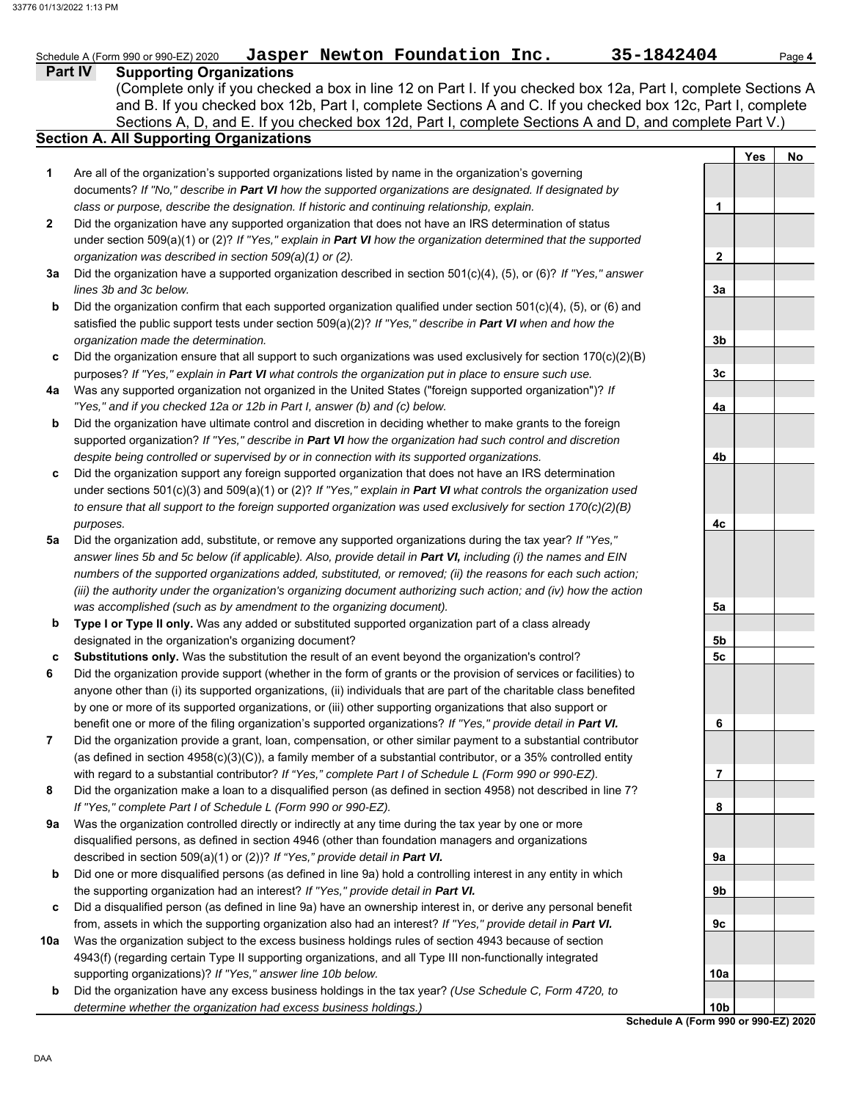#### **Part IV Supporting Organizations** Sections A, D, and E. If you checked box 12d, Part I, complete Sections A and D, and complete Part V.) Schedule A (Form 990 or 990-EZ) 2020 **Jasper Newton Foundation Inc.** 35-1842404 Page 4 **Section A. All Supporting Organizations** (Complete only if you checked a box in line 12 on Part I. If you checked box 12a, Part I, complete Sections A and B. If you checked box 12b, Part I, complete Sections A and C. If you checked box 12c, Part I, complete Are all of the organization's supported organizations listed by name in the organization's governing documents? *If "No," describe in Part VI how the supported organizations are designated. If designated by class or purpose, describe the designation. If historic and continuing relationship, explain.* Did the organization have any supported organization that does not have an IRS determination of status under section 509(a)(1) or (2)? *If "Yes," explain in Part VI how the organization determined that the supported organization was described in section 509(a)(1) or (2).* **1 2 3a** Did the organization have a supported organization described in section 501(c)(4), (5), or (6)? *If "Yes," answer* **b c** Did the organization ensure that all support to such organizations was used exclusively for section 170(c)(2)(B) **4a** Was any supported organization not organized in the United States ("foreign supported organization")? *If* **b c** Did the organization support any foreign supported organization that does not have an IRS determination **5a** Did the organization add, substitute, or remove any supported organizations during the tax year? *If "Yes,"* **b c 6 7 8 9a b c** Did a disqualified person (as defined in line 9a) have an ownership interest in, or derive any personal benefit **10a** *lines 3b and 3c below.* Did the organization confirm that each supported organization qualified under section  $501(c)(4)$ , (5), or (6) and satisfied the public support tests under section 509(a)(2)? *If "Yes," describe in Part VI when and how the organization made the determination.* purposes? *If "Yes," explain in Part VI what controls the organization put in place to ensure such use. "Yes," and if you checked 12a or 12b in Part I, answer (b) and (c) below.* Did the organization have ultimate control and discretion in deciding whether to make grants to the foreign supported organization? *If "Yes," describe in Part VI how the organization had such control and discretion despite being controlled or supervised by or in connection with its supported organizations.* under sections 501(c)(3) and 509(a)(1) or (2)? *If "Yes," explain in Part VI what controls the organization used to ensure that all support to the foreign supported organization was used exclusively for section 170(c)(2)(B) purposes. answer lines 5b and 5c below (if applicable). Also, provide detail in Part VI, including (i) the names and EIN numbers of the supported organizations added, substituted, or removed; (ii) the reasons for each such action; (iii) the authority under the organization's organizing document authorizing such action; and (iv) how the action was accomplished (such as by amendment to the organizing document).* **Type I or Type II only.** Was any added or substituted supported organization part of a class already designated in the organization's organizing document? **Substitutions only.** Was the substitution the result of an event beyond the organization's control? Did the organization provide support (whether in the form of grants or the provision of services or facilities) to anyone other than (i) its supported organizations, (ii) individuals that are part of the charitable class benefited by one or more of its supported organizations, or (iii) other supporting organizations that also support or benefit one or more of the filing organization's supported organizations? *If "Yes," provide detail in Part VI.* Did the organization provide a grant, loan, compensation, or other similar payment to a substantial contributor (as defined in section 4958(c)(3)(C)), a family member of a substantial contributor, or a 35% controlled entity with regard to a substantial contributor? *If "Yes," complete Part I of Schedule L (Form 990 or 990-EZ).* Did the organization make a loan to a disqualified person (as defined in section 4958) not described in line 7? *If "Yes," complete Part I of Schedule L (Form 990 or 990-EZ).* Was the organization controlled directly or indirectly at any time during the tax year by one or more disqualified persons, as defined in section 4946 (other than foundation managers and organizations described in section 509(a)(1) or (2))? *If "Yes," provide detail in Part VI.* Did one or more disqualified persons (as defined in line 9a) hold a controlling interest in any entity in which the supporting organization had an interest? *If "Yes," provide detail in Part VI.* from, assets in which the supporting organization also had an interest? *If "Yes," provide detail in Part VI.* Was the organization subject to the excess business holdings rules of section 4943 because of section 4943(f) (regarding certain Type II supporting organizations, and all Type III non-functionally integrated supporting organizations)? *If "Yes," answer line 10b below.* **Yes No 1 2 3a 3b 3c 4a 4b 4c 5a 5b 5c 6 7 8 9a 9b 9c 10a**

**b** Did the organization have any excess business holdings in the tax year? *(Use Schedule C, Form 4720, to determine whether the organization had excess business holdings.)*

**Schedule A (Form 990 or 990-EZ) 2020 10b**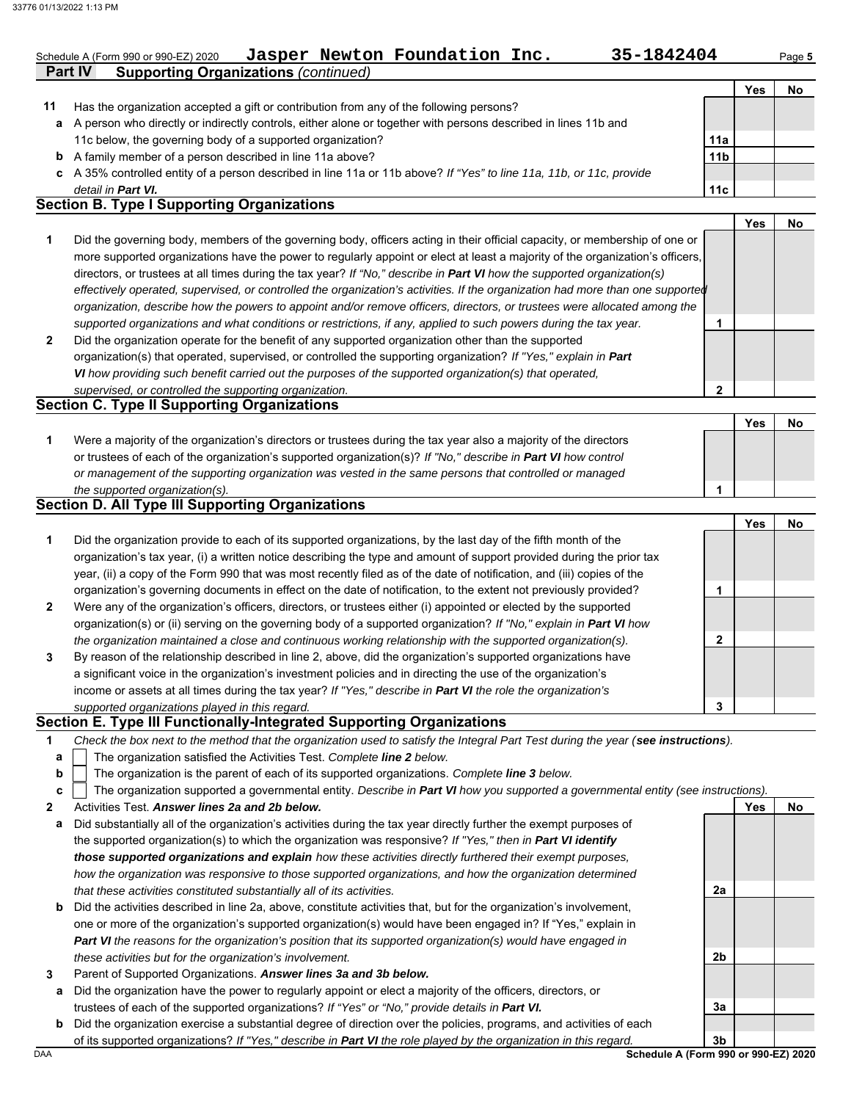| Schedule A (Form 990 or 990-EZ) 2020 |                                             | Jasper Newton Foundation Inc. | 35-1842404 | Page 5 |
|--------------------------------------|---------------------------------------------|-------------------------------|------------|--------|
| Part IV                              | <b>Supporting Organizations (continued)</b> |                               |            |        |

|    |                                                                                                                      |                 | Yes | No |
|----|----------------------------------------------------------------------------------------------------------------------|-----------------|-----|----|
| 11 | Has the organization accepted a gift or contribution from any of the following persons?                              |                 |     |    |
| a  | A person who directly or indirectly controls, either alone or together with persons described in lines 11b and       |                 |     |    |
|    | 11c below, the governing body of a supported organization?                                                           | 11a             |     |    |
|    | <b>b</b> A family member of a person described in line 11a above?                                                    | 11 <sub>b</sub> |     |    |
|    | c A 35% controlled entity of a person described in line 11a or 11b above? If "Yes" to line 11a, 11b, or 11c, provide |                 |     |    |
|    | detail in Part VI.                                                                                                   | 11c             |     |    |
|    | <b>Soction R. Type I Supporting Organizations</b>                                                                    |                 |     |    |

## **Section B. Type I Supporting Organizations**

**2 1** *supported organizations and what conditions or restrictions, if any, applied to such powers during the tax year. organization, describe how the powers to appoint and/or remove officers, directors, or trustees were allocated among the effectively operated, supervised, or controlled the organization's activities. If the organization had more than one supported* directors, or trustees at all times during the tax year? *If "No," describe in Part VI how the supported organization(s)* more supported organizations have the power to regularly appoint or elect at least a majority of the organization's officers, Did the governing body, members of the governing body, officers acting in their official capacity, or membership of one or Did the organization operate for the benefit of any supported organization other than the supported organization(s) that operated, supervised, or controlled the supporting organization? *If "Yes," explain in Part*  **1 Yes No**

*VI how providing such benefit carried out the purposes of the supported organization(s) that operated,* 

#### *supervised, or controlled the supporting organization.* **Section C. Type II Supporting Organizations** Were a majority of the organization's directors or trustees during the tax year also a majority of the directors or trustees of each of the organization's supported organization(s)? *If "No," describe in Part VI how control* **1** *or management of the supporting organization was vested in the same persons that controlled or managed the supported organization(s).* **Yes No 1**

## **Section D. All Type III Supporting Organizations**

|                |                                                                                                                        |   | Yes | No |
|----------------|------------------------------------------------------------------------------------------------------------------------|---|-----|----|
| 1              | Did the organization provide to each of its supported organizations, by the last day of the fifth month of the         |   |     |    |
|                | organization's tax year, (i) a written notice describing the type and amount of support provided during the prior tax  |   |     |    |
|                | year, (ii) a copy of the Form 990 that was most recently filed as of the date of notification, and (iii) copies of the |   |     |    |
|                | organization's governing documents in effect on the date of notification, to the extent not previously provided?       |   |     |    |
| $\overline{2}$ | Were any of the organization's officers, directors, or trustees either (i) appointed or elected by the supported       |   |     |    |
|                | organization(s) or (ii) serving on the governing body of a supported organization? If "No," explain in Part VI how     |   |     |    |
|                | the organization maintained a close and continuous working relationship with the supported organization(s).            | 2 |     |    |
| 3              | By reason of the relationship described in line 2, above, did the organization's supported organizations have          |   |     |    |
|                | a significant voice in the organization's investment policies and in directing the use of the organization's           |   |     |    |
|                | income or assets at all times during the tax year? If "Yes," describe in Part VI the role the organization's           |   |     |    |
|                | supported organizations played in this regard.                                                                         | 3 |     |    |

## **Section E. Type III Functionally-Integrated Supporting Organizations**

| Check the box next to the method that the organization used to satisfy the Integral Part Test during the year (see instructions). |  |
|-----------------------------------------------------------------------------------------------------------------------------------|--|
|-----------------------------------------------------------------------------------------------------------------------------------|--|

- The organization satisfied the Activities Test. *Complete line 2 below.* **a**
- The organization is the parent of each of its supported organizations. *Complete line 3 below.* **b**

|  | c $\vert$ The organization supported a governmental entity. Describe in Part VI how you supported a governmental entity (see instructions). |  |
|--|---------------------------------------------------------------------------------------------------------------------------------------------|--|
|  |                                                                                                                                             |  |

**2** Activities Test. *Answer lines 2a and 2b below.*

- **a** Did substantially all of the organization's activities during the tax year directly further the exempt purposes of the supported organization(s) to which the organization was responsive? *If "Yes," then in Part VI identify those supported organizations and explain how these activities directly furthered their exempt purposes, how the organization was responsive to those supported organizations, and how the organization determined that these activities constituted substantially all of its activities.*
- **b** Did the activities described in line 2a, above, constitute activities that, but for the organization's involvement, one or more of the organization's supported organization(s) would have been engaged in? If "Yes," explain in *Part VI the reasons for the organization's position that its supported organization(s) would have engaged in these activities but for the organization's involvement.*
- **3** Parent of Supported Organizations. *Answer lines 3a and 3b below.*
	- **a** Did the organization have the power to regularly appoint or elect a majority of the officers, directors, or trustees of each of the supported organizations? *If "Yes" or "No," provide details in Part VI.*
- DAA **Schedule A (Form 990 or 990-EZ) 2020 b** Did the organization exercise a substantial degree of direction over the policies, programs, and activities of each of its supported organizations? *If "Yes," describe in Part VI the role played by the organization in this regard.*

**3b**

**2a**

**2b**

**3a**

**Yes No**

**2**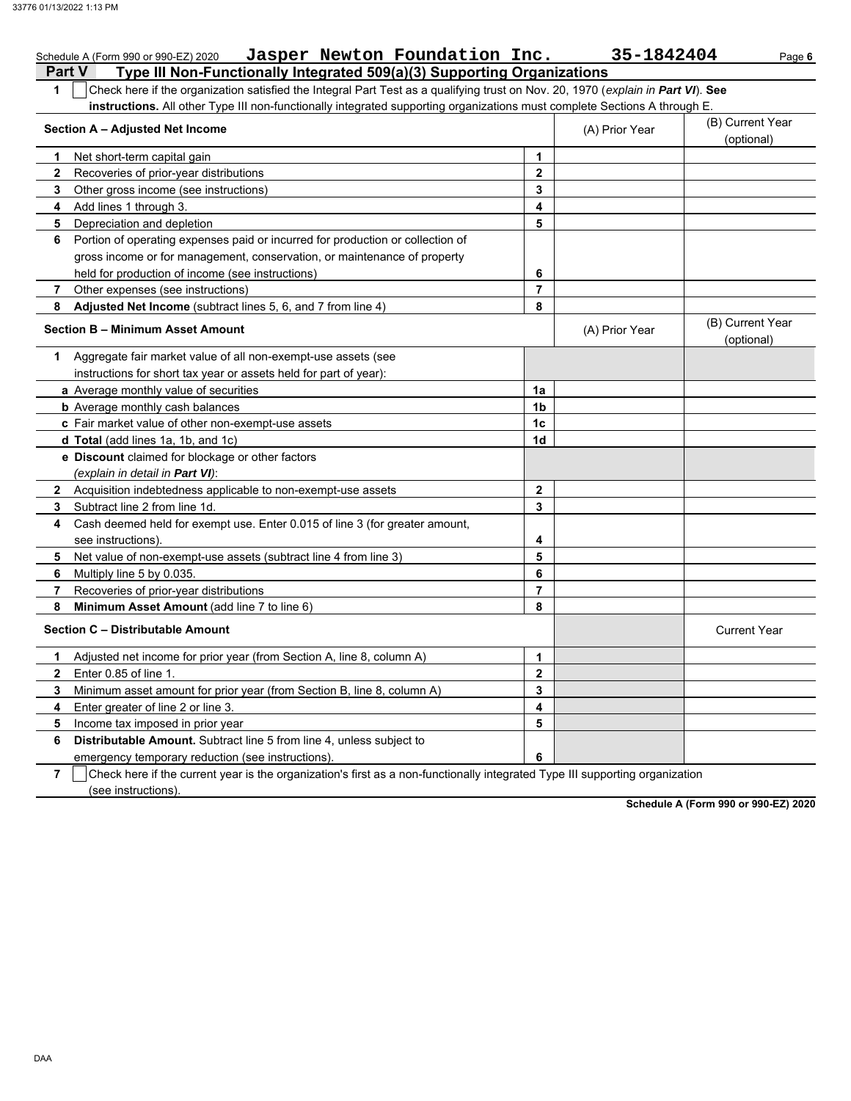|                | Jasper Newton Foundation Inc.<br>Schedule A (Form 990 or 990-EZ) 2020                                                            |                         | 35-1842404     | Page 6                         |
|----------------|----------------------------------------------------------------------------------------------------------------------------------|-------------------------|----------------|--------------------------------|
|                | Type III Non-Functionally Integrated 509(a)(3) Supporting Organizations<br>Part V                                                |                         |                |                                |
| 1              | Check here if the organization satisfied the Integral Part Test as a qualifying trust on Nov. 20, 1970 (explain in Part VI). See |                         |                |                                |
|                | instructions. All other Type III non-functionally integrated supporting organizations must complete Sections A through E.        |                         |                |                                |
|                | Section A - Adjusted Net Income                                                                                                  |                         | (A) Prior Year | (B) Current Year<br>(optional) |
| 1.             | Net short-term capital gain                                                                                                      | 1                       |                |                                |
| $\mathbf{2}$   | Recoveries of prior-year distributions                                                                                           | $\mathbf 2$             |                |                                |
| 3              | Other gross income (see instructions)                                                                                            | 3                       |                |                                |
| 4              | Add lines 1 through 3.                                                                                                           | 4                       |                |                                |
| 5              | Depreciation and depletion                                                                                                       | 5                       |                |                                |
| 6              | Portion of operating expenses paid or incurred for production or collection of                                                   |                         |                |                                |
|                | gross income or for management, conservation, or maintenance of property                                                         |                         |                |                                |
|                | held for production of income (see instructions)                                                                                 | 6                       |                |                                |
| 7              | Other expenses (see instructions)                                                                                                | $\overline{7}$          |                |                                |
| 8              | Adjusted Net Income (subtract lines 5, 6, and 7 from line 4)                                                                     | 8                       |                |                                |
|                | <b>Section B - Minimum Asset Amount</b>                                                                                          |                         | (A) Prior Year | (B) Current Year<br>(optional) |
| 1              | Aggregate fair market value of all non-exempt-use assets (see                                                                    |                         |                |                                |
|                | instructions for short tax year or assets held for part of year):                                                                |                         |                |                                |
|                | a Average monthly value of securities                                                                                            | 1a                      |                |                                |
|                | <b>b</b> Average monthly cash balances                                                                                           | 1 <sub>b</sub>          |                |                                |
|                | c Fair market value of other non-exempt-use assets                                                                               | 1 <sub>c</sub>          |                |                                |
|                | d Total (add lines 1a, 1b, and 1c)                                                                                               | 1d                      |                |                                |
|                | e Discount claimed for blockage or other factors                                                                                 |                         |                |                                |
|                | (explain in detail in Part VI):                                                                                                  |                         |                |                                |
| $\mathbf{2}$   | Acquisition indebtedness applicable to non-exempt-use assets                                                                     | $\mathbf{2}$            |                |                                |
| 3              | Subtract line 2 from line 1d.                                                                                                    | 3                       |                |                                |
| 4              | Cash deemed held for exempt use. Enter 0.015 of line 3 (for greater amount,                                                      |                         |                |                                |
|                | see instructions).                                                                                                               | 4                       |                |                                |
| 5              | Net value of non-exempt-use assets (subtract line 4 from line 3)                                                                 | 5                       |                |                                |
| 6              | Multiply line 5 by 0.035.                                                                                                        | 6                       |                |                                |
| 7              | Recoveries of prior-year distributions                                                                                           | $\overline{7}$          |                |                                |
| 8              | Minimum Asset Amount (add line 7 to line 6)                                                                                      | 8                       |                |                                |
|                | Section C - Distributable Amount                                                                                                 |                         |                | <b>Current Year</b>            |
| 1.             | Adjusted net income for prior year (from Section A, line 8, column A)                                                            | 1                       |                |                                |
|                | Enter 0.85 of line 1.                                                                                                            | $\overline{\mathbf{2}}$ |                |                                |
| 3              | Minimum asset amount for prior year (from Section B, line 8, column A)                                                           | 3                       |                |                                |
| 4              | Enter greater of line 2 or line 3.                                                                                               | 4                       |                |                                |
| 5              | Income tax imposed in prior year                                                                                                 | 5                       |                |                                |
| 6              | Distributable Amount. Subtract line 5 from line 4, unless subject to                                                             |                         |                |                                |
|                | emergency temporary reduction (see instructions).                                                                                | 6                       |                |                                |
| $\overline{7}$ | Check here if the current year is the organization's first as a non-functionally integrated Type III supporting organization     |                         |                |                                |
|                |                                                                                                                                  |                         |                |                                |

 $\Box$  (see instructions).

**Schedule A (Form 990 or 990-EZ) 2020**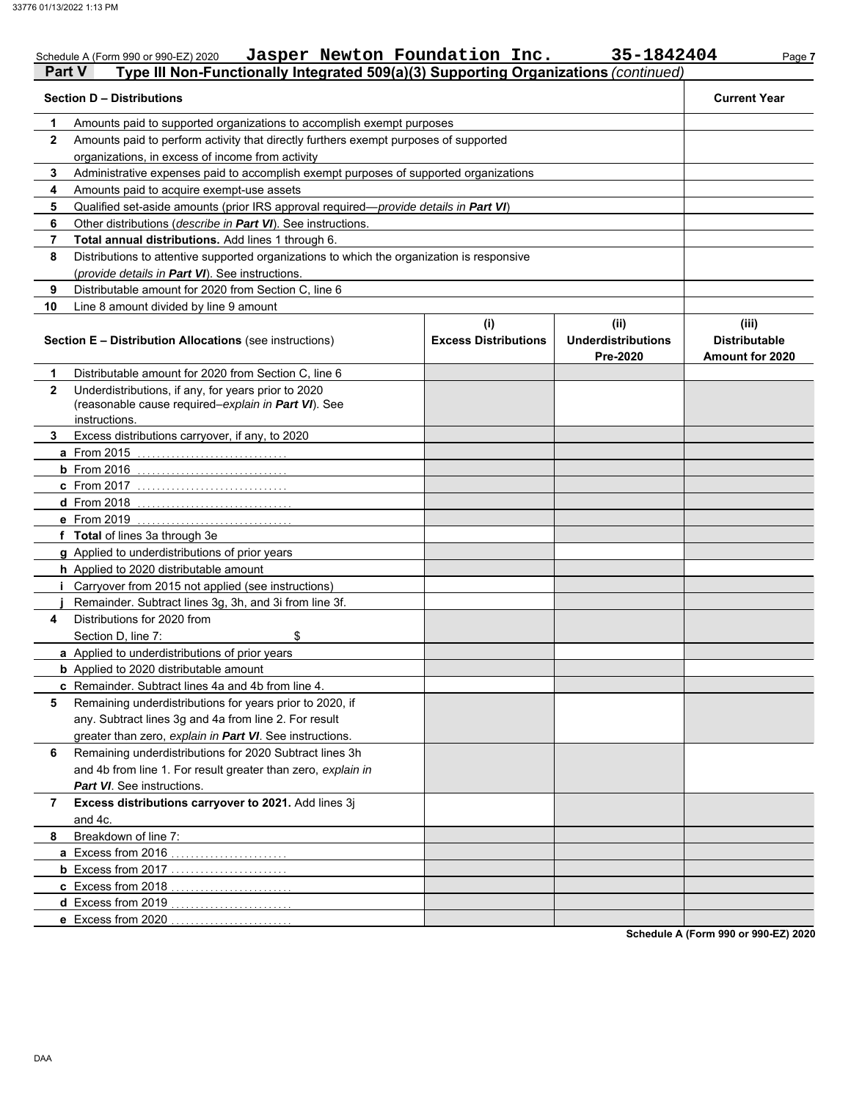|              | Jasper Newton Foundation Inc.<br>Schedule A (Form 990 or 990-EZ) 2020                                                       |                                    | 35-1842404                                    | Page 7                                                  |
|--------------|-----------------------------------------------------------------------------------------------------------------------------|------------------------------------|-----------------------------------------------|---------------------------------------------------------|
| Part V       | Type III Non-Functionally Integrated 509(a)(3) Supporting Organizations (continued)                                         |                                    |                                               |                                                         |
|              | <b>Section D - Distributions</b>                                                                                            |                                    |                                               | <b>Current Year</b>                                     |
| 1            | Amounts paid to supported organizations to accomplish exempt purposes                                                       |                                    |                                               |                                                         |
| $\mathbf{2}$ | Amounts paid to perform activity that directly furthers exempt purposes of supported                                        |                                    |                                               |                                                         |
|              | organizations, in excess of income from activity                                                                            |                                    |                                               |                                                         |
| 3            | Administrative expenses paid to accomplish exempt purposes of supported organizations                                       |                                    |                                               |                                                         |
| 4            | Amounts paid to acquire exempt-use assets                                                                                   |                                    |                                               |                                                         |
| 5            | Qualified set-aside amounts (prior IRS approval required-provide details in Part VI)                                        |                                    |                                               |                                                         |
| 6            | Other distributions (describe in Part VI). See instructions.                                                                |                                    |                                               |                                                         |
| 7            | Total annual distributions. Add lines 1 through 6.                                                                          |                                    |                                               |                                                         |
| 8            | Distributions to attentive supported organizations to which the organization is responsive                                  |                                    |                                               |                                                         |
|              | (provide details in Part VI). See instructions.                                                                             |                                    |                                               |                                                         |
| 9            | Distributable amount for 2020 from Section C, line 6                                                                        |                                    |                                               |                                                         |
| 10           | Line 8 amount divided by line 9 amount                                                                                      |                                    |                                               |                                                         |
|              | <b>Section E - Distribution Allocations (see instructions)</b>                                                              | (i)<br><b>Excess Distributions</b> | (ii)<br><b>Underdistributions</b><br>Pre-2020 | (iii)<br><b>Distributable</b><br><b>Amount for 2020</b> |
| 1            | Distributable amount for 2020 from Section C, line 6                                                                        |                                    |                                               |                                                         |
| $\mathbf{2}$ | Underdistributions, if any, for years prior to 2020<br>(reasonable cause required-explain in Part VI). See<br>instructions. |                                    |                                               |                                                         |
| 3            | Excess distributions carryover, if any, to 2020                                                                             |                                    |                                               |                                                         |
|              | a From 2015                                                                                                                 |                                    |                                               |                                                         |
|              | $b$ From 2016                                                                                                               |                                    |                                               |                                                         |
|              | c From 2017                                                                                                                 |                                    |                                               |                                                         |
|              | <b>d</b> From 2018                                                                                                          |                                    |                                               |                                                         |
|              | e From 2019                                                                                                                 |                                    |                                               |                                                         |
|              | f Total of lines 3a through 3e                                                                                              |                                    |                                               |                                                         |
|              | g Applied to underdistributions of prior years                                                                              |                                    |                                               |                                                         |
|              | h Applied to 2020 distributable amount                                                                                      |                                    |                                               |                                                         |
|              | <i>i</i> Carryover from 2015 not applied (see instructions)                                                                 |                                    |                                               |                                                         |
|              | Remainder. Subtract lines 3g, 3h, and 3i from line 3f.                                                                      |                                    |                                               |                                                         |
| 4            | Distributions for 2020 from                                                                                                 |                                    |                                               |                                                         |
|              | Section D, line 7:<br>\$                                                                                                    |                                    |                                               |                                                         |
|              | a Applied to underdistributions of prior years                                                                              |                                    |                                               |                                                         |
|              | <b>b</b> Applied to 2020 distributable amount                                                                               |                                    |                                               |                                                         |
|              | c Remainder. Subtract lines 4a and 4b from line 4.                                                                          |                                    |                                               |                                                         |
| 5            | Remaining underdistributions for years prior to 2020, if                                                                    |                                    |                                               |                                                         |
|              | any. Subtract lines 3g and 4a from line 2. For result                                                                       |                                    |                                               |                                                         |
|              | greater than zero, explain in Part VI. See instructions.                                                                    |                                    |                                               |                                                         |
| 6            | Remaining underdistributions for 2020 Subtract lines 3h                                                                     |                                    |                                               |                                                         |
|              | and 4b from line 1. For result greater than zero, explain in                                                                |                                    |                                               |                                                         |
|              | Part VI. See instructions.                                                                                                  |                                    |                                               |                                                         |
| 7            | Excess distributions carryover to 2021. Add lines 3j<br>and 4c.                                                             |                                    |                                               |                                                         |
| 8            | Breakdown of line 7:                                                                                                        |                                    |                                               |                                                         |
|              | a Excess from 2016                                                                                                          |                                    |                                               |                                                         |
|              | <b>b</b> Excess from 2017                                                                                                   |                                    |                                               |                                                         |
|              | c Excess from 2018                                                                                                          |                                    |                                               |                                                         |
|              | d Excess from 2019                                                                                                          |                                    |                                               |                                                         |
|              | e Excess from 2020                                                                                                          |                                    |                                               |                                                         |
|              |                                                                                                                             |                                    |                                               | Schodule A (Form 890 or 890 EZ) 2020                    |

**Schedule A (Form 990 or 990-EZ) 2020**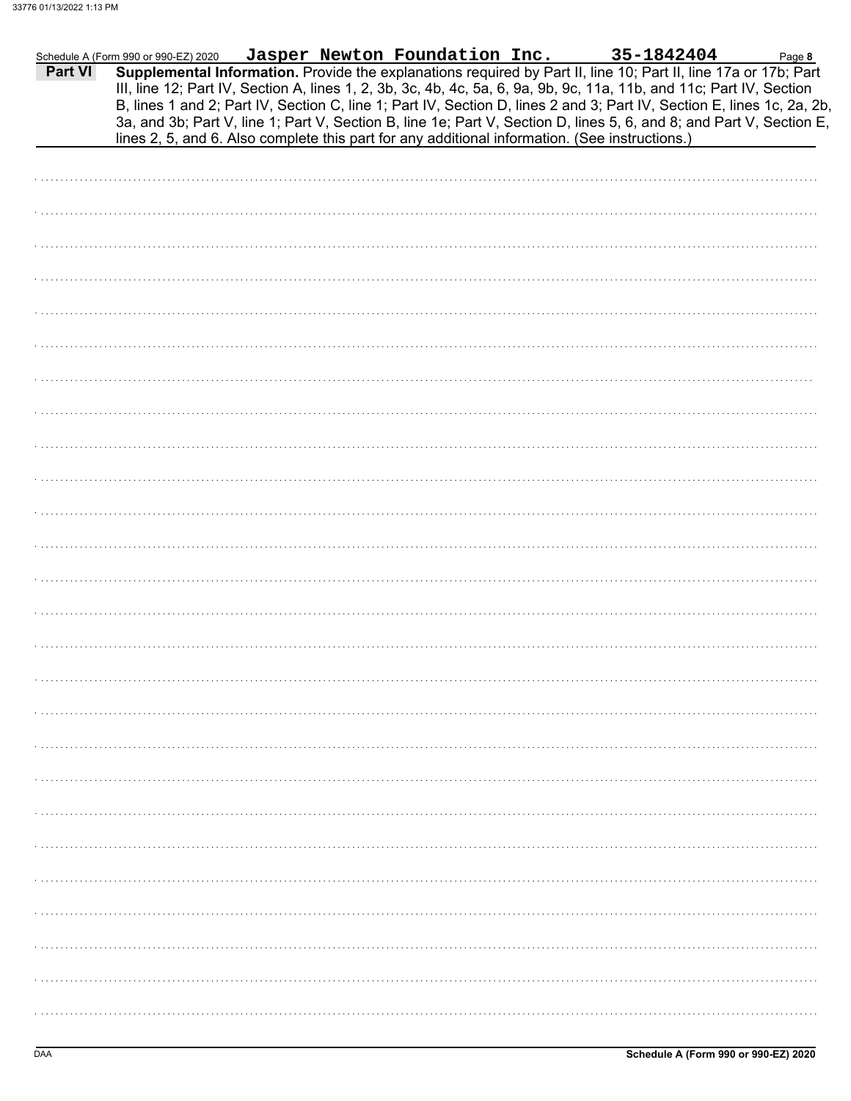|         | Schedule A (Form 990 or 990-EZ) 2020 |  | Jasper Newton Foundation Inc. | 35-1842404                                                                                                                                                                                                                                                                                                                                                                                                                                                                                | Page 8 |
|---------|--------------------------------------|--|-------------------------------|-------------------------------------------------------------------------------------------------------------------------------------------------------------------------------------------------------------------------------------------------------------------------------------------------------------------------------------------------------------------------------------------------------------------------------------------------------------------------------------------|--------|
| Part VI |                                      |  |                               | Supplemental Information. Provide the explanations required by Part II, line 10; Part II, line 17a or 17b; Part<br>III, line 12; Part IV, Section A, lines 1, 2, 3b, 3c, 4b, 4c, 5a, 6, 9a, 9b, 9c, 11a, 11b, and 11c; Part IV, Section<br>B, lines 1 and 2; Part IV, Section C, line 1; Part IV, Section D, lines 2 and 3; Part IV, Section E, lines 1c, 2a, 2b,<br>3a, and 3b; Part V, line 1; Part V, Section B, line 1e; Part V, Section D, lines 5, 6, and 8; and Part V, Section E, |        |
|         |                                      |  |                               | lines 2, 5, and 6. Also complete this part for any additional information. (See instructions.)                                                                                                                                                                                                                                                                                                                                                                                            |        |
|         |                                      |  |                               |                                                                                                                                                                                                                                                                                                                                                                                                                                                                                           |        |
|         |                                      |  |                               |                                                                                                                                                                                                                                                                                                                                                                                                                                                                                           |        |
|         |                                      |  |                               |                                                                                                                                                                                                                                                                                                                                                                                                                                                                                           |        |
|         |                                      |  |                               |                                                                                                                                                                                                                                                                                                                                                                                                                                                                                           |        |
|         |                                      |  |                               |                                                                                                                                                                                                                                                                                                                                                                                                                                                                                           |        |
|         |                                      |  |                               |                                                                                                                                                                                                                                                                                                                                                                                                                                                                                           |        |
|         |                                      |  |                               |                                                                                                                                                                                                                                                                                                                                                                                                                                                                                           |        |
|         |                                      |  |                               |                                                                                                                                                                                                                                                                                                                                                                                                                                                                                           |        |
|         |                                      |  |                               |                                                                                                                                                                                                                                                                                                                                                                                                                                                                                           |        |
|         |                                      |  |                               |                                                                                                                                                                                                                                                                                                                                                                                                                                                                                           |        |
|         |                                      |  |                               |                                                                                                                                                                                                                                                                                                                                                                                                                                                                                           |        |
|         |                                      |  |                               |                                                                                                                                                                                                                                                                                                                                                                                                                                                                                           |        |
|         |                                      |  |                               |                                                                                                                                                                                                                                                                                                                                                                                                                                                                                           |        |
|         |                                      |  |                               |                                                                                                                                                                                                                                                                                                                                                                                                                                                                                           |        |
|         |                                      |  |                               |                                                                                                                                                                                                                                                                                                                                                                                                                                                                                           |        |
|         |                                      |  |                               |                                                                                                                                                                                                                                                                                                                                                                                                                                                                                           |        |
|         |                                      |  |                               |                                                                                                                                                                                                                                                                                                                                                                                                                                                                                           |        |
|         |                                      |  |                               |                                                                                                                                                                                                                                                                                                                                                                                                                                                                                           |        |
|         |                                      |  |                               |                                                                                                                                                                                                                                                                                                                                                                                                                                                                                           |        |
|         |                                      |  |                               |                                                                                                                                                                                                                                                                                                                                                                                                                                                                                           |        |
|         |                                      |  |                               |                                                                                                                                                                                                                                                                                                                                                                                                                                                                                           |        |
|         |                                      |  |                               |                                                                                                                                                                                                                                                                                                                                                                                                                                                                                           |        |
|         |                                      |  |                               |                                                                                                                                                                                                                                                                                                                                                                                                                                                                                           |        |
|         |                                      |  |                               |                                                                                                                                                                                                                                                                                                                                                                                                                                                                                           |        |
|         |                                      |  |                               |                                                                                                                                                                                                                                                                                                                                                                                                                                                                                           |        |
|         |                                      |  |                               |                                                                                                                                                                                                                                                                                                                                                                                                                                                                                           |        |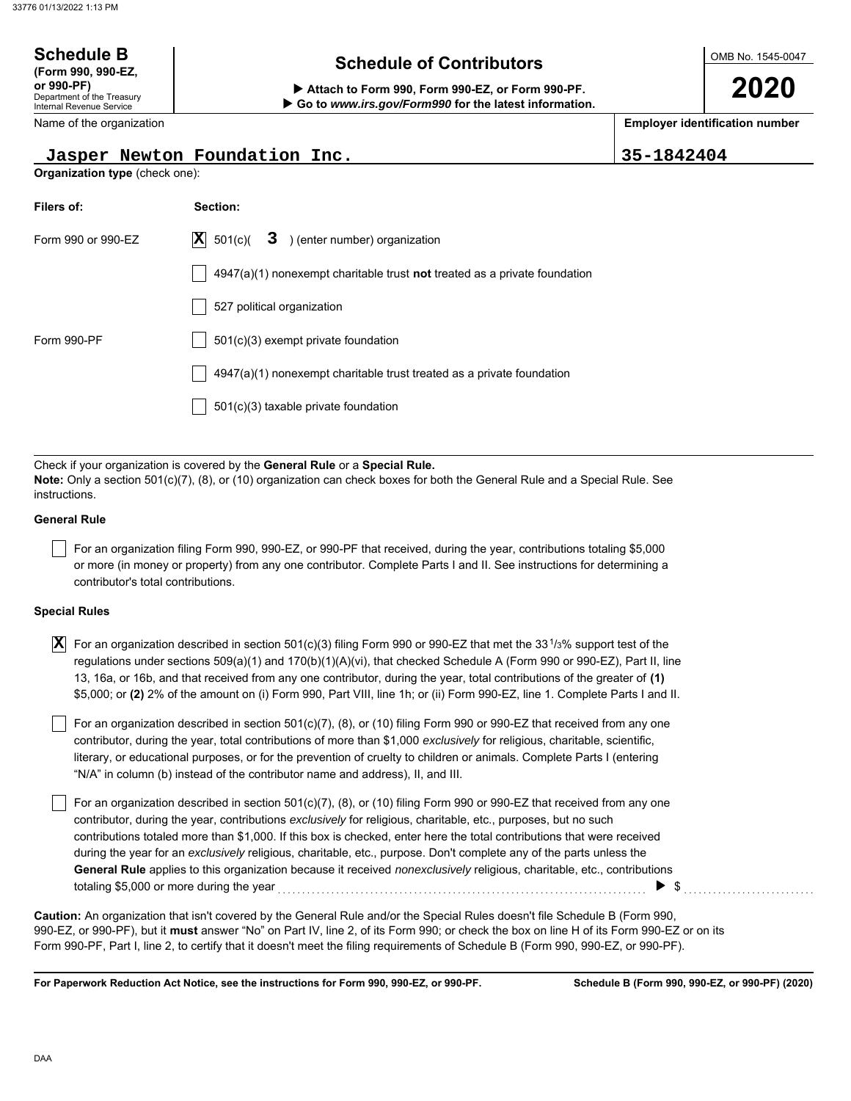#### OMB No. 1545-0047 Department of the Treasury Internal Revenue Service Name of the organization **2020 Schedule B**  $\overline{\phantom{a}}$  **Schedule of Contributors (Form 990, 990-EZ, or 990-PF) Attach to Form 990, Form 990-EZ, or Form 990-PF. Employer identification number Organization type** (check one):  **Go to** *www.irs.gov/Form990* **for the latest information. Jasper Newton Foundation Inc. 35-1842404**

| Filers of:         | Section:                                                                           |
|--------------------|------------------------------------------------------------------------------------|
| Form 990 or 990-FZ | $ \mathbf{X} $ 501(c)( <b>3</b> ) (enter number) organization                      |
|                    | $4947(a)(1)$ nonexempt charitable trust <b>not</b> treated as a private foundation |
|                    | 527 political organization                                                         |
| Form 990-PF        | $501(c)(3)$ exempt private foundation                                              |
|                    | $4947(a)(1)$ nonexempt charitable trust treated as a private foundation            |
|                    | 501(c)(3) taxable private foundation                                               |

Check if your organization is covered by the **General Rule** or a **Special Rule. Note:** Only a section 501(c)(7), (8), or (10) organization can check boxes for both the General Rule and a Special Rule. See instructions.

### **General Rule**

For an organization filing Form 990, 990-EZ, or 990-PF that received, during the year, contributions totaling \$5,000 or more (in money or property) from any one contributor. Complete Parts I and II. See instructions for determining a contributor's total contributions.

#### **Special Rules**

| $\overline{\bf X}\vert$ For an organization described in section 501(c)(3) filing Form 990 or 990-EZ that met the 33 $^{1}\!/$ 3% support test of the |
|-------------------------------------------------------------------------------------------------------------------------------------------------------|
| regulations under sections 509(a)(1) and 170(b)(1)(A)(vi), that checked Schedule A (Form 990 or 990-EZ), Part II, line                                |
| 13, 16a, or 16b, and that received from any one contributor, during the year, total contributions of the greater of (1)                               |
| \$5,000; or (2) 2% of the amount on (i) Form 990, Part VIII, line 1h; or (ii) Form 990-EZ, line 1. Complete Parts I and II.                           |

literary, or educational purposes, or for the prevention of cruelty to children or animals. Complete Parts I (entering For an organization described in section 501(c)(7), (8), or (10) filing Form 990 or 990-EZ that received from any one contributor, during the year, total contributions of more than \$1,000 *exclusively* for religious, charitable, scientific, "N/A" in column (b) instead of the contributor name and address), II, and III.

For an organization described in section 501(c)(7), (8), or (10) filing Form 990 or 990-EZ that received from any one contributor, during the year, contributions *exclusively* for religious, charitable, etc., purposes, but no such contributions totaled more than \$1,000. If this box is checked, enter here the total contributions that were received during the year for an *exclusively* religious, charitable, etc., purpose. Don't complete any of the parts unless the **General Rule** applies to this organization because it received *nonexclusively* religious, charitable, etc., contributions totaling \$5,000 or more during the year . . . . . . . . . . . . . . . . . . . . . . . . . . . . . . . . . . . . . . . . . . . . . . . . . . . . . . . . . . . . . . . . . . . . . . . . . . . . \$ . . . . . . . . . . . . . . . . . . . . . . . . . . .

990-EZ, or 990-PF), but it **must** answer "No" on Part IV, line 2, of its Form 990; or check the box on line H of its Form 990-EZ or on its Form 990-PF, Part I, line 2, to certify that it doesn't meet the filing requirements of Schedule B (Form 990, 990-EZ, or 990-PF). **Caution:** An organization that isn't covered by the General Rule and/or the Special Rules doesn't file Schedule B (Form 990,

**For Paperwork Reduction Act Notice, see the instructions for Form 990, 990-EZ, or 990-PF.**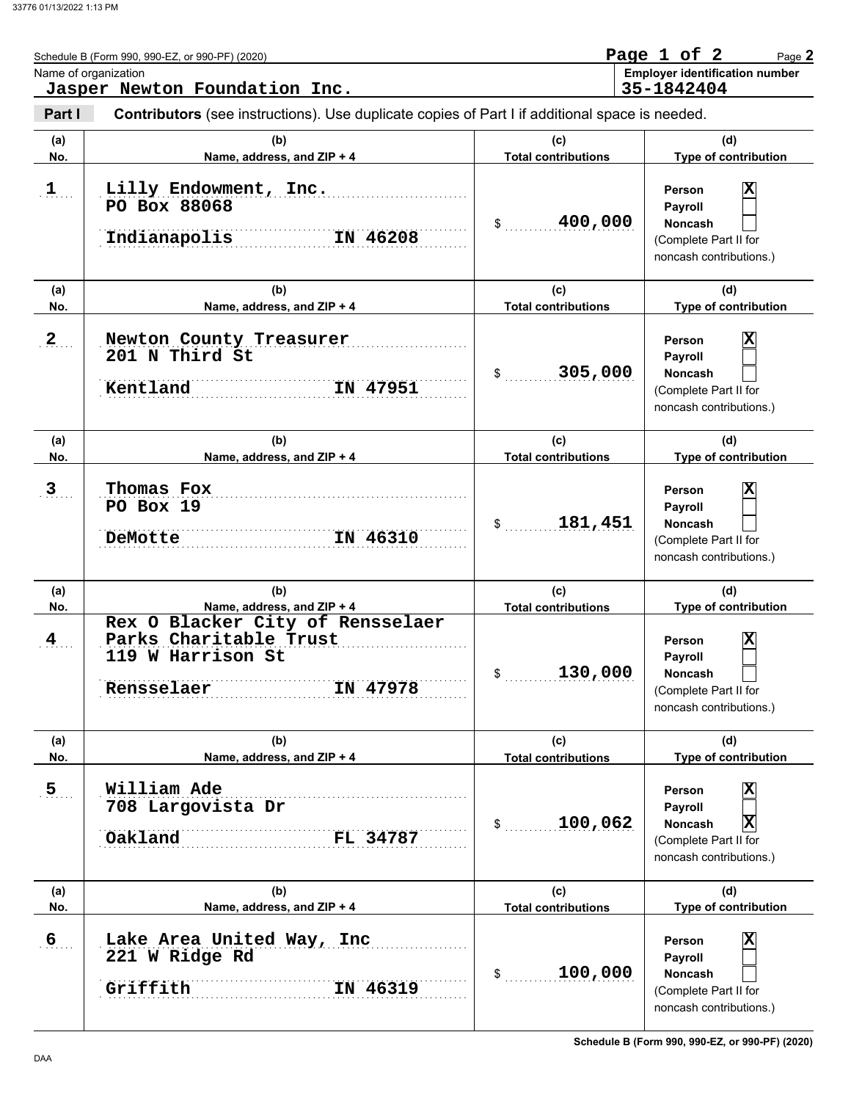|                      | Schedule B (Form 990, 990-EZ, or 990-PF) (2020)<br>Name of organization<br>Jasper Newton Foundation Inc.                                |                                             | Page 1 of 2<br>Page 2<br><b>Employer identification number</b><br>35-1842404                                                        |
|----------------------|-----------------------------------------------------------------------------------------------------------------------------------------|---------------------------------------------|-------------------------------------------------------------------------------------------------------------------------------------|
| Part I               | <b>Contributors</b> (see instructions). Use duplicate copies of Part I if additional space is needed.                                   |                                             |                                                                                                                                     |
| (a)<br>No.           | (b)<br>Name, address, and ZIP + 4                                                                                                       | (c)<br><b>Total contributions</b>           | (d)<br>Type of contribution                                                                                                         |
| $\mathbf{1}$         | Lilly Endowment, Inc.<br>PO Box 88068<br>Indianapolis<br>IN 46208                                                                       | 400,000<br>\$                               | $\overline{\mathbf{x}}$<br>Person<br>Payroll<br><b>Noncash</b><br>(Complete Part II for<br>noncash contributions.)                  |
| (a)<br>No.           | (b)<br>Name, address, and ZIP + 4                                                                                                       | (c)<br><b>Total contributions</b>           | (d)<br>Type of contribution                                                                                                         |
| $\mathbf{2}$         | Newton County Treasurer<br>201 N Third St<br>Kentland<br>IN 47951                                                                       | 305,000<br>\$                               | $\overline{\mathbf{x}}$<br>Person<br>Payroll<br><b>Noncash</b><br>(Complete Part II for<br>noncash contributions.)                  |
| (a)<br>No.           | (b)<br>Name, address, and ZIP + 4                                                                                                       | (c)<br><b>Total contributions</b>           | (d)<br>Type of contribution                                                                                                         |
| 3                    | Thomas Fox<br>PO Box 19<br>IN 46310<br>DeMotte                                                                                          | 181,451<br>\$                               | $\overline{\mathbf{x}}$<br>Person<br>Payroll<br><b>Noncash</b><br>(Complete Part II for<br>noncash contributions.)                  |
| (a)                  | (b)                                                                                                                                     | (c)                                         | (d)                                                                                                                                 |
| No.<br>$\frac{4}{3}$ | Name, address, and ZIP + 4<br>Rex O Blacker City of Rensselaer<br>Parks Charitable Trust<br>119 W Harrison St<br>Rensselaer<br>IN 47978 | <b>Total contributions</b><br>130,000<br>\$ | Type of contribution<br>$\overline{\mathbf{x}}$<br>Person<br>Payroll<br>Noncash<br>(Complete Part II for<br>noncash contributions.) |
| (a)<br>No.           | (b)<br>Name, address, and ZIP + 4                                                                                                       | (c)<br><b>Total contributions</b>           | (d)<br>Type of contribution                                                                                                         |
| 5 <sub>1</sub>       | William Ade<br>708 Largovista Dr<br>Oakland<br>FL 34787                                                                                 | 100,062<br>$\frac{1}{2}$                    | X<br>Person<br>Payroll<br>$ \mathbf{X} $<br>Noncash<br>(Complete Part II for<br>noncash contributions.)                             |
| (a)<br>No.           | (b)<br>Name, address, and ZIP + 4                                                                                                       | (c)<br><b>Total contributions</b>           | (d)<br>Type of contribution                                                                                                         |
| $6 \overline{6}$     | Lake Area United Way, Inc<br>221 W Ridge Rd<br>Griffith<br>IN 46319                                                                     | 100,000<br>$\frac{1}{2}$                    | X<br>Person<br>Payroll<br>Noncash<br>(Complete Part II for<br>noncash contributions.)                                               |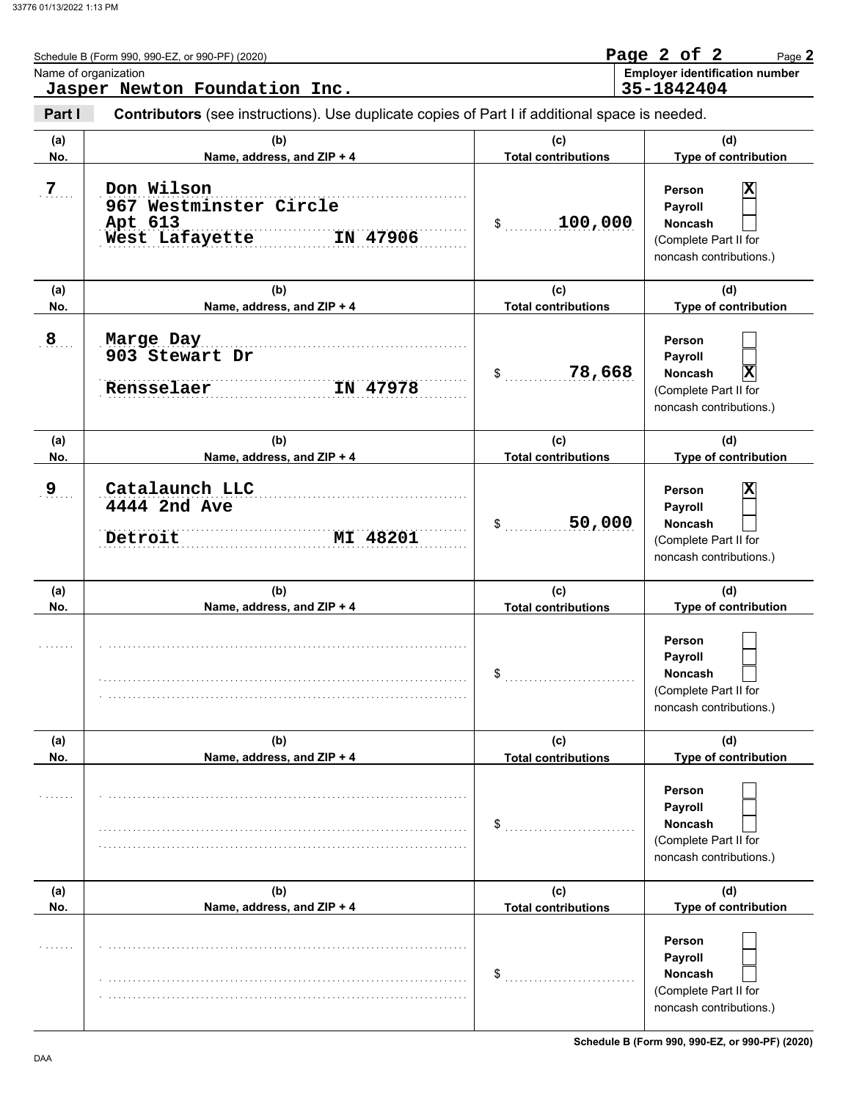| Name of organization | Schedule B (Form 990, 990-EZ, or 990-PF) (2020)<br>Jasper Newton Foundation Inc.               |                                   | Page 2 of 2<br>Page 2<br><b>Employer identification number</b><br>35-1842404                                              |
|----------------------|------------------------------------------------------------------------------------------------|-----------------------------------|---------------------------------------------------------------------------------------------------------------------------|
| Part I               | Contributors (see instructions). Use duplicate copies of Part I if additional space is needed. |                                   |                                                                                                                           |
| (a)<br>No.           | (b)<br>Name, address, and ZIP + 4                                                              | (c)<br><b>Total contributions</b> | (d)<br>Type of contribution                                                                                               |
| $7\phantom{.}$       | Don Wilson<br>967 Westminster Circle<br>Apt 613<br>IN 47906<br>West Lafayette                  | 100,000<br>\$                     | $\overline{\textbf{x}}$<br>Person<br>Payroll<br><b>Noncash</b><br>(Complete Part II for<br>noncash contributions.)        |
| (a)<br>No.           | (b)<br>Name, address, and ZIP + 4                                                              | (c)<br><b>Total contributions</b> | (d)<br>Type of contribution                                                                                               |
| 8                    | Marge Day<br>903 Stewart Dr<br>Rensselaer<br>IN 47978                                          | 78,668<br>\$                      | Person<br>Payroll<br>$\vert$ X<br><b>Noncash</b><br>(Complete Part II for<br>noncash contributions.)                      |
| (a)<br>No.           | (b)<br>Name, address, and ZIP + 4                                                              | (c)<br><b>Total contributions</b> | (d)<br>Type of contribution                                                                                               |
| 9                    | Catalaunch LLC<br>4444 2nd Ave<br>Detroit<br>MI 48201                                          | 50,000<br>\$                      | $\overline{\mathbf{x}}$<br><b>Person</b><br>Payroll<br><b>Noncash</b><br>(Complete Part II for<br>noncash contributions.) |
| (a)<br>No.           | (b)<br>Name, address, and ZIP + 4                                                              | (c)<br><b>Total contributions</b> | (d)<br>Type of contribution                                                                                               |
|                      |                                                                                                | \$                                | Person<br>Payroll<br>Noncash<br>(Complete Part II for<br>noncash contributions.)                                          |
| (a)<br>No.           | (b)<br>Name, address, and ZIP + 4                                                              | (c)<br><b>Total contributions</b> | (d)<br>Type of contribution                                                                                               |
|                      |                                                                                                | \$                                | Person<br>Payroll<br><b>Noncash</b><br>(Complete Part II for<br>noncash contributions.)                                   |
| (a)<br>No.           | (b)<br>Name, address, and ZIP + 4                                                              | (c)<br><b>Total contributions</b> | (d)<br>Type of contribution                                                                                               |
|                      |                                                                                                | \$                                | Person<br>Payroll<br><b>Noncash</b><br>(Complete Part II for<br>noncash contributions.)                                   |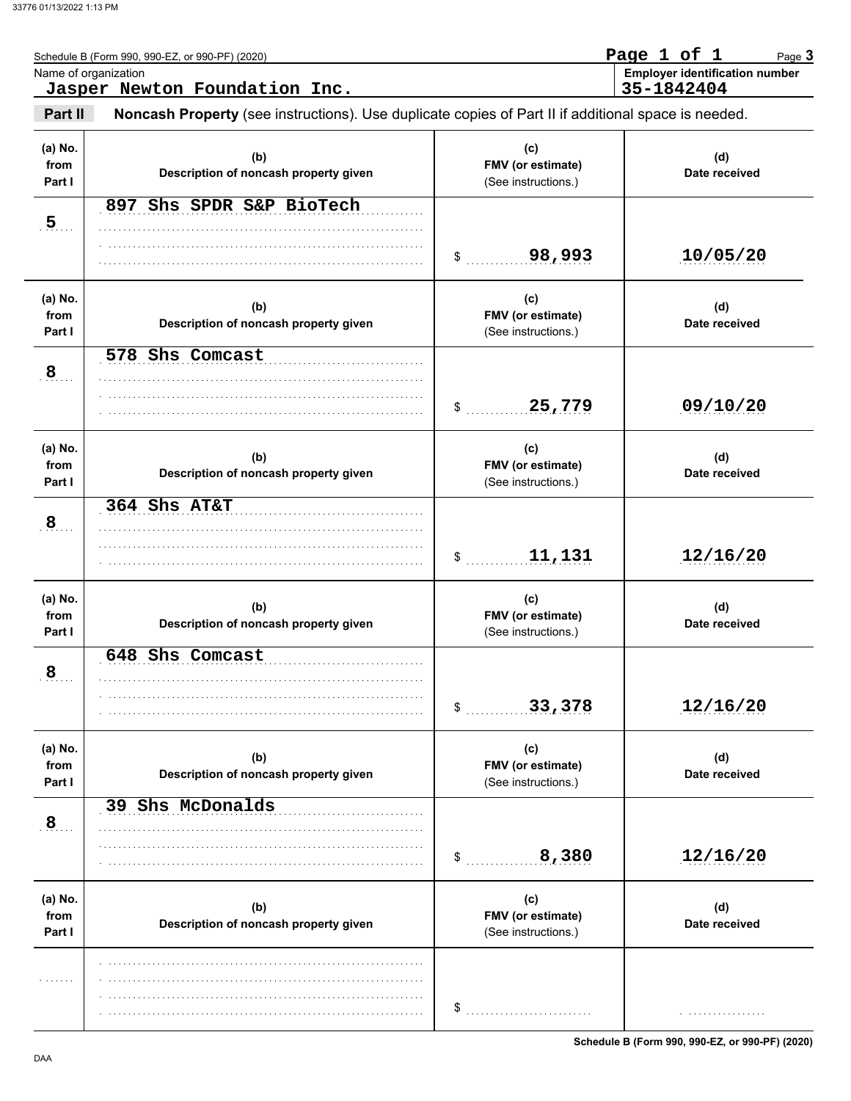|                           | Schedule B (Form 990, 990-EZ, or 990-PF) (2020)<br>Name of organization<br>Jasper Newton Foundation Inc. |                                                 | Page 1 of 1<br>Page 3<br><b>Employer identification number</b><br>35-1842404 |
|---------------------------|----------------------------------------------------------------------------------------------------------|-------------------------------------------------|------------------------------------------------------------------------------|
| Part II                   | Noncash Property (see instructions). Use duplicate copies of Part II if additional space is needed.      |                                                 |                                                                              |
| (a) No.<br>from<br>Part I | (b)<br>Description of noncash property given                                                             | (c)<br>FMV (or estimate)<br>(See instructions.) | (d)<br>Date received                                                         |
| $5$ .                     | 897 Shs SPDR S&P BioTech                                                                                 | 98,993<br>\$                                    | 10/05/20                                                                     |
| (a) No.<br>from<br>Part I | (b)<br>Description of noncash property given                                                             | (c)<br>FMV (or estimate)<br>(See instructions.) | (d)<br>Date received                                                         |
| 8                         | 578 Shs Comcast                                                                                          | 25,779<br>\$                                    | 09/10/20                                                                     |
| (a) No.<br>from<br>Part I | (b)<br>Description of noncash property given                                                             | (c)<br>FMV (or estimate)<br>(See instructions.) | (d)<br>Date received                                                         |
| $\frac{8}{3}$             | 364 Shs AT&T                                                                                             | 11,131<br>\$                                    | 12/16/20                                                                     |
| (a) No.<br>from<br>Part I | (b)<br>Description of noncash property given                                                             | (c)<br>FMV (or estimate)<br>(See instructions.) | (d)<br>Date received                                                         |
| $\mathbf{8}_{\dots}$      | 648 Shs Comcast                                                                                          | 33,378<br>\$                                    | 12/16/20                                                                     |
| (a) No.<br>from<br>Part I | (b)<br>Description of noncash property given                                                             | (c)<br>FMV (or estimate)<br>(See instructions.) | (d)<br>Date received                                                         |
| $\frac{8}{3}$             | 39 Shs McDonalds                                                                                         | 8,380<br>\$                                     | 12/16/20                                                                     |
| (a) No.<br>from<br>Part I | (b)<br>Description of noncash property given                                                             | (c)<br>FMV (or estimate)<br>(See instructions.) | (d)<br>Date received                                                         |
|                           |                                                                                                          | \$                                              |                                                                              |

**Schedule B (Form 990, 990-EZ, or 990-PF) (2020)**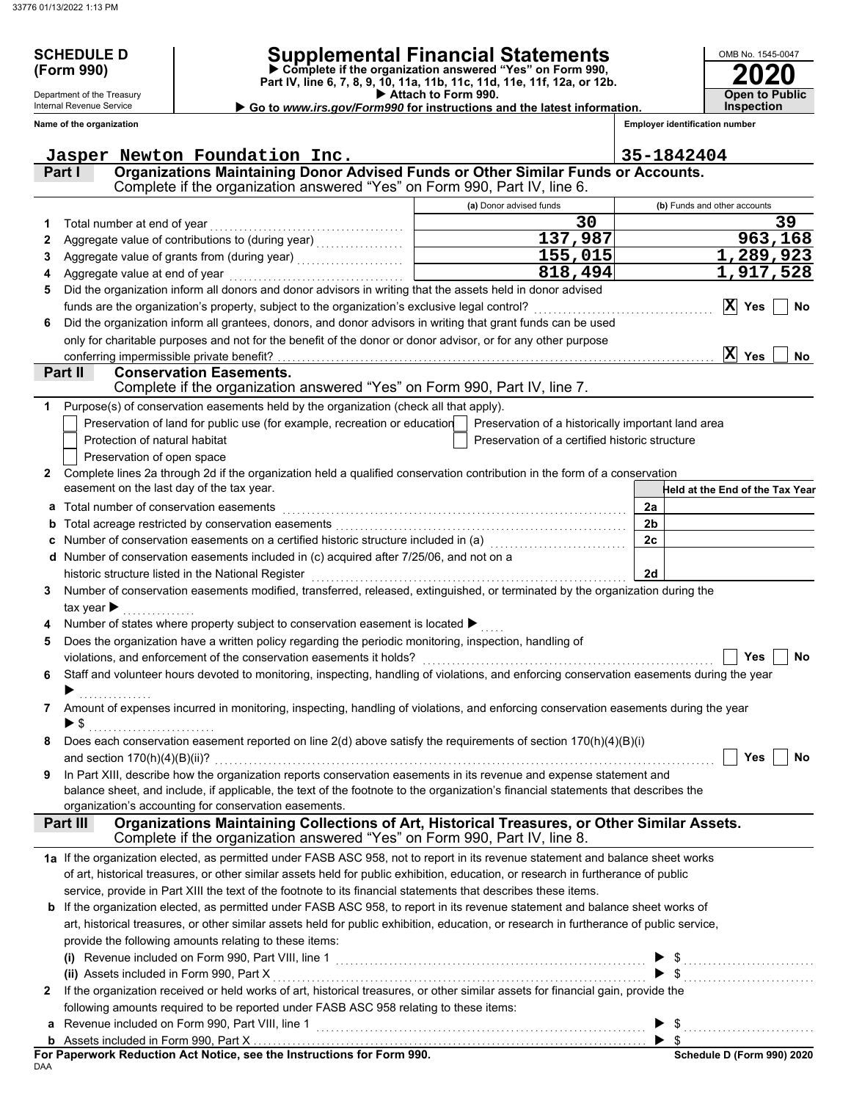Department of the Treasury Internal Revenue Service

# **SCHEDULE D Supplemental Financial Statements**

 **Attach to Form 990. (Form 990) Part IV, line 6, 7, 8, 9, 10, 11a, 11b, 11c, 11d, 11e, 11f, 12a, or 12b. Complete if the organization answered "Yes" on Form 990,**

 **Go to** *www.irs.gov/Form990* **for instructions and the latest information.**

**Inspection**

**2020**

**Open to Public**

OMB No. 1545-0047

|              | Name of the organization                                                                                                                  |                                                | <b>Employer identification number</b> |
|--------------|-------------------------------------------------------------------------------------------------------------------------------------------|------------------------------------------------|---------------------------------------|
|              | Jasper Newton Foundation Inc.                                                                                                             |                                                | 35-1842404                            |
|              | <u>INEWCOIL EQUIDACTON TIRE.</u><br>Organizations Maintaining Donor Advised Funds or Other Similar Funds or Accounts.<br>Part I           |                                                |                                       |
|              | Complete if the organization answered "Yes" on Form 990, Part IV, line 6.                                                                 |                                                |                                       |
|              |                                                                                                                                           | (a) Donor advised funds                        | (b) Funds and other accounts          |
| 1            | Total number at end of year                                                                                                               | 30                                             | 39                                    |
| 2            |                                                                                                                                           | 137,987                                        | 963,168                               |
| 3            |                                                                                                                                           | 155,015                                        | 1,289,923                             |
| 4            | Aggregate value at end of year                                                                                                            | 818,494                                        | 1,917,528                             |
| 5            | Did the organization inform all donors and donor advisors in writing that the assets held in donor advised                                |                                                |                                       |
|              | funds are the organization's property, subject to the organization's exclusive legal control?                                             |                                                | $ \mathbf{x} $<br>Yes<br>No           |
| 6            | Did the organization inform all grantees, donors, and donor advisors in writing that grant funds can be used                              |                                                |                                       |
|              | only for charitable purposes and not for the benefit of the donor or donor advisor, or for any other purpose                              |                                                |                                       |
|              | conferring impermissible private benefit?                                                                                                 |                                                | X Yes<br><b>No</b>                    |
|              | Part II<br><b>Conservation Easements.</b>                                                                                                 |                                                |                                       |
|              | Complete if the organization answered "Yes" on Form 990, Part IV, line 7.                                                                 |                                                |                                       |
| 1            | Purpose(s) of conservation easements held by the organization (check all that apply).                                                     |                                                |                                       |
|              | Preservation of land for public use (for example, recreation or education   Preservation of a historically important land area            |                                                |                                       |
|              | Protection of natural habitat<br>Preservation of open space                                                                               | Preservation of a certified historic structure |                                       |
| $\mathbf{2}$ | Complete lines 2a through 2d if the organization held a qualified conservation contribution in the form of a conservation                 |                                                |                                       |
|              | easement on the last day of the tax year.                                                                                                 |                                                | Held at the End of the Tax Year       |
| а            | Total number of conservation easements                                                                                                    |                                                | 2a                                    |
| b            |                                                                                                                                           |                                                | 2 <sub>b</sub>                        |
|              | Number of conservation easements on a certified historic structure included in (a) [11] Number of conservation                            |                                                | 2c                                    |
|              | Number of conservation easements included in (c) acquired after 7/25/06, and not on a                                                     |                                                |                                       |
|              | historic structure listed in the National Register                                                                                        |                                                | 2d                                    |
| 3            | Number of conservation easements modified, transferred, released, extinguished, or terminated by the organization during the              |                                                |                                       |
|              | tax year $\blacktriangleright$                                                                                                            |                                                |                                       |
|              | Number of states where property subject to conservation easement is located $\blacktriangleright$                                         |                                                |                                       |
| 5            | Does the organization have a written policy regarding the periodic monitoring, inspection, handling of                                    |                                                |                                       |
|              | violations, and enforcement of the conservation easements it holds?                                                                       |                                                | No<br>Yes                             |
| 6            | Staff and volunteer hours devoted to monitoring, inspecting, handling of violations, and enforcing conservation easements during the year |                                                |                                       |
|              |                                                                                                                                           |                                                |                                       |
| 7            | Amount of expenses incurred in monitoring, inspecting, handling of violations, and enforcing conservation easements during the year       |                                                |                                       |
|              | ▶ \$                                                                                                                                      |                                                |                                       |
|              | Does each conservation easement reported on line 2(d) above satisfy the requirements of section 170(h)(4)(B)(i)                           |                                                |                                       |
| 9            | In Part XIII, describe how the organization reports conservation easements in its revenue and expense statement and                       |                                                | Yes<br>No                             |
|              | balance sheet, and include, if applicable, the text of the footnote to the organization's financial statements that describes the         |                                                |                                       |
|              | organization's accounting for conservation easements.                                                                                     |                                                |                                       |
|              | Organizations Maintaining Collections of Art, Historical Treasures, or Other Similar Assets.<br>Part III                                  |                                                |                                       |
|              | Complete if the organization answered "Yes" on Form 990, Part IV, line 8.                                                                 |                                                |                                       |
|              | 1a If the organization elected, as permitted under FASB ASC 958, not to report in its revenue statement and balance sheet works           |                                                |                                       |
|              | of art, historical treasures, or other similar assets held for public exhibition, education, or research in furtherance of public         |                                                |                                       |
|              | service, provide in Part XIII the text of the footnote to its financial statements that describes these items.                            |                                                |                                       |
|              | <b>b</b> If the organization elected, as permitted under FASB ASC 958, to report in its revenue statement and balance sheet works of      |                                                |                                       |
|              | art, historical treasures, or other similar assets held for public exhibition, education, or research in furtherance of public service,   |                                                |                                       |
|              | provide the following amounts relating to these items:                                                                                    |                                                |                                       |
|              |                                                                                                                                           |                                                | $\blacktriangleright$ \$              |
|              |                                                                                                                                           |                                                | $\$\ldots$                            |
| 2            | If the organization received or held works of art, historical treasures, or other similar assets for financial gain, provide the          |                                                |                                       |
|              | following amounts required to be reported under FASB ASC 958 relating to these items:                                                     |                                                |                                       |
|              |                                                                                                                                           |                                                | $\blacktriangleright$ \$              |
|              |                                                                                                                                           |                                                |                                       |

DAA **For Paperwork Reduction Act Notice, see the Instructions for Form 990.**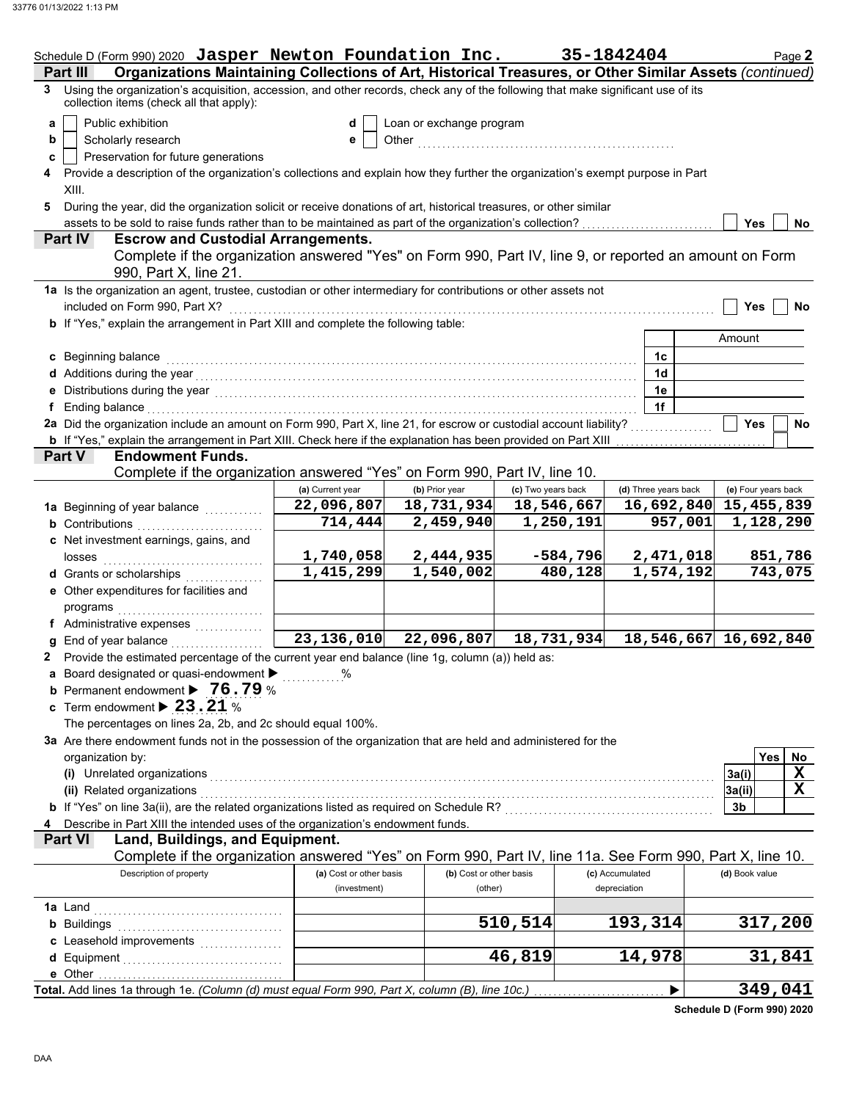|          | Schedule D (Form 990) 2020 Jasper Newton Foundation Inc.                                                                                                                                                                       |                         |                          |                                                                                                                                                                                                                                    | 35-1842404           | Page 2                |
|----------|--------------------------------------------------------------------------------------------------------------------------------------------------------------------------------------------------------------------------------|-------------------------|--------------------------|------------------------------------------------------------------------------------------------------------------------------------------------------------------------------------------------------------------------------------|----------------------|-----------------------|
| Part III | Organizations Maintaining Collections of Art, Historical Treasures, or Other Similar Assets (continued)                                                                                                                        |                         |                          |                                                                                                                                                                                                                                    |                      |                       |
|          | 3 Using the organization's acquisition, accession, and other records, check any of the following that make significant use of its<br>collection items (check all that apply):                                                  |                         |                          |                                                                                                                                                                                                                                    |                      |                       |
| a        | Public exhibition                                                                                                                                                                                                              | d                       | Loan or exchange program |                                                                                                                                                                                                                                    |                      |                       |
| b        | Scholarly research                                                                                                                                                                                                             | е                       |                          | Other <b>Other Constitution of the Constitution of the Constitution of the Constitution of the Constitution of the Constitution of the Constitution of the Constitution of the Constitution of the Constitution of the Constit</b> |                      |                       |
| c        | Preservation for future generations                                                                                                                                                                                            |                         |                          |                                                                                                                                                                                                                                    |                      |                       |
|          | Provide a description of the organization's collections and explain how they further the organization's exempt purpose in Part                                                                                                 |                         |                          |                                                                                                                                                                                                                                    |                      |                       |
| XIII.    |                                                                                                                                                                                                                                |                         |                          |                                                                                                                                                                                                                                    |                      |                       |
| 5.       | During the year, did the organization solicit or receive donations of art, historical treasures, or other similar                                                                                                              |                         |                          |                                                                                                                                                                                                                                    |                      |                       |
|          | assets to be sold to raise funds rather than to be maintained as part of the organization's collection?                                                                                                                        |                         |                          |                                                                                                                                                                                                                                    |                      | <b>Yes</b><br>No.     |
| Part IV  | <b>Escrow and Custodial Arrangements.</b>                                                                                                                                                                                      |                         |                          |                                                                                                                                                                                                                                    |                      |                       |
|          | Complete if the organization answered "Yes" on Form 990, Part IV, line 9, or reported an amount on Form<br>990, Part X, line 21.                                                                                               |                         |                          |                                                                                                                                                                                                                                    |                      |                       |
|          | 1a Is the organization an agent, trustee, custodian or other intermediary for contributions or other assets not                                                                                                                |                         |                          |                                                                                                                                                                                                                                    |                      |                       |
|          |                                                                                                                                                                                                                                |                         |                          |                                                                                                                                                                                                                                    |                      |                       |
|          | included on Form 990, Part X?                                                                                                                                                                                                  |                         |                          |                                                                                                                                                                                                                                    |                      | <b>Yes</b><br>No      |
|          | b If "Yes," explain the arrangement in Part XIII and complete the following table:                                                                                                                                             |                         |                          |                                                                                                                                                                                                                                    |                      |                       |
|          |                                                                                                                                                                                                                                |                         |                          |                                                                                                                                                                                                                                    |                      | Amount                |
|          | c Beginning balance                                                                                                                                                                                                            |                         |                          |                                                                                                                                                                                                                                    | 1c                   |                       |
|          |                                                                                                                                                                                                                                |                         |                          |                                                                                                                                                                                                                                    | 1 <sub>d</sub>       |                       |
|          | Distributions during the year [1, 2003] [1, 2014] [1, 2014] [1, 2014] [1, 2014] [1, 2014] [1, 2014] [1, 2014] [                                                                                                                |                         |                          |                                                                                                                                                                                                                                    | 1e                   |                       |
|          | Ending balance with a continuum and continuum and continuum and continuum and continuum and continuum and continuum and continuum and continuum and continuum and continuum and continuum and continuum and continuum and cont |                         |                          |                                                                                                                                                                                                                                    | 1f                   |                       |
|          | 2a Did the organization include an amount on Form 990, Part X, line 21, for escrow or custodial account liability?                                                                                                             |                         |                          |                                                                                                                                                                                                                                    |                      | <b>Yes</b><br>No      |
|          | <b>b</b> If "Yes," explain the arrangement in Part XIII. Check here if the explanation has been provided on Part XIII                                                                                                          |                         |                          |                                                                                                                                                                                                                                    |                      |                       |
| Part V   | <b>Endowment Funds.</b>                                                                                                                                                                                                        |                         |                          |                                                                                                                                                                                                                                    |                      |                       |
|          | Complete if the organization answered "Yes" on Form 990, Part IV, line 10.                                                                                                                                                     |                         |                          |                                                                                                                                                                                                                                    |                      |                       |
|          |                                                                                                                                                                                                                                | (a) Current year        | (b) Prior year           | (c) Two years back                                                                                                                                                                                                                 | (d) Three years back | (e) Four years back   |
|          | 1a Beginning of year balance                                                                                                                                                                                                   | 22,096,807              | 18,731,934               | 18,546,667                                                                                                                                                                                                                         | 16,692,840           | 15,455,839            |
|          | <b>b</b> Contributions                                                                                                                                                                                                         | 714,444                 | 2,459,940                | 1,250,191                                                                                                                                                                                                                          | 957,001              | 1,128,290             |
|          | c Net investment earnings, gains, and                                                                                                                                                                                          |                         |                          |                                                                                                                                                                                                                                    |                      |                       |
|          | losses                                                                                                                                                                                                                         | 1,740,058               | 2,444,935                | $-584,796$                                                                                                                                                                                                                         | 2,471,018            | 851,786               |
|          | d Grants or scholarships                                                                                                                                                                                                       | 1,415,299               | 1,540,002                | 480,128                                                                                                                                                                                                                            | 1,574,192            | 743,075               |
|          | e Other expenditures for facilities and                                                                                                                                                                                        |                         |                          |                                                                                                                                                                                                                                    |                      |                       |
|          | programs                                                                                                                                                                                                                       |                         |                          |                                                                                                                                                                                                                                    |                      |                       |
|          | f Administrative expenses                                                                                                                                                                                                      |                         |                          |                                                                                                                                                                                                                                    |                      |                       |
|          | End of year balance                                                                                                                                                                                                            | 23, 136, 010            | 22,096,807               | 18,731,934                                                                                                                                                                                                                         |                      | 18,546,667 16,692,840 |
|          | Provide the estimated percentage of the current year end balance (line 1g, column (a)) held as:                                                                                                                                |                         |                          |                                                                                                                                                                                                                                    |                      |                       |
|          |                                                                                                                                                                                                                                |                         |                          |                                                                                                                                                                                                                                    |                      |                       |
|          | Board designated or quasi-endowment > %                                                                                                                                                                                        |                         |                          |                                                                                                                                                                                                                                    |                      |                       |
|          | <b>b</b> Permanent endowment $\triangleright$ 76.79 %                                                                                                                                                                          |                         |                          |                                                                                                                                                                                                                                    |                      |                       |
|          | c Term endowment $\blacktriangleright$ 23.21 %                                                                                                                                                                                 |                         |                          |                                                                                                                                                                                                                                    |                      |                       |
|          | The percentages on lines 2a, 2b, and 2c should equal 100%.                                                                                                                                                                     |                         |                          |                                                                                                                                                                                                                                    |                      |                       |
|          | 3a Are there endowment funds not in the possession of the organization that are held and administered for the                                                                                                                  |                         |                          |                                                                                                                                                                                                                                    |                      |                       |
|          | organization by:                                                                                                                                                                                                               |                         |                          |                                                                                                                                                                                                                                    |                      | Yes<br>No             |
|          | (i) Unrelated organizations                                                                                                                                                                                                    |                         |                          |                                                                                                                                                                                                                                    |                      | X<br>3a(i)            |
|          | (ii) Related organizations                                                                                                                                                                                                     |                         |                          |                                                                                                                                                                                                                                    |                      | $\mathbf x$<br>3a(ii) |
|          | b If "Yes" on line 3a(ii), are the related organizations listed as required on Schedule R?                                                                                                                                     |                         |                          |                                                                                                                                                                                                                                    |                      | 3b                    |
|          | Describe in Part XIII the intended uses of the organization's endowment funds.                                                                                                                                                 |                         |                          |                                                                                                                                                                                                                                    |                      |                       |
| Part VI  | Land, Buildings, and Equipment.                                                                                                                                                                                                |                         |                          |                                                                                                                                                                                                                                    |                      |                       |
|          | Complete if the organization answered "Yes" on Form 990, Part IV, line 11a. See Form 990, Part X, line 10.                                                                                                                     |                         |                          |                                                                                                                                                                                                                                    |                      |                       |
|          | Description of property                                                                                                                                                                                                        | (a) Cost or other basis |                          | (b) Cost or other basis                                                                                                                                                                                                            | (c) Accumulated      | (d) Book value        |
|          |                                                                                                                                                                                                                                | (investment)            |                          | (other)                                                                                                                                                                                                                            | depreciation         |                       |
| 1a Land  |                                                                                                                                                                                                                                |                         |                          |                                                                                                                                                                                                                                    |                      |                       |
|          | <b>b</b> Buildings                                                                                                                                                                                                             |                         |                          | 510,514                                                                                                                                                                                                                            | 193,314              | 317,200               |
|          |                                                                                                                                                                                                                                |                         |                          |                                                                                                                                                                                                                                    |                      |                       |
|          |                                                                                                                                                                                                                                |                         |                          | 46,819                                                                                                                                                                                                                             | 14,978               | 31,841                |
|          | d Equipment                                                                                                                                                                                                                    |                         |                          |                                                                                                                                                                                                                                    |                      |                       |
|          |                                                                                                                                                                                                                                |                         |                          |                                                                                                                                                                                                                                    |                      |                       |
|          | Total. Add lines 1a through 1e. (Column (d) must equal Form 990, Part X, column (B), line 10c.)                                                                                                                                |                         |                          |                                                                                                                                                                                                                                    |                      | 349,041               |

**Schedule D (Form 990) 2020**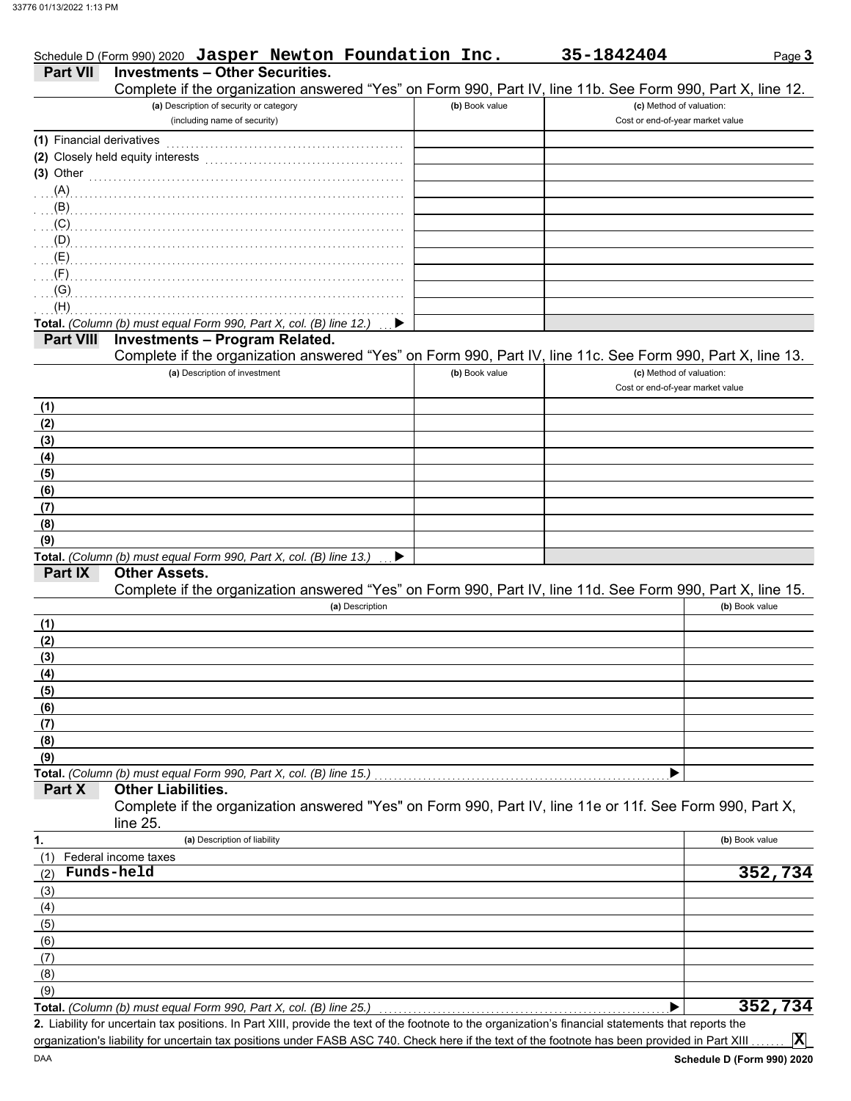|                           | Schedule D (Form 990) 2020 Jasper Newton Foundation Inc.                                                             |                | 35-1842404                       | Page 3         |
|---------------------------|----------------------------------------------------------------------------------------------------------------------|----------------|----------------------------------|----------------|
| <b>Part VII</b>           | <b>Investments - Other Securities.</b>                                                                               |                |                                  |                |
|                           | Complete if the organization answered "Yes" on Form 990, Part IV, line 11b. See Form 990, Part X, line 12.           |                |                                  |                |
|                           | (a) Description of security or category                                                                              | (b) Book value | (c) Method of valuation:         |                |
|                           | (including name of security)                                                                                         |                | Cost or end-of-year market value |                |
| (1) Financial derivatives |                                                                                                                      |                |                                  |                |
|                           | (2) Closely held equity interests                                                                                    |                |                                  |                |
| $(3)$ Other               |                                                                                                                      |                |                                  |                |
| (A)                       |                                                                                                                      |                |                                  |                |
| (B)                       |                                                                                                                      |                |                                  |                |
| (C)                       |                                                                                                                      |                |                                  |                |
| (D)                       |                                                                                                                      |                |                                  |                |
| (E)                       |                                                                                                                      |                |                                  |                |
| (F)                       |                                                                                                                      |                |                                  |                |
| (G)                       |                                                                                                                      |                |                                  |                |
| (H)                       |                                                                                                                      |                |                                  |                |
|                           | Total. (Column (b) must equal Form 990, Part X, col. (B) line 12.)                                                   |                |                                  |                |
| Part VIII                 | <b>Investments - Program Related.</b>                                                                                |                |                                  |                |
|                           | Complete if the organization answered "Yes" on Form 990, Part IV, line 11c. See Form 990, Part X, line 13.           |                |                                  |                |
|                           | (a) Description of investment                                                                                        | (b) Book value | (c) Method of valuation:         |                |
|                           |                                                                                                                      |                | Cost or end-of-year market value |                |
| (1)                       |                                                                                                                      |                |                                  |                |
| (2)                       |                                                                                                                      |                |                                  |                |
| (3)                       |                                                                                                                      |                |                                  |                |
| (4)                       |                                                                                                                      |                |                                  |                |
| (5)                       |                                                                                                                      |                |                                  |                |
| (6)                       |                                                                                                                      |                |                                  |                |
| (7)                       |                                                                                                                      |                |                                  |                |
| (8)                       |                                                                                                                      |                |                                  |                |
| (9)                       | Total. (Column (b) must equal Form 990, Part X, col. (B) line 13.)                                                   |                |                                  |                |
| Part IX                   | <b>Other Assets.</b>                                                                                                 |                |                                  |                |
|                           | Complete if the organization answered "Yes" on Form 990, Part IV, line 11d. See Form 990, Part X, line 15.           |                |                                  |                |
|                           | (a) Description                                                                                                      |                |                                  | (b) Book value |
| (1)                       |                                                                                                                      |                |                                  |                |
| (2)                       |                                                                                                                      |                |                                  |                |
| (3)                       |                                                                                                                      |                |                                  |                |
| (4)                       |                                                                                                                      |                |                                  |                |
| (5)                       |                                                                                                                      |                |                                  |                |
| (6)                       |                                                                                                                      |                |                                  |                |
| (7)                       |                                                                                                                      |                |                                  |                |
| (8)                       |                                                                                                                      |                |                                  |                |
| (9)                       |                                                                                                                      |                |                                  |                |
|                           | Total. (Column (b) must equal Form 990, Part X, col. (B) line 15.)                                                   |                |                                  |                |
| Part X                    | <b>Other Liabilities.</b>                                                                                            |                |                                  |                |
|                           | Complete if the organization answered "Yes" on Form 990, Part IV, line 11e or 11f. See Form 990, Part X,<br>line 25. |                |                                  |                |
| 1.                        | (a) Description of liability                                                                                         |                |                                  | (b) Book value |
| (1)                       | Federal income taxes                                                                                                 |                |                                  |                |
| (2)                       | Funds-held                                                                                                           |                |                                  | 352,734        |
| (3)                       |                                                                                                                      |                |                                  |                |
| (4)                       |                                                                                                                      |                |                                  |                |
| (5)                       |                                                                                                                      |                |                                  |                |
| (6)                       |                                                                                                                      |                |                                  |                |
| (7)                       |                                                                                                                      |                |                                  |                |
| (8)                       |                                                                                                                      |                |                                  |                |
|                           |                                                                                                                      |                |                                  |                |
| (9)                       |                                                                                                                      |                |                                  | 352,734        |

organization's liability for uncertain tax positions under FASB ASC 740. Check here if the text of the footnote has been provided in Part XIII . . . . . . .

**X**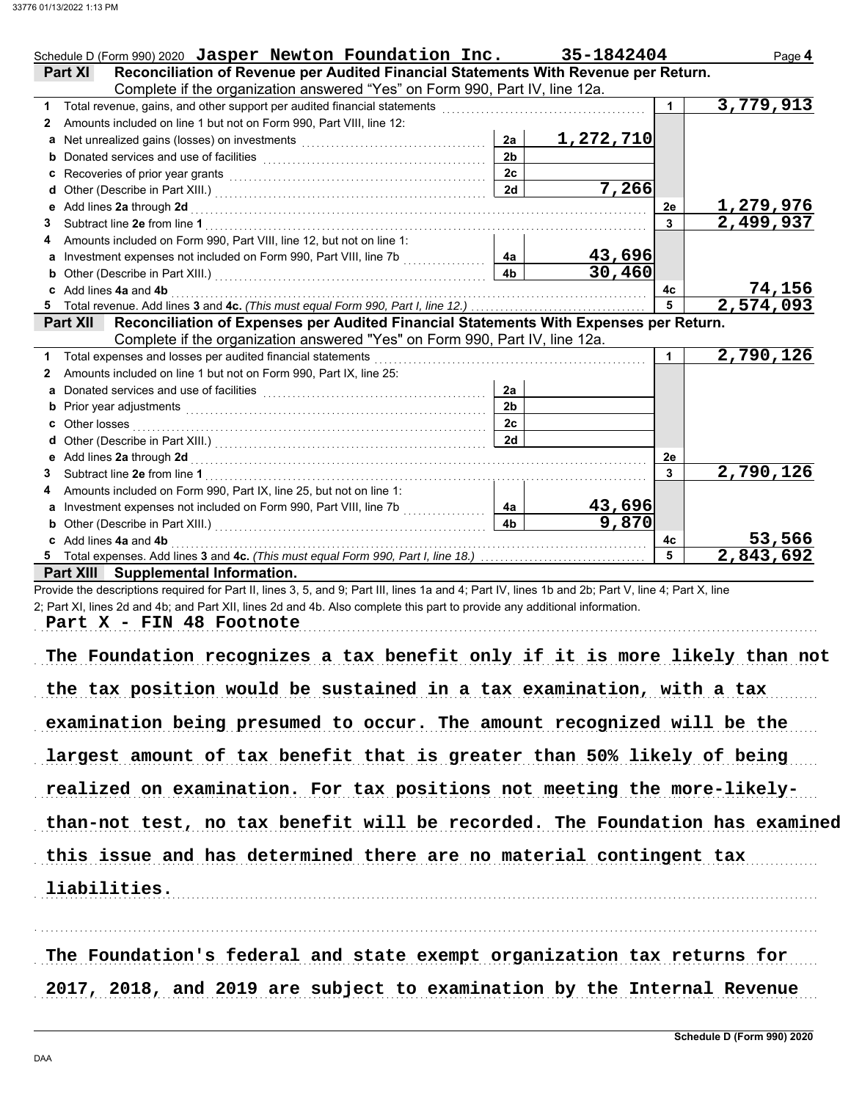|    | Schedule D (Form 990) 2020 Jasper Newton Foundation Inc.                                                                                                                                                                                |                | 35-1842404          |                | Page 4                     |
|----|-----------------------------------------------------------------------------------------------------------------------------------------------------------------------------------------------------------------------------------------|----------------|---------------------|----------------|----------------------------|
|    | Reconciliation of Revenue per Audited Financial Statements With Revenue per Return.<br><b>Part XI</b>                                                                                                                                   |                |                     |                |                            |
|    | Complete if the organization answered "Yes" on Form 990, Part IV, line 12a.                                                                                                                                                             |                |                     |                |                            |
| 1. |                                                                                                                                                                                                                                         |                |                     |                | 3,779,913                  |
| 2  | Amounts included on line 1 but not on Form 990, Part VIII, line 12:                                                                                                                                                                     |                |                     |                |                            |
|    | Net unrealized gains (losses) on investments [111] [11] Net unrealized gains (losses) on investments                                                                                                                                    | 2a             | 1,272,710           |                |                            |
|    | <b>b</b> Donated services and use of facilities <b>constants</b> and the constant of the service of the service of the service of the service of the service of the service of the service of the service of the service of the service | 2 <sub>b</sub> |                     |                |                            |
| c  | Recoveries of prior year grants [11] Recoveries of prior year grants [11] Recoveries of prior year grants                                                                                                                               | 2c             |                     |                |                            |
|    |                                                                                                                                                                                                                                         | 2d             | 7,266               |                |                            |
| е  | Add lines 2a through 2d [11, 12] Add lines 2a through 2d [11, 12] Add lines 2a through 2d [11, 12] Add lines 2                                                                                                                          |                |                     | 2е             | 1,279,976                  |
| 3  |                                                                                                                                                                                                                                         |                |                     | 3              | 2,499,937                  |
|    | Amounts included on Form 990, Part VIII, line 12, but not on line 1:                                                                                                                                                                    |                |                     |                |                            |
|    | a Investment expenses not included on Form 990, Part VIII, line 7b                                                                                                                                                                      | 4a             | 43,696              |                |                            |
| b  |                                                                                                                                                                                                                                         | 4 <sub>b</sub> | $\overline{30,460}$ |                |                            |
|    | c Add lines 4a and 4b                                                                                                                                                                                                                   |                |                     | 4с             |                            |
|    |                                                                                                                                                                                                                                         |                |                     | $\overline{5}$ | $\frac{74,156}{2,574,093}$ |
|    | Reconciliation of Expenses per Audited Financial Statements With Expenses per Return.<br>Part XII                                                                                                                                       |                |                     |                |                            |
|    | Complete if the organization answered "Yes" on Form 990, Part IV, line 12a.                                                                                                                                                             |                |                     |                |                            |
|    | Total expenses and losses per audited financial statements                                                                                                                                                                              |                |                     |                | 2,790,126                  |
| 2  | Amounts included on line 1 but not on Form 990, Part IX, line 25:                                                                                                                                                                       |                |                     |                |                            |
| a  | Donated services and use of facilities                                                                                                                                                                                                  | 2a             |                     |                |                            |
|    |                                                                                                                                                                                                                                         | 2 <sub>b</sub> |                     |                |                            |
| c  | Other losses                                                                                                                                                                                                                            | 2c             |                     |                |                            |
|    |                                                                                                                                                                                                                                         | 2d             |                     |                |                            |
|    |                                                                                                                                                                                                                                         |                |                     | 2е             |                            |
| 3  | Subtract line 2e from line 1                                                                                                                                                                                                            |                |                     | 3              | 2,790,126                  |
| 4  | Amounts included on Form 990, Part IX, line 25, but not on line 1:                                                                                                                                                                      |                |                     |                |                            |
| a  |                                                                                                                                                                                                                                         | 4a             | 43,696              |                |                            |
|    |                                                                                                                                                                                                                                         | 4 <sub>b</sub> | 9,870               |                |                            |
|    | Add lines 4a and 4b                                                                                                                                                                                                                     |                |                     | 4c             | 53,566                     |
|    |                                                                                                                                                                                                                                         |                |                     | 5              | $\overline{2,843,692}$     |
|    | Part XIII Supplemental Information.                                                                                                                                                                                                     |                |                     |                |                            |

Provide the descriptions required for Part II, lines 3, 5, and 9; Part III, lines 1a and 4; Part IV, lines 1b and 2b; Part V, line 4; Part X, line 2; Part XI, lines 2d and 4b; and Part XII, lines 2d and 4b. Also complete this part to provide any additional information.

Part X - FIN 48 Footnote

| The Foundation recognizes a tax benefit only if it is more likely than not  |
|-----------------------------------------------------------------------------|
| the tax position would be sustained in a tax examination, with a tax        |
| examination being presumed to occur. The amount recognized will be the      |
| largest amount of tax benefit that is greater than 50% likely of being      |
| realized on examination. For tax positions not meeting the more-likely-     |
| than-not test, no tax benefit will be recorded. The Foundation has examined |
| this issue and has determined there are no material contingent tax          |
| liabilities.                                                                |
|                                                                             |

The Foundation's federal and state exempt organization tax returns for 2017, 2018, and 2019 are subject to examination by the Internal Revenue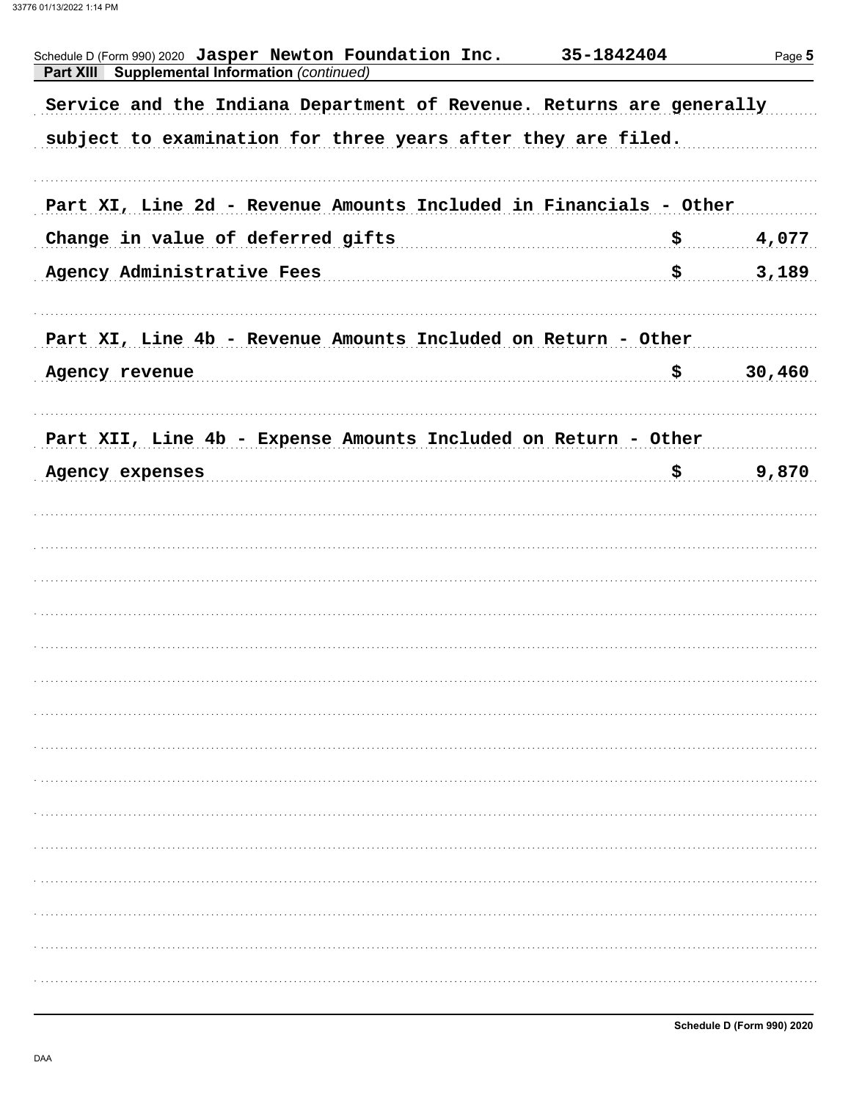| Schedule D (Form 990) 2020 Jasper Newton Foundation Inc.<br><b>Supplemental Information (continued)</b><br><b>Part XIII</b> | 35-1842404 | Page 5 |
|-----------------------------------------------------------------------------------------------------------------------------|------------|--------|
| Service and the Indiana Department of Revenue. Returns are generally                                                        |            |        |
| subject to examination for three years after they are filed.                                                                |            |        |
|                                                                                                                             |            |        |
| Part XI, Line 2d - Revenue Amounts Included in Financials - Other                                                           |            |        |
| Change in value of deferred gifts                                                                                           | \$         | 4,077  |
| Agency Administrative Fees                                                                                                  | \$         | 3,189  |
|                                                                                                                             |            |        |
| Part XI, Line 4b - Revenue Amounts Included on Return - Other                                                               |            |        |
| Agency revenue                                                                                                              | \$         | 30,460 |
|                                                                                                                             |            |        |
| Part XII, Line 4b - Expense Amounts Included on Return - Other                                                              |            |        |
| Agency expenses                                                                                                             | \$         | 9,870  |
|                                                                                                                             |            |        |
|                                                                                                                             |            |        |
|                                                                                                                             |            |        |
|                                                                                                                             |            |        |
|                                                                                                                             |            |        |
|                                                                                                                             |            |        |
|                                                                                                                             |            |        |
|                                                                                                                             |            |        |
|                                                                                                                             |            |        |
|                                                                                                                             |            |        |
|                                                                                                                             |            |        |
|                                                                                                                             |            |        |
|                                                                                                                             |            |        |
|                                                                                                                             |            |        |
|                                                                                                                             |            |        |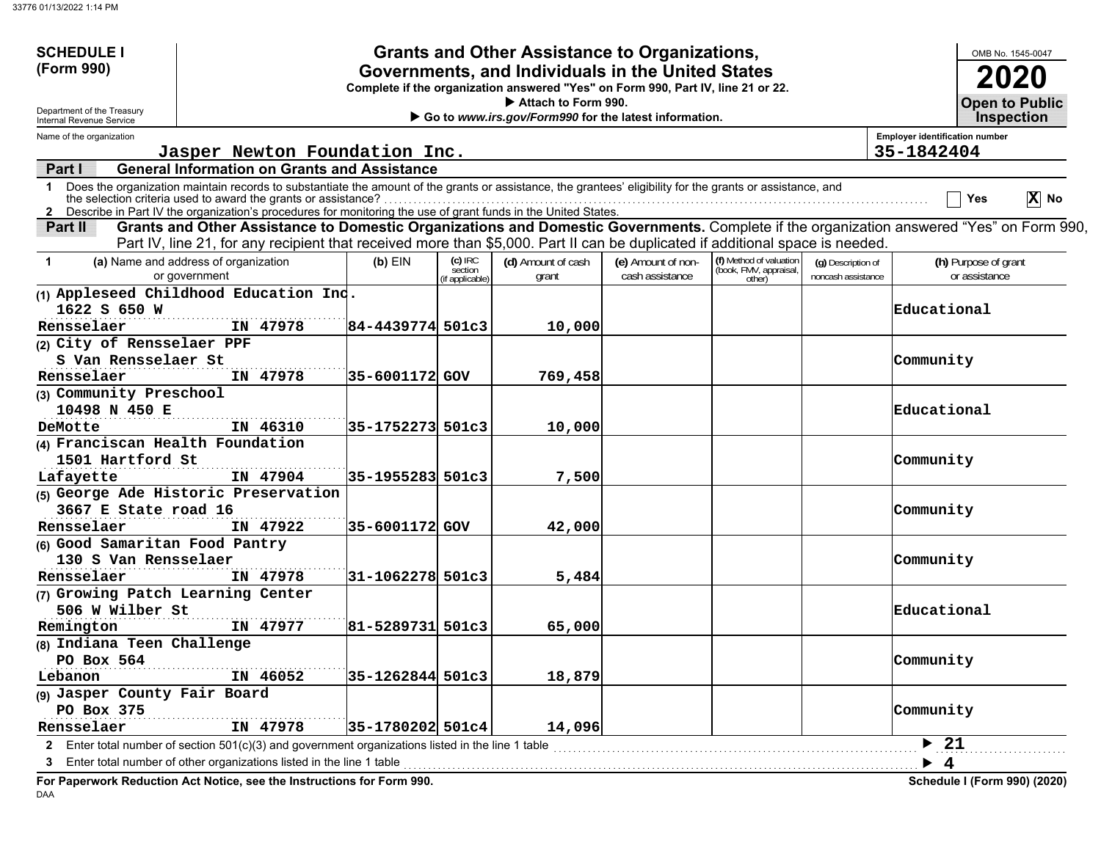DAA

| <b>SCHEDULE I</b>                                      |                                                                                                                                                                                                                                                                                                                                                 |                  |                                        | <b>Grants and Other Assistance to Organizations,</b>                         |                                       |                                                             |                                          |                                       |                                       | OMB No. 1545-0047                          |
|--------------------------------------------------------|-------------------------------------------------------------------------------------------------------------------------------------------------------------------------------------------------------------------------------------------------------------------------------------------------------------------------------------------------|------------------|----------------------------------------|------------------------------------------------------------------------------|---------------------------------------|-------------------------------------------------------------|------------------------------------------|---------------------------------------|---------------------------------------|--------------------------------------------|
| (Form 990)                                             | Governments, and Individuals in the United States<br>Complete if the organization answered "Yes" on Form 990, Part IV, line 21 or 22.                                                                                                                                                                                                           |                  |                                        |                                                                              |                                       |                                                             |                                          |                                       |                                       |                                            |
| Department of the Treasury<br>Internal Revenue Service |                                                                                                                                                                                                                                                                                                                                                 |                  |                                        | Attach to Form 990.<br>Go to www.irs.gov/Form990 for the latest information. |                                       |                                                             |                                          |                                       |                                       | <b>Open to Public</b><br><b>Inspection</b> |
| Name of the organization                               |                                                                                                                                                                                                                                                                                                                                                 |                  |                                        |                                                                              |                                       |                                                             |                                          | <b>Employer identification number</b> |                                       |                                            |
|                                                        | Jasper Newton Foundation Inc.                                                                                                                                                                                                                                                                                                                   |                  |                                        |                                                                              |                                       |                                                             |                                          | 35-1842404                            |                                       |                                            |
| Part I                                                 | <b>General Information on Grants and Assistance</b>                                                                                                                                                                                                                                                                                             |                  |                                        |                                                                              |                                       |                                                             |                                          |                                       |                                       |                                            |
| $\mathbf 1$                                            | Does the organization maintain records to substantiate the amount of the grants or assistance, the grantees' eligibility for the grants or assistance, and<br>the selection criteria used to award the grants or assistance?<br>2 Describe in Part IV the organization's procedures for monitoring the use of grant funds in the United States. |                  |                                        |                                                                              |                                       |                                                             |                                          |                                       | Yes                                   | $\overline{X}$ No                          |
| Part II                                                | Grants and Other Assistance to Domestic Organizations and Domestic Governments. Complete if the organization answered "Yes" on Form 990,<br>Part IV, line 21, for any recipient that received more than \$5,000. Part II can be duplicated if additional space is needed.                                                                       |                  |                                        |                                                                              |                                       |                                                             |                                          |                                       |                                       |                                            |
| $\mathbf 1$                                            | (a) Name and address of organization<br>or government                                                                                                                                                                                                                                                                                           | $(b)$ EIN        | $(c)$ IRC<br>section<br>if applicable) | (d) Amount of cash<br>grant                                                  | (e) Amount of non-<br>cash assistance | (f) Method of valuation<br>(book, FMV, appraisal,<br>other) | (g) Description of<br>noncash assistance |                                       | (h) Purpose of grant<br>or assistance |                                            |
| 1622 S 650 W                                           | (1) Appleseed Childhood Education Ind.                                                                                                                                                                                                                                                                                                          |                  |                                        |                                                                              |                                       |                                                             |                                          | Educational                           |                                       |                                            |
| Rensselaer                                             | IN 47978                                                                                                                                                                                                                                                                                                                                        | 84-4439774 501c3 |                                        | 10,000                                                                       |                                       |                                                             |                                          |                                       |                                       |                                            |
| (2) City of Rensselaer PPF<br>S Van Rensselaer St      |                                                                                                                                                                                                                                                                                                                                                 |                  |                                        |                                                                              |                                       |                                                             |                                          |                                       |                                       |                                            |
| Rensselaer                                             | IN 47978                                                                                                                                                                                                                                                                                                                                        |                  |                                        |                                                                              |                                       |                                                             |                                          | Community                             |                                       |                                            |
|                                                        |                                                                                                                                                                                                                                                                                                                                                 | 35-6001172 GOV   |                                        | 769,458                                                                      |                                       |                                                             |                                          |                                       |                                       |                                            |
| (3) Community Preschool<br>10498 N 450 E               |                                                                                                                                                                                                                                                                                                                                                 |                  |                                        |                                                                              |                                       |                                                             |                                          | Educational                           |                                       |                                            |
| DeMotte                                                | IN 46310                                                                                                                                                                                                                                                                                                                                        | 35-1752273 501c3 |                                        | 10,000                                                                       |                                       |                                                             |                                          |                                       |                                       |                                            |
| (4) Franciscan Health Foundation<br>1501 Hartford St   |                                                                                                                                                                                                                                                                                                                                                 |                  |                                        |                                                                              |                                       |                                                             |                                          | Community                             |                                       |                                            |
| Lafayette                                              | IN 47904                                                                                                                                                                                                                                                                                                                                        | 35-1955283 501c3 |                                        | 7,500                                                                        |                                       |                                                             |                                          |                                       |                                       |                                            |
|                                                        | (5) George Ade Historic Preservation                                                                                                                                                                                                                                                                                                            |                  |                                        |                                                                              |                                       |                                                             |                                          |                                       |                                       |                                            |
| 3667 E State road 16                                   |                                                                                                                                                                                                                                                                                                                                                 |                  |                                        |                                                                              |                                       |                                                             |                                          | Community                             |                                       |                                            |
| Rensselaer                                             | IN 47922                                                                                                                                                                                                                                                                                                                                        | 35-6001172 GOV   |                                        | 42,000                                                                       |                                       |                                                             |                                          |                                       |                                       |                                            |
| (6) Good Samaritan Food Pantry                         |                                                                                                                                                                                                                                                                                                                                                 |                  |                                        |                                                                              |                                       |                                                             |                                          |                                       |                                       |                                            |
| 130 S Van Rensselaer                                   |                                                                                                                                                                                                                                                                                                                                                 |                  |                                        |                                                                              |                                       |                                                             |                                          | Community                             |                                       |                                            |
| Rensselaer                                             | IN 47978                                                                                                                                                                                                                                                                                                                                        | 31-1062278 501c3 |                                        | 5,484                                                                        |                                       |                                                             |                                          |                                       |                                       |                                            |
| (7) Growing Patch Learning Center                      |                                                                                                                                                                                                                                                                                                                                                 |                  |                                        |                                                                              |                                       |                                                             |                                          |                                       |                                       |                                            |
| 506 W Wilber St<br>Remington                           | IN 47977                                                                                                                                                                                                                                                                                                                                        | 81-5289731 501c3 |                                        | 65,000                                                                       |                                       |                                                             |                                          | Educational                           |                                       |                                            |
| (8) Indiana Teen Challenge                             |                                                                                                                                                                                                                                                                                                                                                 |                  |                                        |                                                                              |                                       |                                                             |                                          |                                       |                                       |                                            |
| PO Box 564                                             |                                                                                                                                                                                                                                                                                                                                                 |                  |                                        |                                                                              |                                       |                                                             |                                          | Community                             |                                       |                                            |
| Lebanon                                                | IN 46052                                                                                                                                                                                                                                                                                                                                        | 35-1262844 501c3 |                                        | 18,879                                                                       |                                       |                                                             |                                          |                                       |                                       |                                            |
| (9) Jasper County Fair Board                           |                                                                                                                                                                                                                                                                                                                                                 |                  |                                        |                                                                              |                                       |                                                             |                                          |                                       |                                       |                                            |
| PO Box 375<br>Rensselaer                               | IN 47978                                                                                                                                                                                                                                                                                                                                        | 35-1780202 501c4 |                                        | 14,096                                                                       |                                       |                                                             |                                          | Community                             |                                       |                                            |
|                                                        | 2 Enter total number of section 501(c)(3) and government organizations listed in the line 1 table                                                                                                                                                                                                                                               |                  |                                        |                                                                              |                                       |                                                             |                                          | $\blacktriangleright$ 21              |                                       |                                            |
|                                                        | Enter total number of other organizations listed in the line 1 table                                                                                                                                                                                                                                                                            |                  |                                        |                                                                              |                                       |                                                             |                                          |                                       |                                       |                                            |
|                                                        | Fou Denominado Dedication. A et Notice - exc. the Instructions fou Fo                                                                                                                                                                                                                                                                           |                  |                                        |                                                                              |                                       |                                                             |                                          |                                       | . <i>. .</i> .                        | $0.001$ $(0.000)$                          |

**For Paperwork Reduction Act Notice, see the Instructions for Form 990. Schedule I (Form 990) (2020)**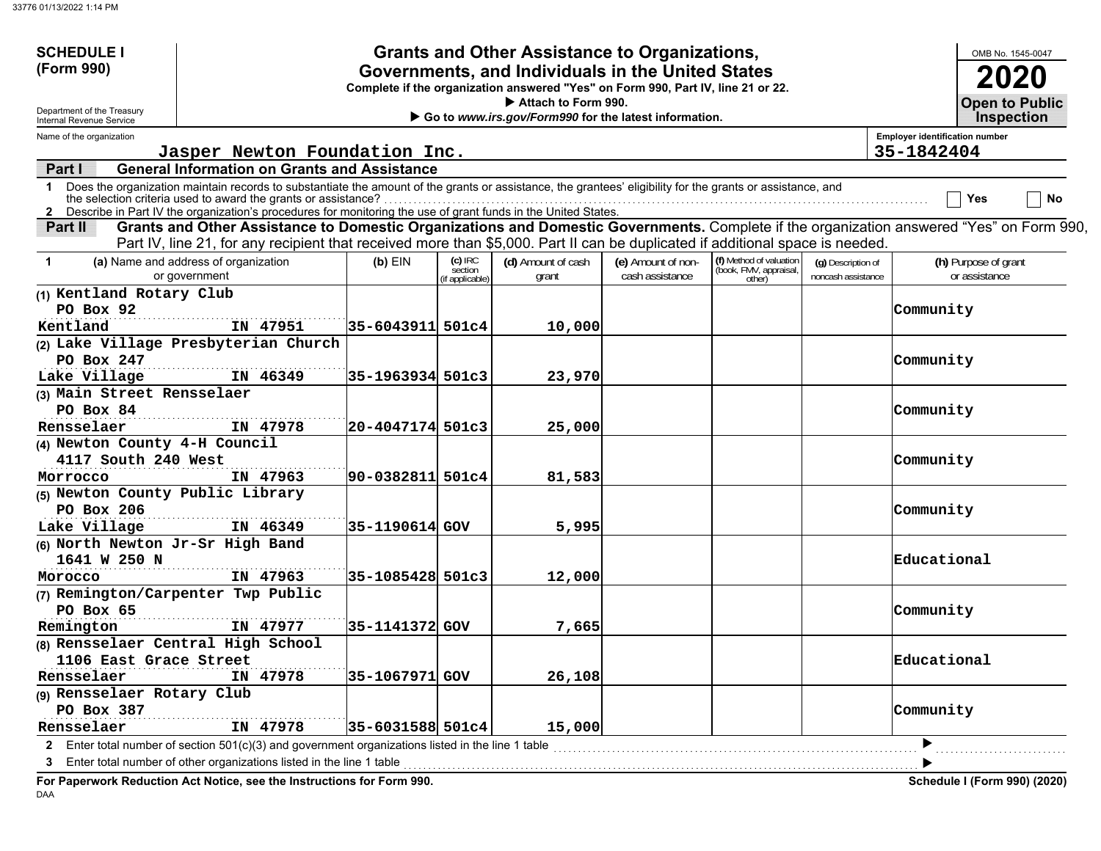| <b>SCHEDULE I</b>                           |                                                                                                                                                                                   |                                                   |                      | <b>Grants and Other Assistance to Organizations,</b>                             |                    |                                  |                    |                                       | OMB No. 1545-0047     |  |
|---------------------------------------------|-----------------------------------------------------------------------------------------------------------------------------------------------------------------------------------|---------------------------------------------------|----------------------|----------------------------------------------------------------------------------|--------------------|----------------------------------|--------------------|---------------------------------------|-----------------------|--|
| (Form 990)                                  |                                                                                                                                                                                   | Governments, and Individuals in the United States |                      | 2020                                                                             |                    |                                  |                    |                                       |                       |  |
|                                             |                                                                                                                                                                                   |                                                   |                      | Complete if the organization answered "Yes" on Form 990, Part IV, line 21 or 22. |                    |                                  |                    |                                       | <b>Open to Public</b> |  |
| Department of the Treasury                  | Attach to Form 990.<br>Go to www.irs.gov/Form990 for the latest information.<br>Internal Revenue Service                                                                          |                                                   |                      |                                                                                  |                    |                                  |                    |                                       |                       |  |
| Name of the organization                    |                                                                                                                                                                                   |                                                   |                      |                                                                                  |                    |                                  |                    | <b>Employer identification number</b> | <b>Inspection</b>     |  |
|                                             | Jasper Newton Foundation Inc.                                                                                                                                                     |                                                   |                      |                                                                                  |                    |                                  |                    | 35-1842404                            |                       |  |
| Part I                                      | <b>General Information on Grants and Assistance</b>                                                                                                                               |                                                   |                      |                                                                                  |                    |                                  |                    |                                       |                       |  |
| $\mathbf 1$                                 | Does the organization maintain records to substantiate the amount of the grants or assistance, the grantees' eligibility for the grants or assistance, and                        |                                                   |                      |                                                                                  |                    |                                  |                    |                                       |                       |  |
|                                             | the selection criteria used to award the grants or assistance?<br>2 Describe in Part IV the organization's procedures for monitoring the use of grant funds in the United States. |                                                   |                      |                                                                                  |                    |                                  |                    |                                       | No<br>Yes             |  |
| Part II                                     | Grants and Other Assistance to Domestic Organizations and Domestic Governments. Complete if the organization answered "Yes" on Form 990,                                          |                                                   |                      |                                                                                  |                    |                                  |                    |                                       |                       |  |
|                                             | Part IV, line 21, for any recipient that received more than \$5,000. Part II can be duplicated if additional space is needed                                                      |                                                   |                      |                                                                                  |                    |                                  |                    |                                       |                       |  |
| $\mathbf 1$                                 | (a) Name and address of organization                                                                                                                                              | $(b)$ EIN                                         | $(c)$ IRC<br>section | (d) Amount of cash                                                               | (e) Amount of non- | (f) Method of valuation          | (g) Description of |                                       | (h) Purpose of grant  |  |
|                                             | or government                                                                                                                                                                     |                                                   | (if applicable)      | grant                                                                            | cash assistance    | (book, FMV, appraisal,<br>other) | noncash assistance |                                       | or assistance         |  |
| (1) Kentland Rotary Club                    |                                                                                                                                                                                   |                                                   |                      |                                                                                  |                    |                                  |                    |                                       |                       |  |
| PO Box 92                                   |                                                                                                                                                                                   |                                                   |                      |                                                                                  |                    |                                  |                    | Community                             |                       |  |
| Kentland                                    | IN 47951                                                                                                                                                                          | 35-6043911 501c4                                  |                      | 10,000                                                                           |                    |                                  |                    |                                       |                       |  |
|                                             | (2) Lake Village Presbyterian Church                                                                                                                                              |                                                   |                      |                                                                                  |                    |                                  |                    |                                       |                       |  |
| PO Box 247                                  |                                                                                                                                                                                   |                                                   |                      |                                                                                  |                    |                                  |                    | Community                             |                       |  |
| Lake Village                                | IN 46349                                                                                                                                                                          | 35-1963934 501c3                                  |                      | 23,970                                                                           |                    |                                  |                    |                                       |                       |  |
| (3) Main Street Rensselaer                  |                                                                                                                                                                                   |                                                   |                      |                                                                                  |                    |                                  |                    |                                       |                       |  |
| PO Box 84                                   |                                                                                                                                                                                   |                                                   |                      |                                                                                  |                    |                                  |                    | Community                             |                       |  |
| Rensselaer<br>(4) Newton County 4-H Council | IN 47978                                                                                                                                                                          | 20-4047174 501c3                                  |                      | 25,000                                                                           |                    |                                  |                    |                                       |                       |  |
| 4117 South 240 West                         |                                                                                                                                                                                   |                                                   |                      |                                                                                  |                    |                                  |                    | Community                             |                       |  |
| Morrocco                                    | IN 47963                                                                                                                                                                          | 90-0382811 501c4                                  |                      | 81,583                                                                           |                    |                                  |                    |                                       |                       |  |
| (5) Newton County Public Library            |                                                                                                                                                                                   |                                                   |                      |                                                                                  |                    |                                  |                    |                                       |                       |  |
| PO Box 206                                  |                                                                                                                                                                                   |                                                   |                      |                                                                                  |                    |                                  |                    | Community                             |                       |  |
| Lake Village                                | IN 46349                                                                                                                                                                          | 35-1190614 GOV                                    |                      | 5,995                                                                            |                    |                                  |                    |                                       |                       |  |
| (6) North Newton Jr-Sr High Band            |                                                                                                                                                                                   |                                                   |                      |                                                                                  |                    |                                  |                    |                                       |                       |  |
| 1641 W 250 N                                |                                                                                                                                                                                   |                                                   |                      |                                                                                  |                    |                                  |                    | Educational                           |                       |  |
| Morocco                                     | IN 47963                                                                                                                                                                          | 35-1085428 501c3                                  |                      | 12,000                                                                           |                    |                                  |                    |                                       |                       |  |
|                                             | (7) Remington/Carpenter Twp Public                                                                                                                                                |                                                   |                      |                                                                                  |                    |                                  |                    |                                       |                       |  |
| PO Box 65                                   |                                                                                                                                                                                   |                                                   |                      |                                                                                  |                    |                                  |                    | Community                             |                       |  |
| Remington                                   | IN 47977                                                                                                                                                                          | 35-1141372 GOV                                    |                      | 7,665                                                                            |                    |                                  |                    |                                       |                       |  |
|                                             | (8) Rensselaer Central High School                                                                                                                                                |                                                   |                      |                                                                                  |                    |                                  |                    |                                       |                       |  |
| 1106 East Grace Street                      |                                                                                                                                                                                   |                                                   |                      |                                                                                  |                    |                                  |                    | Educational                           |                       |  |
| Rensselaer                                  | IN 47978                                                                                                                                                                          | 35-1067971 GOV                                    |                      | 26,108                                                                           |                    |                                  |                    |                                       |                       |  |
| (9) Rensselaer Rotary Club                  |                                                                                                                                                                                   |                                                   |                      |                                                                                  |                    |                                  |                    |                                       |                       |  |
| PO Box 387                                  |                                                                                                                                                                                   |                                                   |                      |                                                                                  |                    |                                  |                    | Community                             |                       |  |
| Rensselaer                                  | IN 47978                                                                                                                                                                          | 35-6031588 501c4                                  |                      | 15,000                                                                           |                    |                                  |                    |                                       |                       |  |
| $\mathbf{2}$                                | Enter total number of section 501(c)(3) and government organizations listed in the line 1 table                                                                                   |                                                   |                      |                                                                                  |                    |                                  |                    |                                       |                       |  |
|                                             | Enter total number of other organizations listed in the line 1 table                                                                                                              |                                                   |                      |                                                                                  |                    |                                  |                    |                                       |                       |  |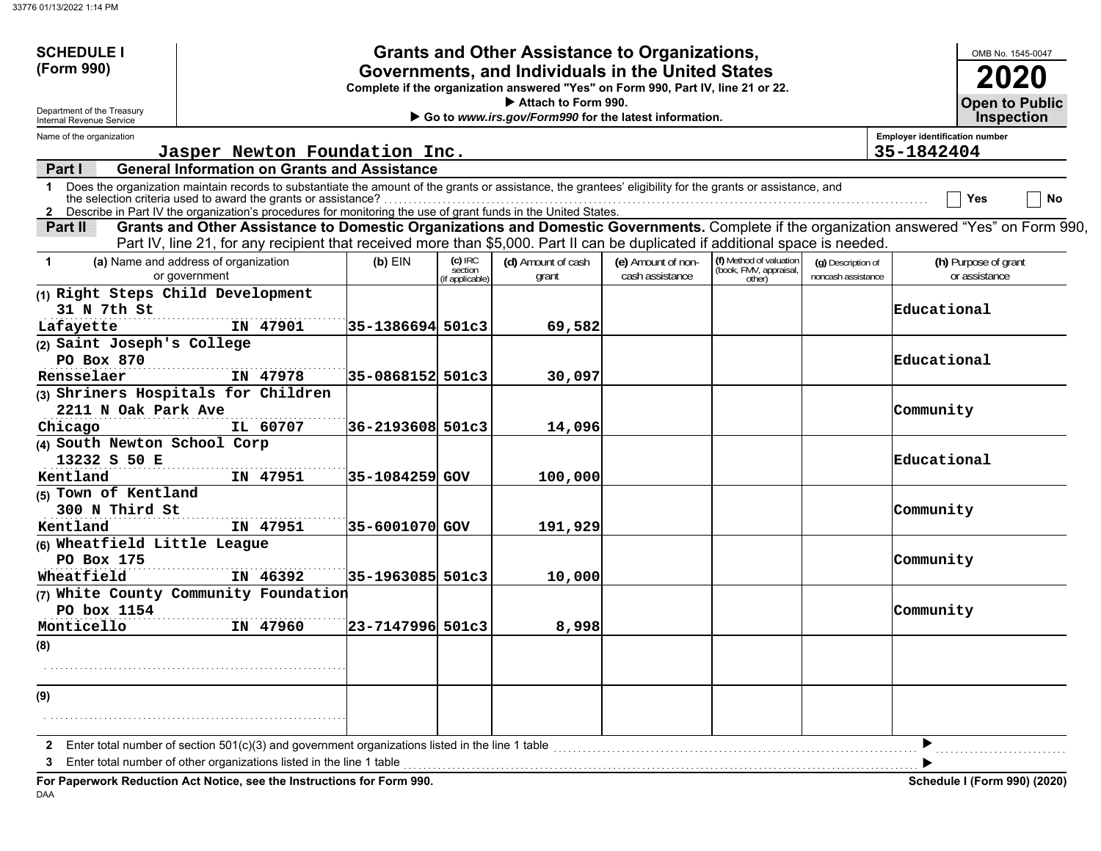| <b>SCHEDULE I</b>                                                                                                                                                                                                                                                                                                                                              |               |                                                                              |                                                     |                                       | <b>Grants and Other Assistance to Organizations,</b>                                                                                  |                                       |                                                             |                                          |                                       | OMB No. 1545-0047                                                                                                                        |
|----------------------------------------------------------------------------------------------------------------------------------------------------------------------------------------------------------------------------------------------------------------------------------------------------------------------------------------------------------------|---------------|------------------------------------------------------------------------------|-----------------------------------------------------|---------------------------------------|---------------------------------------------------------------------------------------------------------------------------------------|---------------------------------------|-------------------------------------------------------------|------------------------------------------|---------------------------------------|------------------------------------------------------------------------------------------------------------------------------------------|
| (Form 990)                                                                                                                                                                                                                                                                                                                                                     |               |                                                                              |                                                     |                                       | Governments, and Individuals in the United States<br>Complete if the organization answered "Yes" on Form 990, Part IV, line 21 or 22. |                                       |                                                             |                                          |                                       |                                                                                                                                          |
| Department of the Treasury<br>Internal Revenue Service                                                                                                                                                                                                                                                                                                         |               | Attach to Form 990.<br>Go to www.irs.gov/Form990 for the latest information. |                                                     |                                       |                                                                                                                                       |                                       |                                                             |                                          |                                       |                                                                                                                                          |
| Name of the organization                                                                                                                                                                                                                                                                                                                                       |               |                                                                              |                                                     |                                       |                                                                                                                                       |                                       |                                                             |                                          | <b>Employer identification number</b> |                                                                                                                                          |
|                                                                                                                                                                                                                                                                                                                                                                |               |                                                                              | Jasper Newton Foundation Inc.                       |                                       |                                                                                                                                       |                                       |                                                             |                                          | 35-1842404                            |                                                                                                                                          |
| Part I                                                                                                                                                                                                                                                                                                                                                         |               |                                                                              | <b>General Information on Grants and Assistance</b> |                                       |                                                                                                                                       |                                       |                                                             |                                          |                                       |                                                                                                                                          |
| Does the organization maintain records to substantiate the amount of the grants or assistance, the grantees' eligibility for the grants or assistance, and<br>$\mathbf 1$<br>the selection criteria used to award the grants or assistance?<br>2 Describe in Part IV the organization's procedures for monitoring the use of grant funds in the United States. |               |                                                                              |                                                     |                                       |                                                                                                                                       |                                       |                                                             |                                          |                                       | No<br>Yes                                                                                                                                |
| Part II                                                                                                                                                                                                                                                                                                                                                        |               |                                                                              |                                                     |                                       | Part IV, line 21, for any recipient that received more than \$5,000. Part II can be duplicated if additional space is needed          |                                       |                                                             |                                          |                                       | Grants and Other Assistance to Domestic Organizations and Domestic Governments. Complete if the organization answered "Yes" on Form 990, |
| (a) Name and address of organization<br>$\blacktriangleleft$                                                                                                                                                                                                                                                                                                   | or government |                                                                              | $(b)$ EIN                                           | (c) IRC<br>section<br>'if applicable) | (d) Amount of cash<br>grant                                                                                                           | (e) Amount of non-<br>cash assistance | (f) Method of valuation<br>(book, FMV, appraisal,<br>other) | (g) Description of<br>noncash assistance |                                       | (h) Purpose of grant<br>or assistance                                                                                                    |
| (1) Right Steps Child Development                                                                                                                                                                                                                                                                                                                              |               |                                                                              |                                                     |                                       |                                                                                                                                       |                                       |                                                             |                                          |                                       |                                                                                                                                          |
| 31 N 7th St                                                                                                                                                                                                                                                                                                                                                    |               |                                                                              |                                                     |                                       |                                                                                                                                       |                                       |                                                             |                                          | Educational                           |                                                                                                                                          |
| Lafayette                                                                                                                                                                                                                                                                                                                                                      |               | IN 47901                                                                     | 35-1386694 501c3                                    |                                       | 69,582                                                                                                                                |                                       |                                                             |                                          |                                       |                                                                                                                                          |
| (2) Saint Joseph's College                                                                                                                                                                                                                                                                                                                                     |               |                                                                              |                                                     |                                       |                                                                                                                                       |                                       |                                                             |                                          |                                       |                                                                                                                                          |
| PO Box 870                                                                                                                                                                                                                                                                                                                                                     |               |                                                                              |                                                     |                                       |                                                                                                                                       |                                       |                                                             |                                          | Educational                           |                                                                                                                                          |
| Rensselaer                                                                                                                                                                                                                                                                                                                                                     |               | IN 47978                                                                     | 35-0868152 501c3                                    |                                       | 30,097                                                                                                                                |                                       |                                                             |                                          |                                       |                                                                                                                                          |
| (3) Shriners Hospitals for Children                                                                                                                                                                                                                                                                                                                            |               |                                                                              |                                                     |                                       |                                                                                                                                       |                                       |                                                             |                                          |                                       |                                                                                                                                          |
| 2211 N Oak Park Ave                                                                                                                                                                                                                                                                                                                                            |               |                                                                              |                                                     |                                       |                                                                                                                                       |                                       |                                                             |                                          | Community                             |                                                                                                                                          |
| Chicago                                                                                                                                                                                                                                                                                                                                                        |               | IL 60707                                                                     | 36-2193608 501c3                                    |                                       | 14,096                                                                                                                                |                                       |                                                             |                                          |                                       |                                                                                                                                          |
| (4) South Newton School Corp                                                                                                                                                                                                                                                                                                                                   |               |                                                                              |                                                     |                                       |                                                                                                                                       |                                       |                                                             |                                          |                                       |                                                                                                                                          |
| 13232 S 50 E                                                                                                                                                                                                                                                                                                                                                   |               |                                                                              |                                                     |                                       |                                                                                                                                       |                                       |                                                             |                                          | Educational                           |                                                                                                                                          |
| Kentland                                                                                                                                                                                                                                                                                                                                                       |               | IN 47951                                                                     | 35-1084259 GOV                                      |                                       | 100,000                                                                                                                               |                                       |                                                             |                                          |                                       |                                                                                                                                          |
| (5) Town of Kentland<br>300 N Third St                                                                                                                                                                                                                                                                                                                         |               |                                                                              |                                                     |                                       |                                                                                                                                       |                                       |                                                             |                                          | Community                             |                                                                                                                                          |
| Kentland                                                                                                                                                                                                                                                                                                                                                       |               | IN 47951                                                                     | 35-6001070 GOV                                      |                                       | 191,929                                                                                                                               |                                       |                                                             |                                          |                                       |                                                                                                                                          |
| (6) Wheatfield Little League                                                                                                                                                                                                                                                                                                                                   |               |                                                                              |                                                     |                                       |                                                                                                                                       |                                       |                                                             |                                          |                                       |                                                                                                                                          |
| PO Box 175                                                                                                                                                                                                                                                                                                                                                     |               |                                                                              |                                                     |                                       |                                                                                                                                       |                                       |                                                             |                                          | Community                             |                                                                                                                                          |
| Wheatfield                                                                                                                                                                                                                                                                                                                                                     |               | IN 46392                                                                     | 35-1963085 501c3                                    |                                       | 10,000                                                                                                                                |                                       |                                                             |                                          |                                       |                                                                                                                                          |
| (7) White County Community Foundation                                                                                                                                                                                                                                                                                                                          |               |                                                                              |                                                     |                                       |                                                                                                                                       |                                       |                                                             |                                          |                                       |                                                                                                                                          |
| PO box 1154                                                                                                                                                                                                                                                                                                                                                    |               |                                                                              |                                                     |                                       |                                                                                                                                       |                                       |                                                             |                                          | Community                             |                                                                                                                                          |
| Monticello                                                                                                                                                                                                                                                                                                                                                     |               | IN 47960                                                                     | 23-7147996 501c3                                    |                                       | 8,998                                                                                                                                 |                                       |                                                             |                                          |                                       |                                                                                                                                          |
| (8)                                                                                                                                                                                                                                                                                                                                                            |               |                                                                              |                                                     |                                       |                                                                                                                                       |                                       |                                                             |                                          |                                       |                                                                                                                                          |
|                                                                                                                                                                                                                                                                                                                                                                |               |                                                                              |                                                     |                                       |                                                                                                                                       |                                       |                                                             |                                          |                                       |                                                                                                                                          |
|                                                                                                                                                                                                                                                                                                                                                                |               |                                                                              |                                                     |                                       |                                                                                                                                       |                                       |                                                             |                                          |                                       |                                                                                                                                          |
| (9)                                                                                                                                                                                                                                                                                                                                                            |               |                                                                              |                                                     |                                       |                                                                                                                                       |                                       |                                                             |                                          |                                       |                                                                                                                                          |
|                                                                                                                                                                                                                                                                                                                                                                |               |                                                                              |                                                     |                                       |                                                                                                                                       |                                       |                                                             |                                          |                                       |                                                                                                                                          |
|                                                                                                                                                                                                                                                                                                                                                                |               |                                                                              |                                                     |                                       |                                                                                                                                       |                                       |                                                             |                                          |                                       |                                                                                                                                          |
| Enter total number of section 501(c)(3) and government organizations listed in the line 1 table                                                                                                                                                                                                                                                                |               |                                                                              |                                                     |                                       |                                                                                                                                       |                                       |                                                             |                                          |                                       |                                                                                                                                          |
| 3                                                                                                                                                                                                                                                                                                                                                              |               |                                                                              |                                                     |                                       |                                                                                                                                       |                                       |                                                             |                                          |                                       |                                                                                                                                          |
| For Paperwork Reduction Act Notice, see the Instructions for Form 990.                                                                                                                                                                                                                                                                                         |               |                                                                              |                                                     |                                       |                                                                                                                                       |                                       |                                                             |                                          |                                       | Schedule I (Form 990) (2020)                                                                                                             |

DAA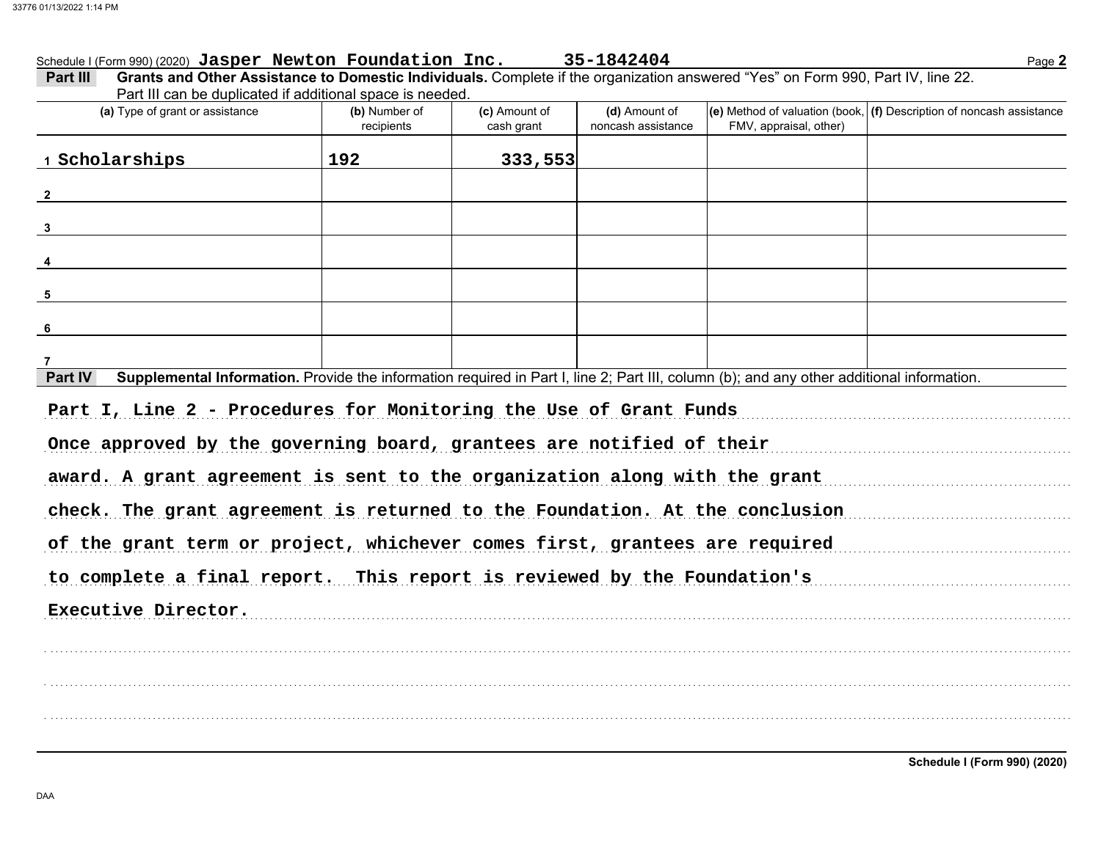#### Schedule I (Form 990) (2020) Jasper Newton Foundation Inc. 35-1842404

| Part III |                                                                                                                                 |                     |                          |                 |  |                                                                |  |  |  |
|----------|---------------------------------------------------------------------------------------------------------------------------------|---------------------|--------------------------|-----------------|--|----------------------------------------------------------------|--|--|--|
|          | Grants and Other Assistance to Domestic Individuals. Complete if the organization answered "Yes" on Form 990, Part IV, line 22. |                     |                          |                 |  |                                                                |  |  |  |
|          | Part III can be duplicated if additional space is needed.                                                                       |                     |                          |                 |  |                                                                |  |  |  |
|          | (a) Tung of graph or applatones                                                                                                 | $\int$ h) Number of | $(n)$ $\lambda$ mount of | $(d)$ Amount of |  | (a) Mothod of valuation (book (B) Decembian of nanogah secieta |  |  |  |

| (a) Type of grant or assistance                                                                                                                      | (b) Number of<br>recipients                                                | (c) Amount of<br>cash grant | (d) Amount of<br>noncash assistance | FMV, appraisal, other) | $\vert$ (e) Method of valuation (book, $\vert$ (f) Description of noncash assistance |  |  |  |  |  |
|------------------------------------------------------------------------------------------------------------------------------------------------------|----------------------------------------------------------------------------|-----------------------------|-------------------------------------|------------------------|--------------------------------------------------------------------------------------|--|--|--|--|--|
| 1 Scholarships                                                                                                                                       | 192                                                                        | 333,553                     |                                     |                        |                                                                                      |  |  |  |  |  |
| $\overline{\mathbf{2}}$                                                                                                                              |                                                                            |                             |                                     |                        |                                                                                      |  |  |  |  |  |
| $\overline{\mathbf{3}}$                                                                                                                              |                                                                            |                             |                                     |                        |                                                                                      |  |  |  |  |  |
| $\frac{4}{}$                                                                                                                                         |                                                                            |                             |                                     |                        |                                                                                      |  |  |  |  |  |
| $5^{\circ}$                                                                                                                                          |                                                                            |                             |                                     |                        |                                                                                      |  |  |  |  |  |
| $6\phantom{1}6$                                                                                                                                      |                                                                            |                             |                                     |                        |                                                                                      |  |  |  |  |  |
| $\overline{7}$                                                                                                                                       |                                                                            |                             |                                     |                        |                                                                                      |  |  |  |  |  |
| Supplemental Information. Provide the information required in Part I, line 2; Part III, column (b); and any other additional information.<br>Part IV |                                                                            |                             |                                     |                        |                                                                                      |  |  |  |  |  |
| Part I, Line 2 - Procedures for Monitoring the Use of Grant Funds                                                                                    |                                                                            |                             |                                     |                        |                                                                                      |  |  |  |  |  |
| Once approved by the governing board, grantees are notified of their                                                                                 |                                                                            |                             |                                     |                        |                                                                                      |  |  |  |  |  |
| award. A grant agreement is sent to the organization along with the grant                                                                            |                                                                            |                             |                                     |                        |                                                                                      |  |  |  |  |  |
| check. The grant agreement is returned to the Foundation. At the conclusion                                                                          |                                                                            |                             |                                     |                        |                                                                                      |  |  |  |  |  |
|                                                                                                                                                      | of the grant term or project, whichever comes first, grantees are required |                             |                                     |                        |                                                                                      |  |  |  |  |  |

to complete a final report. This report is reviewed by the Foundation's

Executive Director.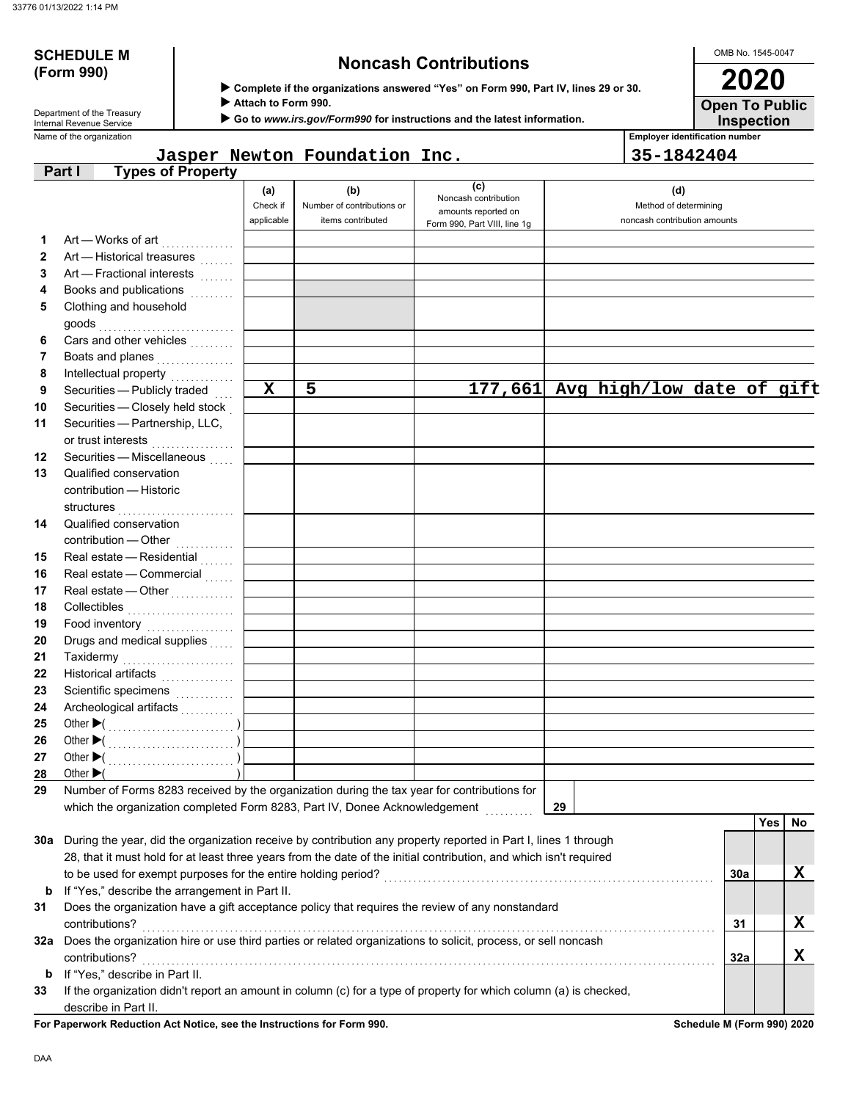# **(Form 990)**

# **SCHEDULE M Noncash Contributions**

 **Complete if the organizations answered "Yes" on Form 990, Part IV, lines 29 or 30.**

 **Attach to Form 990.**

 **Go to** *www.irs.gov/Form990* **for instructions and the latest information.**

**Inspection Open To Public 2020**

OMB No. 1545-0047

Name of the organization **Employer identification number** Department of the Treasury<br>Internal Revenue Service

#### **Part I Types of Property Jasper Newton Foundation Inc. 35-1842404**

|              | 00 OF FIOPOIT                                                                                                      | (a)<br>Check if<br>applicable | (b)<br>Number of contributions or<br>items contributed | (c)<br>Noncash contribution<br>amounts reported on | (d)<br>Method of determining<br>noncash contribution amounts |     |             |
|--------------|--------------------------------------------------------------------------------------------------------------------|-------------------------------|--------------------------------------------------------|----------------------------------------------------|--------------------------------------------------------------|-----|-------------|
|              |                                                                                                                    |                               |                                                        | Form 990, Part VIII, line 1g                       |                                                              |     |             |
| 1            | Art — Works of art                                                                                                 |                               |                                                        |                                                    |                                                              |     |             |
| $\mathbf{2}$ | Art - Historical treasures                                                                                         |                               |                                                        |                                                    |                                                              |     |             |
| 3            | Art - Fractional interests                                                                                         |                               |                                                        |                                                    |                                                              |     |             |
| 4            | Books and publications                                                                                             |                               |                                                        |                                                    |                                                              |     |             |
| 5            | Clothing and household                                                                                             |                               |                                                        |                                                    |                                                              |     |             |
|              |                                                                                                                    |                               |                                                        |                                                    |                                                              |     |             |
| 6            | Cars and other vehicles                                                                                            |                               |                                                        |                                                    |                                                              |     |             |
| 7            | Boats and planes                                                                                                   |                               |                                                        |                                                    |                                                              |     |             |
| 8            | Intellectual property                                                                                              | $\overline{\mathbf{x}}$       | $\overline{5}$                                         |                                                    |                                                              |     |             |
| 9            | Securities - Publicly traded                                                                                       |                               |                                                        |                                                    | 177,661 Avg high/low date of gift                            |     |             |
| 10           | Securities - Closely held stock                                                                                    |                               |                                                        |                                                    |                                                              |     |             |
| 11           | Securities - Partnership, LLC,                                                                                     |                               |                                                        |                                                    |                                                              |     |             |
|              | or trust interests<br>.                                                                                            |                               |                                                        |                                                    |                                                              |     |             |
| 12           | Securities - Miscellaneous                                                                                         |                               |                                                        |                                                    |                                                              |     |             |
| 13           | Qualified conservation                                                                                             |                               |                                                        |                                                    |                                                              |     |             |
|              | contribution - Historic                                                                                            |                               |                                                        |                                                    |                                                              |     |             |
|              | structures                                                                                                         |                               |                                                        |                                                    |                                                              |     |             |
| 14           | Qualified conservation                                                                                             |                               |                                                        |                                                    |                                                              |     |             |
|              |                                                                                                                    |                               |                                                        |                                                    |                                                              |     |             |
| 15           | Real estate - Residential                                                                                          |                               |                                                        |                                                    |                                                              |     |             |
| 16           | Real estate - Commercial                                                                                           |                               |                                                        |                                                    |                                                              |     |             |
| 17           | Real estate - Other<br>                                                                                            |                               |                                                        |                                                    |                                                              |     |             |
| 18           |                                                                                                                    |                               |                                                        |                                                    |                                                              |     |             |
| 19           | Food inventory                                                                                                     |                               |                                                        |                                                    |                                                              |     |             |
| 20           | Drugs and medical supplies                                                                                         |                               |                                                        |                                                    |                                                              |     |             |
| 21           |                                                                                                                    |                               |                                                        |                                                    |                                                              |     |             |
| 22           | Historical artifacts                                                                                               |                               |                                                        |                                                    |                                                              |     |             |
| 23           | Scientific specimens                                                                                               |                               |                                                        |                                                    |                                                              |     |             |
| 24           | Archeological artifacts                                                                                            |                               |                                                        |                                                    |                                                              |     |             |
| 25           |                                                                                                                    |                               |                                                        |                                                    |                                                              |     |             |
| 26           |                                                                                                                    |                               |                                                        |                                                    |                                                              |     |             |
| 27           |                                                                                                                    |                               |                                                        |                                                    |                                                              |     |             |
| 28           | Other $\blacktriangleright$ (                                                                                      |                               |                                                        |                                                    |                                                              |     |             |
| 29           | Number of Forms 8283 received by the organization during the tax year for contributions for                        |                               |                                                        |                                                    |                                                              |     |             |
|              | which the organization completed Form 8283, Part IV, Donee Acknowledgement                                         |                               |                                                        |                                                    | 29                                                           |     |             |
|              |                                                                                                                    |                               |                                                        |                                                    |                                                              | Yes | No          |
|              | 30a During the year, did the organization receive by contribution any property reported in Part I, lines 1 through |                               |                                                        |                                                    |                                                              |     |             |
|              | 28, that it must hold for at least three years from the date of the initial contribution, and which isn't required |                               |                                                        |                                                    |                                                              |     |             |
|              |                                                                                                                    |                               |                                                        |                                                    |                                                              | 30a | $\mathbf X$ |
| b            | If "Yes," describe the arrangement in Part II.                                                                     |                               |                                                        |                                                    |                                                              |     |             |
| 31           | Does the organization have a gift acceptance policy that requires the review of any nonstandard                    |                               |                                                        |                                                    |                                                              |     |             |
|              | contributions?                                                                                                     |                               |                                                        |                                                    |                                                              | 31  | X           |
| 32a          | Does the organization hire or use third parties or related organizations to solicit, process, or sell noncash      |                               |                                                        |                                                    |                                                              |     |             |
|              | contributions?                                                                                                     |                               |                                                        |                                                    |                                                              | 32a | X           |
| b            | If "Yes," describe in Part II.                                                                                     |                               |                                                        |                                                    |                                                              |     |             |
| 33           | If the organization didn't report an amount in column (c) for a type of property for which column (a) is checked,  |                               |                                                        |                                                    |                                                              |     |             |
|              | describe in Part II.                                                                                               |                               |                                                        |                                                    |                                                              |     |             |

**For Paperwork Reduction Act Notice, see the Instructions for Form 990. Schedule M (Form 990) 2020**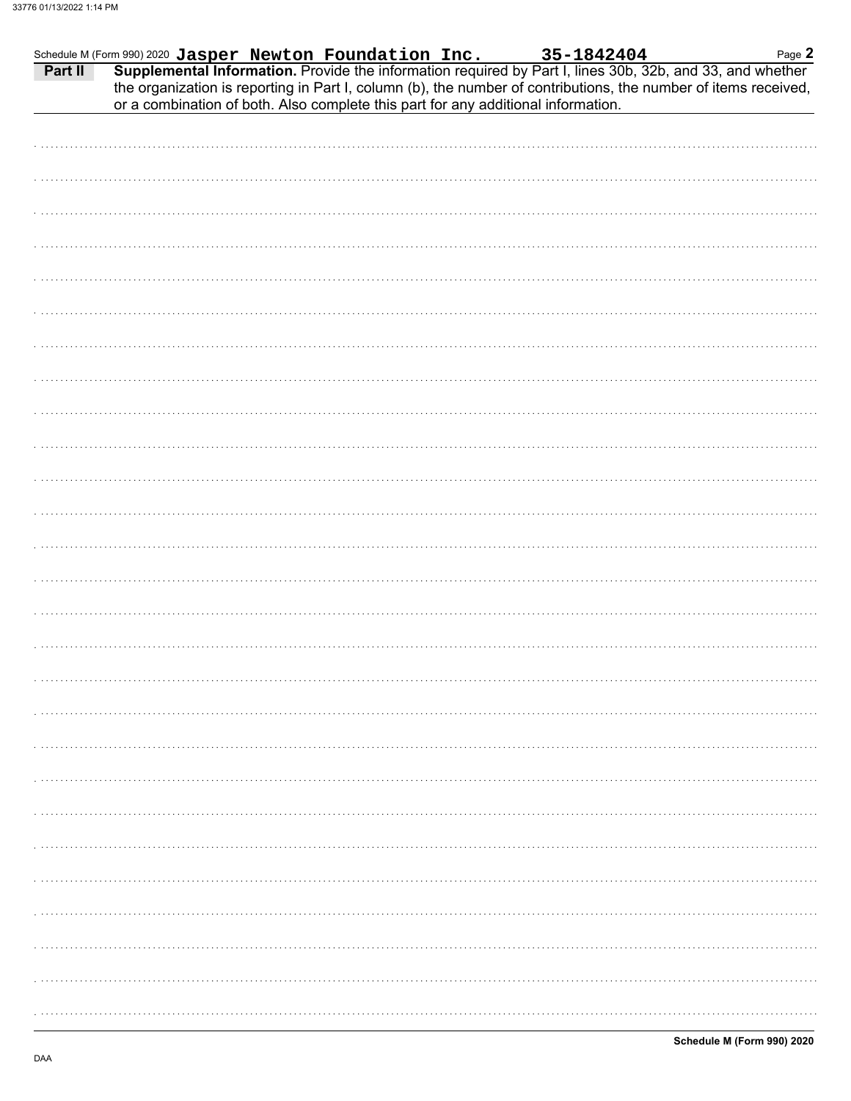|                                                                                   |  |  | Page 2                                                                                                                                                                                                                                                                                                                    |
|-----------------------------------------------------------------------------------|--|--|---------------------------------------------------------------------------------------------------------------------------------------------------------------------------------------------------------------------------------------------------------------------------------------------------------------------------|
| or a combination of both. Also complete this part for any additional information. |  |  | Schedule M (Form 990) 2020 Jasper Newton Foundation Inc. 35-1842404 Page 2<br><b>Part II</b> Supplemental Information. Provide the information required by Part I, lines 30b, 32b, and 33, and whether<br>the organization is reporting in Part I, column (b), the number of contributions, the number of items received, |
|                                                                                   |  |  |                                                                                                                                                                                                                                                                                                                           |
|                                                                                   |  |  |                                                                                                                                                                                                                                                                                                                           |
|                                                                                   |  |  |                                                                                                                                                                                                                                                                                                                           |
|                                                                                   |  |  |                                                                                                                                                                                                                                                                                                                           |
|                                                                                   |  |  |                                                                                                                                                                                                                                                                                                                           |
|                                                                                   |  |  |                                                                                                                                                                                                                                                                                                                           |
|                                                                                   |  |  |                                                                                                                                                                                                                                                                                                                           |
|                                                                                   |  |  |                                                                                                                                                                                                                                                                                                                           |
|                                                                                   |  |  |                                                                                                                                                                                                                                                                                                                           |
|                                                                                   |  |  |                                                                                                                                                                                                                                                                                                                           |
|                                                                                   |  |  |                                                                                                                                                                                                                                                                                                                           |
|                                                                                   |  |  |                                                                                                                                                                                                                                                                                                                           |
|                                                                                   |  |  |                                                                                                                                                                                                                                                                                                                           |
|                                                                                   |  |  |                                                                                                                                                                                                                                                                                                                           |
|                                                                                   |  |  |                                                                                                                                                                                                                                                                                                                           |
|                                                                                   |  |  |                                                                                                                                                                                                                                                                                                                           |
|                                                                                   |  |  |                                                                                                                                                                                                                                                                                                                           |
|                                                                                   |  |  |                                                                                                                                                                                                                                                                                                                           |
|                                                                                   |  |  |                                                                                                                                                                                                                                                                                                                           |
|                                                                                   |  |  |                                                                                                                                                                                                                                                                                                                           |
|                                                                                   |  |  |                                                                                                                                                                                                                                                                                                                           |
|                                                                                   |  |  |                                                                                                                                                                                                                                                                                                                           |
|                                                                                   |  |  |                                                                                                                                                                                                                                                                                                                           |
|                                                                                   |  |  |                                                                                                                                                                                                                                                                                                                           |
|                                                                                   |  |  |                                                                                                                                                                                                                                                                                                                           |
|                                                                                   |  |  |                                                                                                                                                                                                                                                                                                                           |
|                                                                                   |  |  |                                                                                                                                                                                                                                                                                                                           |
|                                                                                   |  |  |                                                                                                                                                                                                                                                                                                                           |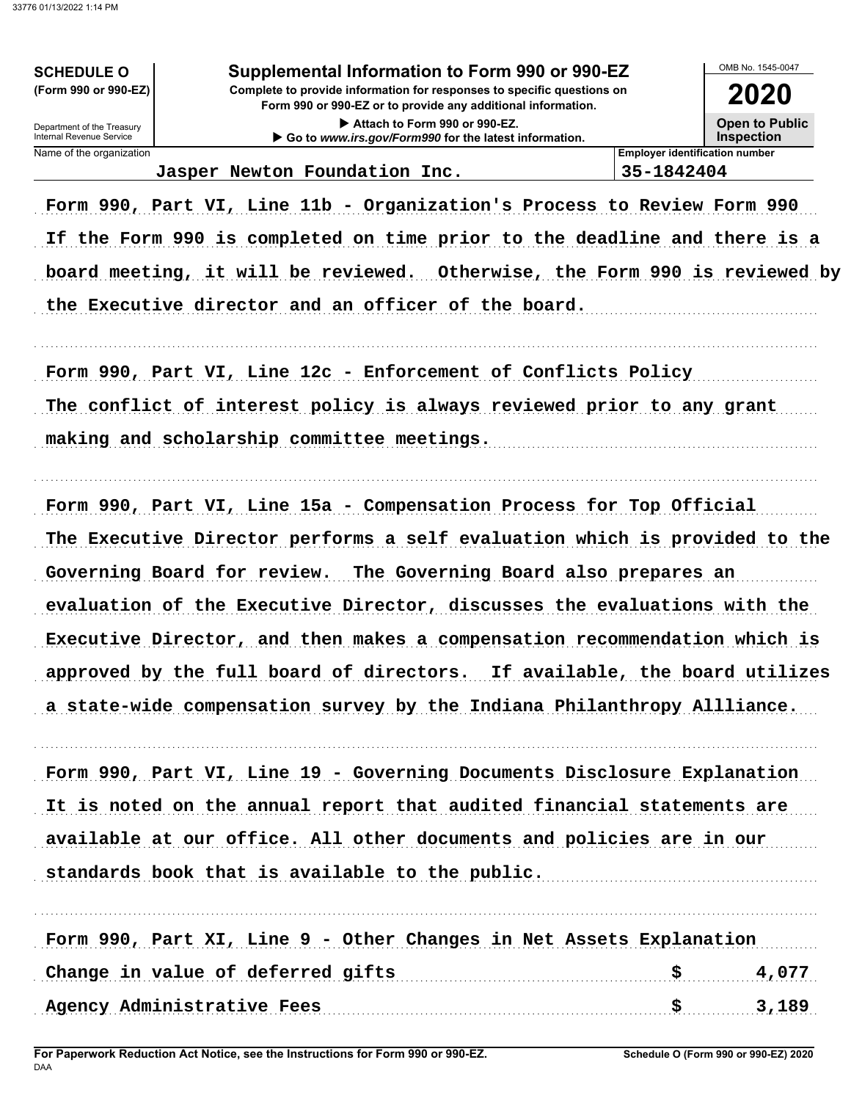### **SCHEDULE O** (Form 990 or 990-EZ)

## Supplemental Information to Form 990 or 990-EZ

Complete to provide information for responses to specific questions on Form 990 or 990-EZ or to provide any additional information.

> Attach to Form 990 or 990-EZ. Go to www.irs.gov/Form990 for the latest information.

OMB No. 1545-0047

2020 **Open to Public Inspection** 

Department of the Treasury Internal Revenue Service Name of the organization

Jasper Newton Foundation Inc.

35-1842404

**Employer identification number** 

Form 990, Part VI, Line 11b - Organization's Process to Review Form 990 If the Form 990 is completed on time prior to the deadline and there is a board meeting, it will be reviewed. Otherwise, the Form 990 is reviewed by the Executive director and an officer of the board.

Form 990, Part VI, Line 12c - Enforcement of Conflicts Policy The conflict of interest policy is always reviewed prior to any grant making and scholarship committee meetings.

Form 990, Part VI, Line 15a - Compensation Process for Top Official The Executive Director performs a self evaluation which is provided to the Governing Board for review. The Governing Board also prepares an evaluation of the Executive Director, discusses the evaluations with the Executive Director, and then makes a compensation recommendation which is approved by the full board of directors. If available, the board utilizes a state-wide compensation survey by the Indiana Philanthropy Allliance.

Form 990, Part VI, Line 19 - Governing Documents Disclosure Explanation It is noted on the annual report that audited financial statements are available at our office. All other documents and policies are in our standards book that is available to the public.

Form 990, Part XI, Line 9 - Other Changes in Net Assets Explanation Change in value of deferred gifts [100] [100] [100] [100] [100] [100] [100] [100] [100] [100] [100] [100] [100] [100] [100] [100] [100] [100] [100] [100] [100] [100] [100] [100] [100] [100] [100] [100] [100] [100] [100] [1 \$ 4,077  $3,189$ Agency Administrative Fees \$.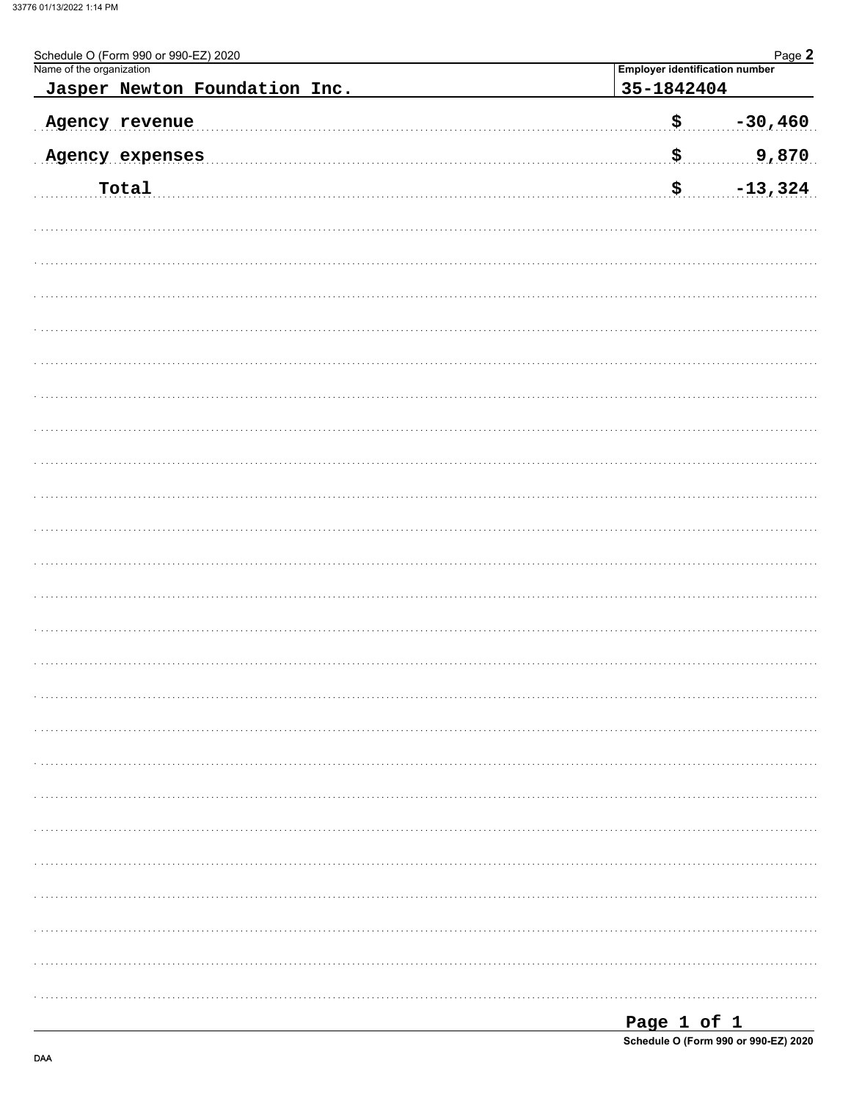| Schedule O (Form 990 or 990-EZ) 2020<br>Name of the organization | Page 2<br>Employer identification number |
|------------------------------------------------------------------|------------------------------------------|
| Jasper Newton Foundation Inc.                                    | 35-1842404                               |
| Agency revenue                                                   | \$.<br>$-30,460$                         |
| Agency expenses                                                  | \$.<br>9,870                             |
| Total                                                            | \$<br>$-13,324$                          |
|                                                                  |                                          |
|                                                                  |                                          |
|                                                                  |                                          |
|                                                                  |                                          |
|                                                                  |                                          |
|                                                                  |                                          |
|                                                                  |                                          |
|                                                                  |                                          |
|                                                                  |                                          |
|                                                                  |                                          |
|                                                                  |                                          |
|                                                                  |                                          |
|                                                                  |                                          |
|                                                                  |                                          |
|                                                                  |                                          |
|                                                                  |                                          |
|                                                                  |                                          |
|                                                                  |                                          |
|                                                                  |                                          |
|                                                                  |                                          |
|                                                                  |                                          |
|                                                                  |                                          |
|                                                                  |                                          |

| Page 1 of 1                          |  |  |
|--------------------------------------|--|--|
| Schedule O (Form 990 or 990-EZ) 2020 |  |  |

DAA